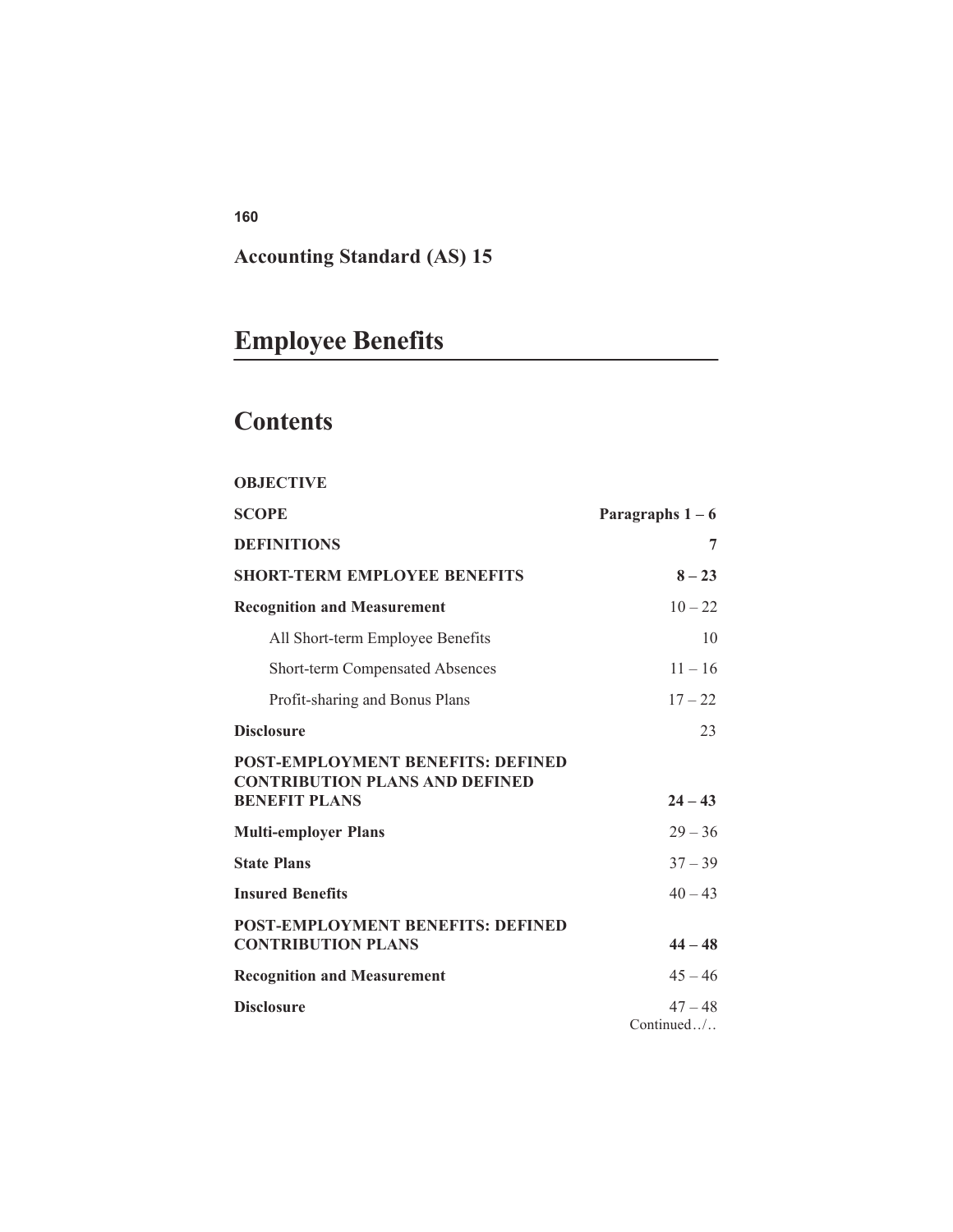**160**

**Accounting Standard (AS) 15**

# **Employee Benefits**

# **Contents**

| <b>OBJECTIVE</b>                                                                                          |                         |
|-----------------------------------------------------------------------------------------------------------|-------------------------|
| <b>SCOPE</b>                                                                                              | Paragraphs $1-6$        |
| <b>DEFINITIONS</b>                                                                                        | 7                       |
| <b>SHORT-TERM EMPLOYEE BENEFITS</b>                                                                       | $8 - 23$                |
| <b>Recognition and Measurement</b>                                                                        | $10 - 22$               |
| All Short-term Employee Benefits                                                                          | 10                      |
| <b>Short-term Compensated Absences</b>                                                                    | $11 - 16$               |
| Profit-sharing and Bonus Plans                                                                            | $17 - 22$               |
| <b>Disclosure</b>                                                                                         | 23                      |
| <b>POST-EMPLOYMENT BENEFITS: DEFINED</b><br><b>CONTRIBUTION PLANS AND DEFINED</b><br><b>BENEFIT PLANS</b> | $24 - 43$               |
| <b>Multi-employer Plans</b>                                                                               | $29 - 36$               |
| <b>State Plans</b>                                                                                        | $37 - 39$               |
| <b>Insured Benefits</b>                                                                                   | $40 - 43$               |
| <b>POST-EMPLOYMENT BENEFITS: DEFINED</b><br><b>CONTRIBUTION PLANS</b>                                     | $44 - 48$               |
| <b>Recognition and Measurement</b>                                                                        | $45 - 46$               |
| <b>Disclosure</b>                                                                                         | $47 - 48$<br>Continued/ |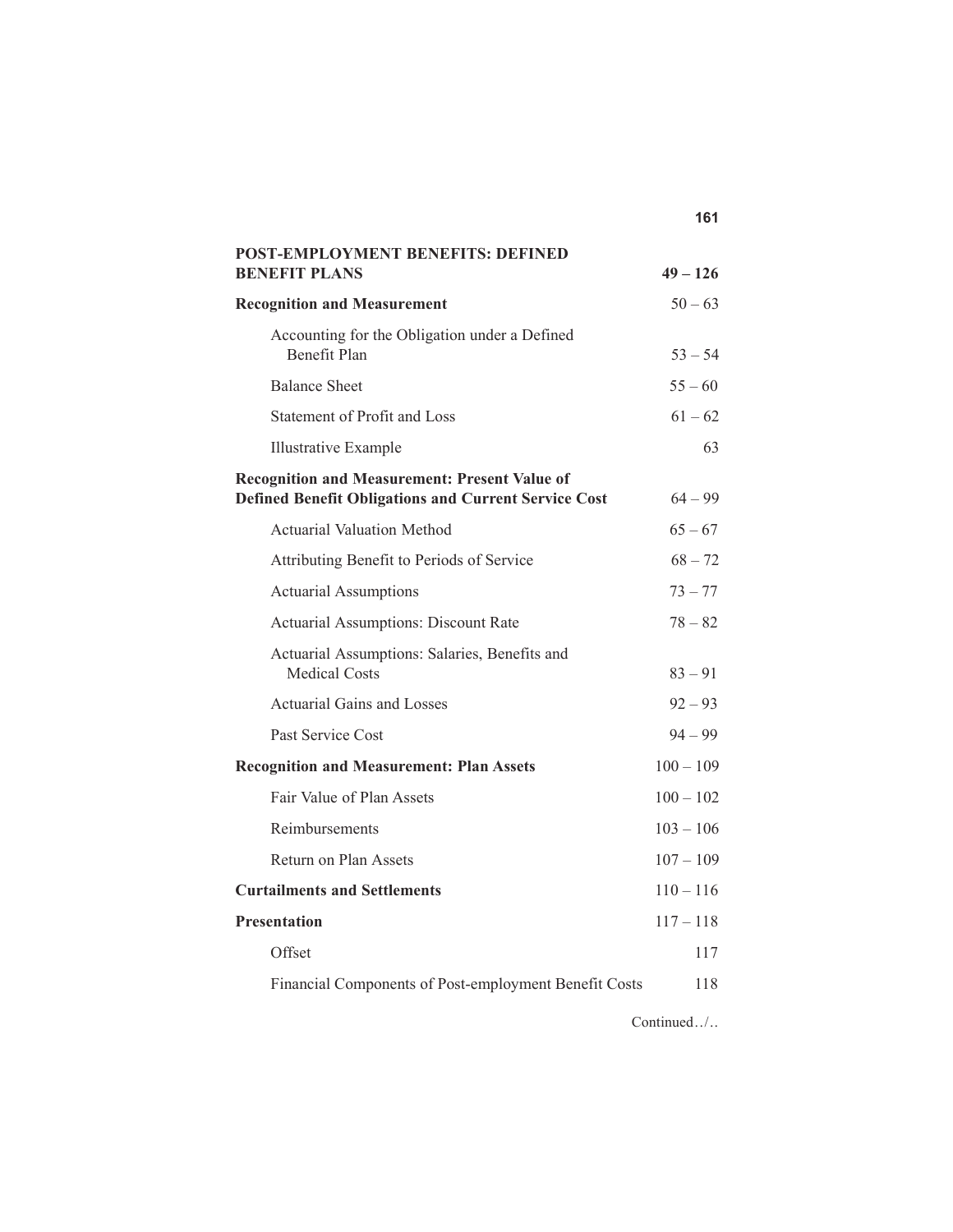| <b>POST-EMPLOYMENT BENEFITS: DEFINED</b><br><b>BENEFIT PLANS</b>                                                    | $49 - 126$   |
|---------------------------------------------------------------------------------------------------------------------|--------------|
| <b>Recognition and Measurement</b>                                                                                  | $50 - 63$    |
| Accounting for the Obligation under a Defined<br>Benefit Plan                                                       | $53 - 54$    |
| <b>Balance Sheet</b>                                                                                                | $55 - 60$    |
| Statement of Profit and Loss                                                                                        | $61 - 62$    |
| <b>Illustrative Example</b>                                                                                         | 63           |
| <b>Recognition and Measurement: Present Value of</b><br><b>Defined Benefit Obligations and Current Service Cost</b> | $64 - 99$    |
| <b>Actuarial Valuation Method</b>                                                                                   | $65 - 67$    |
| Attributing Benefit to Periods of Service                                                                           | $68 - 72$    |
| <b>Actuarial Assumptions</b>                                                                                        | $73 - 77$    |
| Actuarial Assumptions: Discount Rate                                                                                | $78 - 82$    |
| Actuarial Assumptions: Salaries, Benefits and<br><b>Medical Costs</b>                                               | $83 - 91$    |
| Actuarial Gains and Losses                                                                                          | $92 - 93$    |
| Past Service Cost                                                                                                   | $94 - 99$    |
| <b>Recognition and Measurement: Plan Assets</b>                                                                     | $100 - 109$  |
| Fair Value of Plan Assets                                                                                           | $100 - 102$  |
| Reimbursements                                                                                                      | $103 - 106$  |
| Return on Plan Assets                                                                                               | $107 - 109$  |
| <b>Curtailments and Settlements</b>                                                                                 | $110 - 116$  |
| <b>Presentation</b>                                                                                                 | $117 - 118$  |
| Offset                                                                                                              | 117          |
| Financial Components of Post-employment Benefit Costs                                                               | 118          |
|                                                                                                                     | $Continued.$ |

**161**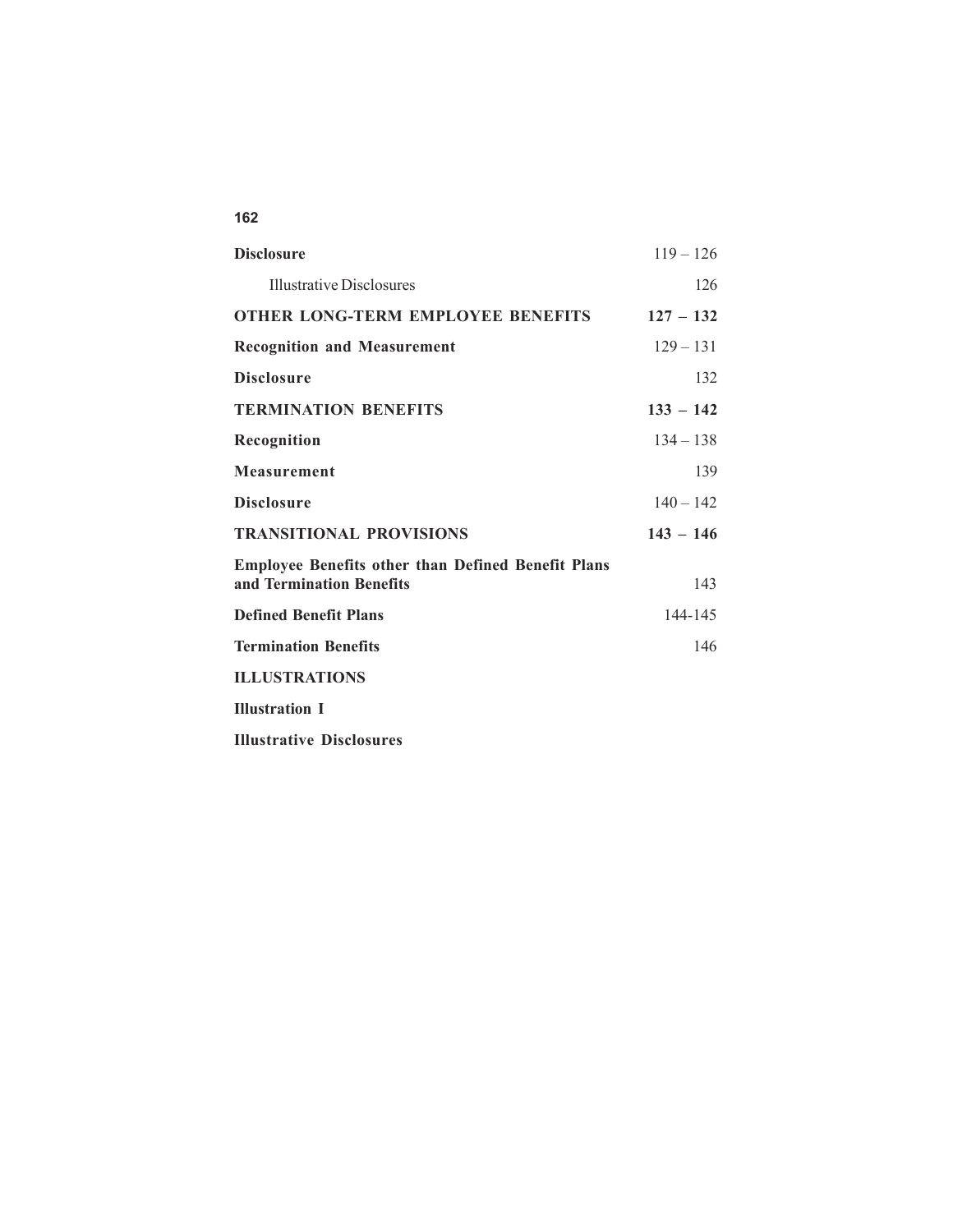### **162**

| <b>Disclosure</b>                                                                     | $119 - 126$ |
|---------------------------------------------------------------------------------------|-------------|
| <b>Illustrative Disclosures</b>                                                       | 126         |
| <b>OTHER LONG-TERM EMPLOYEE BENEFITS</b>                                              | $127 - 132$ |
| <b>Recognition and Measurement</b>                                                    | $129 - 131$ |
| <b>Disclosure</b>                                                                     | 132         |
| <b>TERMINATION BENEFITS</b>                                                           | $133 - 142$ |
| Recognition                                                                           | $134 - 138$ |
| Measurement                                                                           | 139         |
| <b>Disclosure</b>                                                                     | $140 - 142$ |
| <b>TRANSITIONAL PROVISIONS</b>                                                        | $143 - 146$ |
| <b>Employee Benefits other than Defined Benefit Plans</b><br>and Termination Benefits | 143         |
| <b>Defined Benefit Plans</b>                                                          | 144-145     |
| <b>Termination Benefits</b>                                                           | 146         |
| <b>ILLUSTRATIONS</b>                                                                  |             |

**Illustration I**

**Illustrative Disclosures**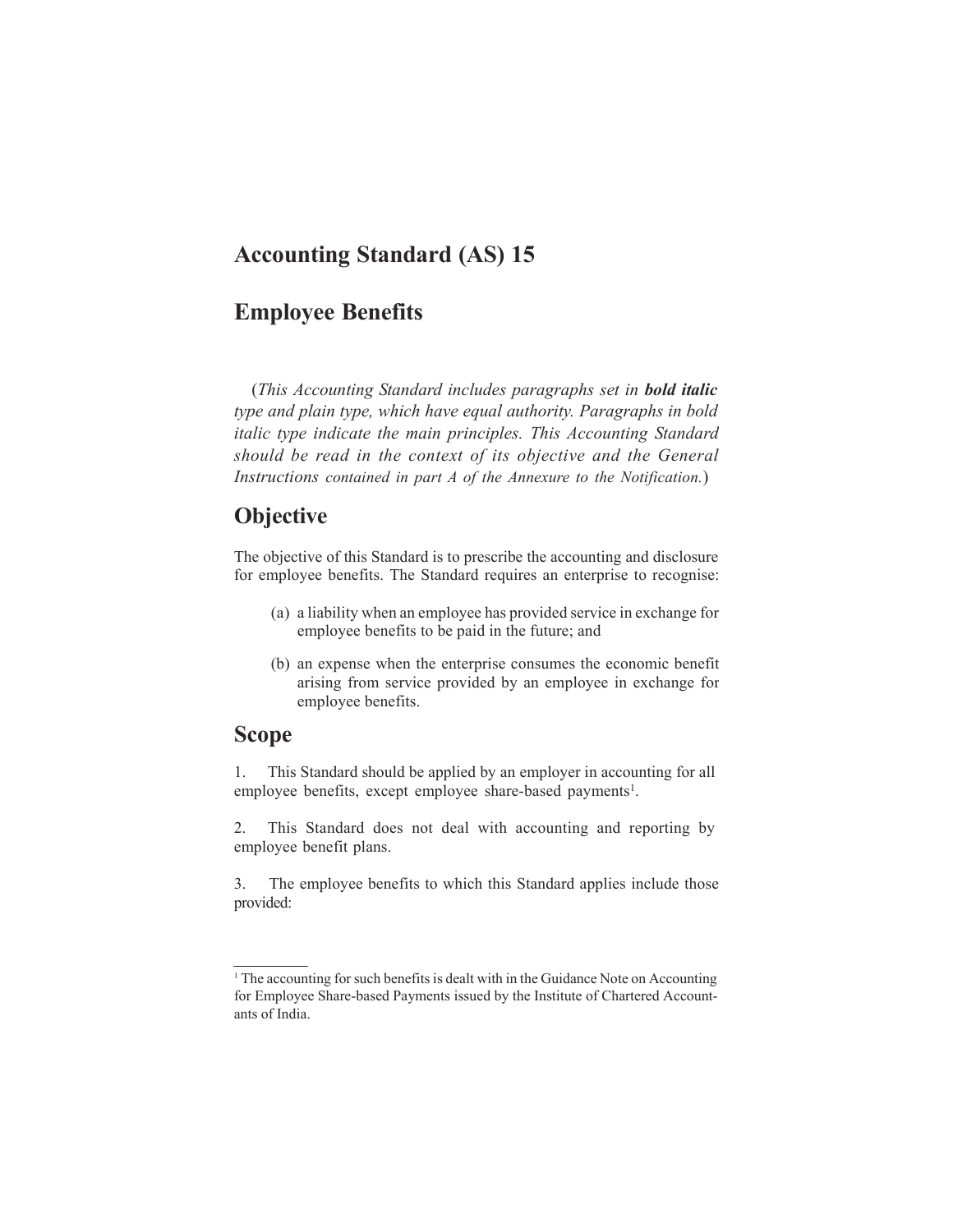# **Accounting Standard (AS) 15**

# **Employee Benefits**

(*This Accounting Standard includes paragraphs set in bold italic type and plain type, which have equal authority. Paragraphs in bold italic type indicate the main principles. This Accounting Standard should be read in the context of its objective and the General Instructions contained in part A of the Annexure to the Notification.*)

# **Objective**

The objective of this Standard is to prescribe the accounting and disclosure for employee benefits. The Standard requires an enterprise to recognise:

- (a) a liability when an employee has provided service in exchange for employee benefits to be paid in the future; and
- (b) an expense when the enterprise consumes the economic benefit arising from service provided by an employee in exchange for employee benefits.

# **Scope**

1. This Standard should be applied by an employer in accounting for all employee benefits, except employee share-based payments<sup>1</sup>.

2. This Standard does not deal with accounting and reporting by employee benefit plans.

3. The employee benefits to which this Standard applies include those provided:

 $1$ <sup>1</sup> The accounting for such benefits is dealt with in the Guidance Note on Accounting for Employee Share-based Payments issued by the Institute of Chartered Accountants of India.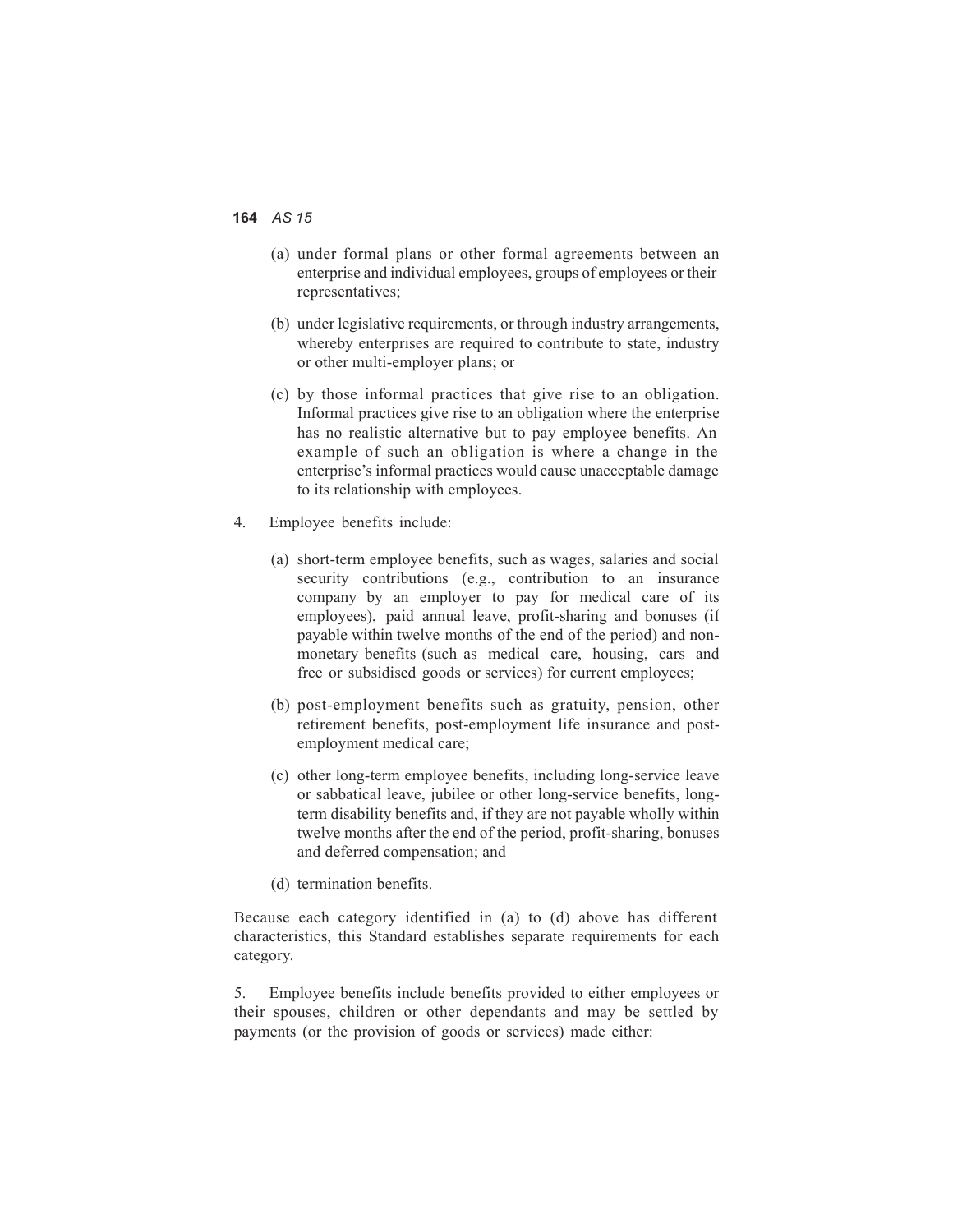- (a) under formal plans or other formal agreements between an enterprise and individual employees, groups of employees or their representatives;
- (b) under legislative requirements, or through industry arrangements, whereby enterprises are required to contribute to state, industry or other multi-employer plans; or
- (c) by those informal practices that give rise to an obligation. Informal practices give rise to an obligation where the enterprise has no realistic alternative but to pay employee benefits. An example of such an obligation is where a change in the enterprise's informal practices would cause unacceptable damage to its relationship with employees.
- 4. Employee benefits include:
	- (a) short-term employee benefits, such as wages, salaries and social security contributions (e.g., contribution to an insurance company by an employer to pay for medical care of its employees), paid annual leave, profit-sharing and bonuses (if payable within twelve months of the end of the period) and nonmonetary benefits (such as medical care, housing, cars and free or subsidised goods or services) for current employees;
	- (b) post-employment benefits such as gratuity, pension, other retirement benefits, post-employment life insurance and postemployment medical care;
	- (c) other long-term employee benefits, including long-service leave or sabbatical leave, jubilee or other long-service benefits, longterm disability benefits and, if they are not payable wholly within twelve months after the end of the period, profit-sharing, bonuses and deferred compensation; and
	- (d) termination benefits.

Because each category identified in (a) to (d) above has different characteristics, this Standard establishes separate requirements for each category.

5. Employee benefits include benefits provided to either employees or their spouses, children or other dependants and may be settled by payments (or the provision of goods or services) made either: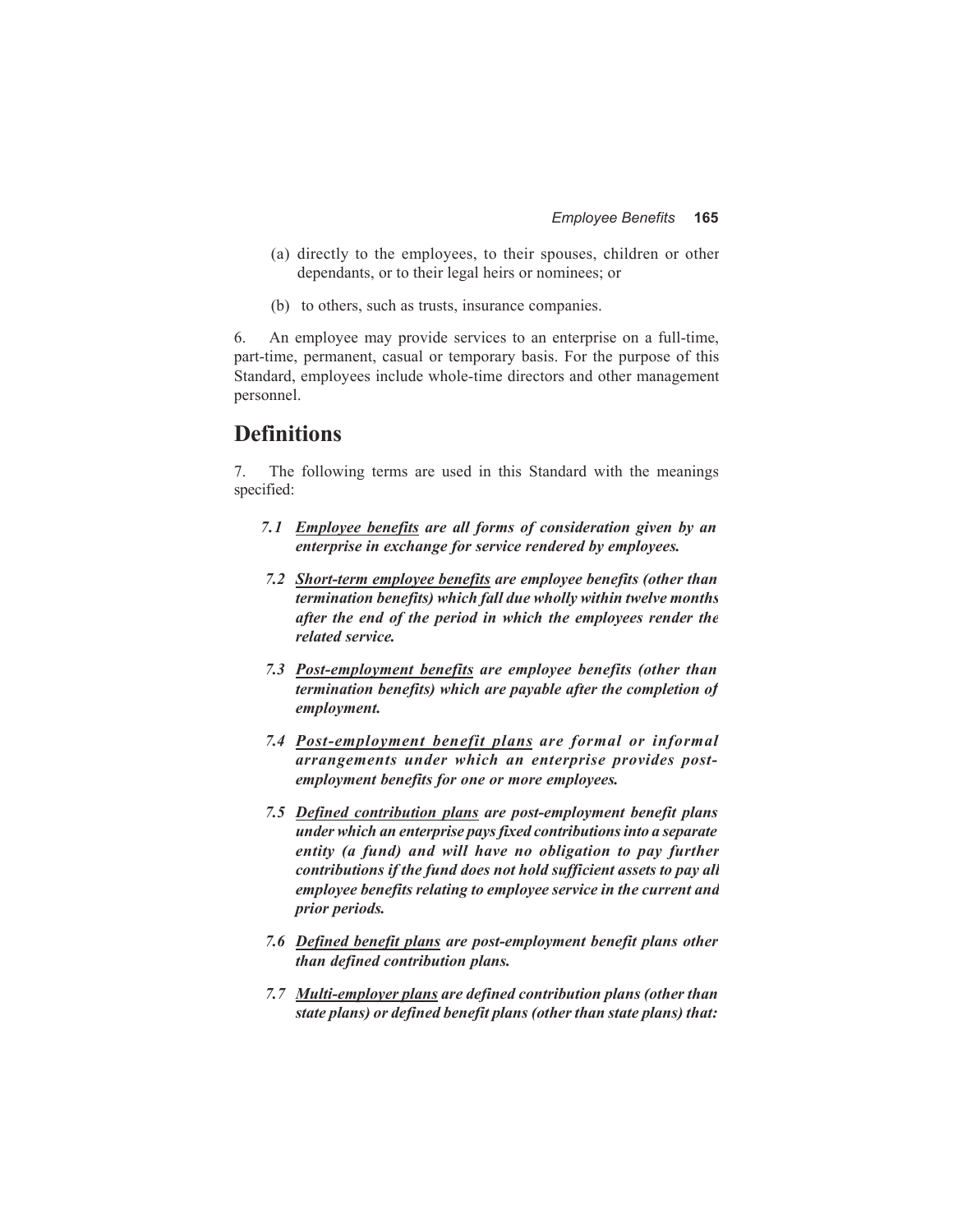- (a) directly to the employees, to their spouses, children or other dependants, or to their legal heirs or nominees; or
- (b) to others, such as trusts, insurance companies.

6. An employee may provide services to an enterprise on a full-time, part-time, permanent, casual or temporary basis. For the purpose of this Standard, employees include whole-time directors and other management personnel.

### **Definitions**

7. The following terms are used in this Standard with the meanings specified:

- *7.1 Employee benefits are all forms of consideration given by an enterprise in exchange for service rendered by employees.*
- *7.2 Short-term employee benefits are employee benefits (other than termination benefits) which fall due wholly within twelve months after the end of the period in which the employees render the related service.*
- *7.3 Post-employment benefits are employee benefits (other than termination benefits) which are payable after the completion of employment.*
- *7.4 Post-employment benefit plans are formal or informal arrangements under which an enterprise provides postemployment benefits for one or more employees.*
- *7.5 Defined contribution plans are post-employment benefit plans under which an enterprise pays fixed contributions into a separate entity (a fund) and will have no obligation to pay further contributions if the fund does not hold sufficient assets to pay all employee benefits relating to employee service in the current and prior periods.*
- *7.6 Defined benefit plans are post-employment benefit plans other than defined contribution plans.*
- *7.7 Multi-employer plans are defined contribution plans (other than state plans) or defined benefit plans (other than state plans) that:*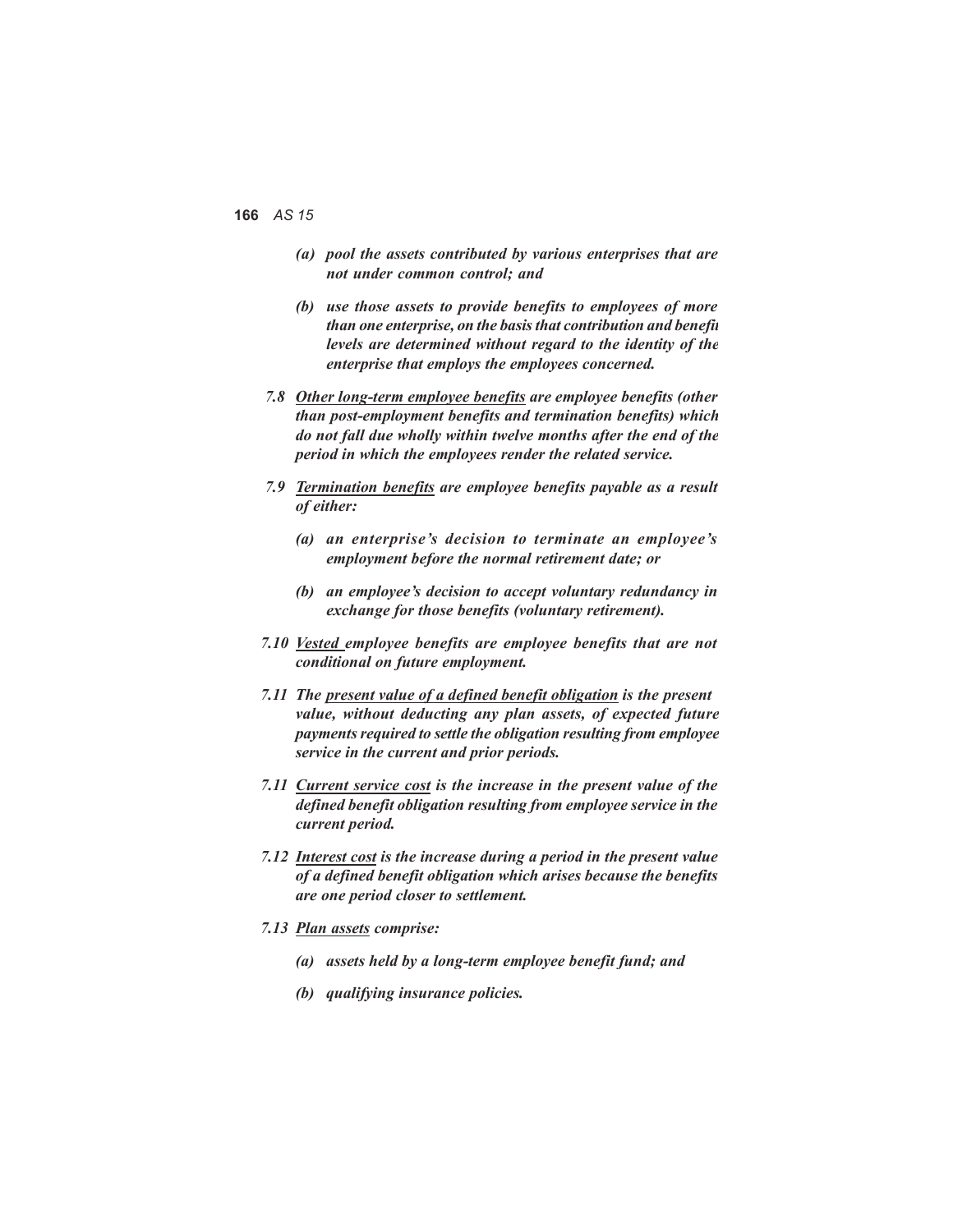- *(a) pool the assets contributed by various enterprises that are not under common control; and*
- *(b) use those assets to provide benefits to employees of more than one enterprise, on the basis that contribution and benefit levels are determined without regard to the identity of the enterprise that employs the employees concerned.*
- *7.8 Other long-term employee benefits are employee benefits (other than post-employment benefits and termination benefits) which do not fall due wholly within twelve months after the end of the period in which the employees render the related service.*
- *7.9 Termination benefits are employee benefits payable as a result of either:*
	- *(a) an enterprise's decision to terminate an employee's employment before the normal retirement date; or*
	- *(b) an employee's decision to accept voluntary redundancy in exchange for those benefits (voluntary retirement).*
- *7.10 Vested employee benefits are employee benefits that are not conditional on future employment.*
- *7.11 The present value of a defined benefit obligation is the present value, without deducting any plan assets, of expected future payments required to settle the obligation resulting from employee service in the current and prior periods.*
- *7.11 Current service cost is the increase in the present value of the defined benefit obligation resulting from employee service in the current period.*
- *7.12 Interest cost is the increase during a period in the present value of a defined benefit obligation which arises because the benefits are one period closer to settlement.*
- *7.13 Plan assets comprise:*
	- *(a) assets held by a long-term employee benefit fund; and*
	- *(b) qualifying insurance policies.*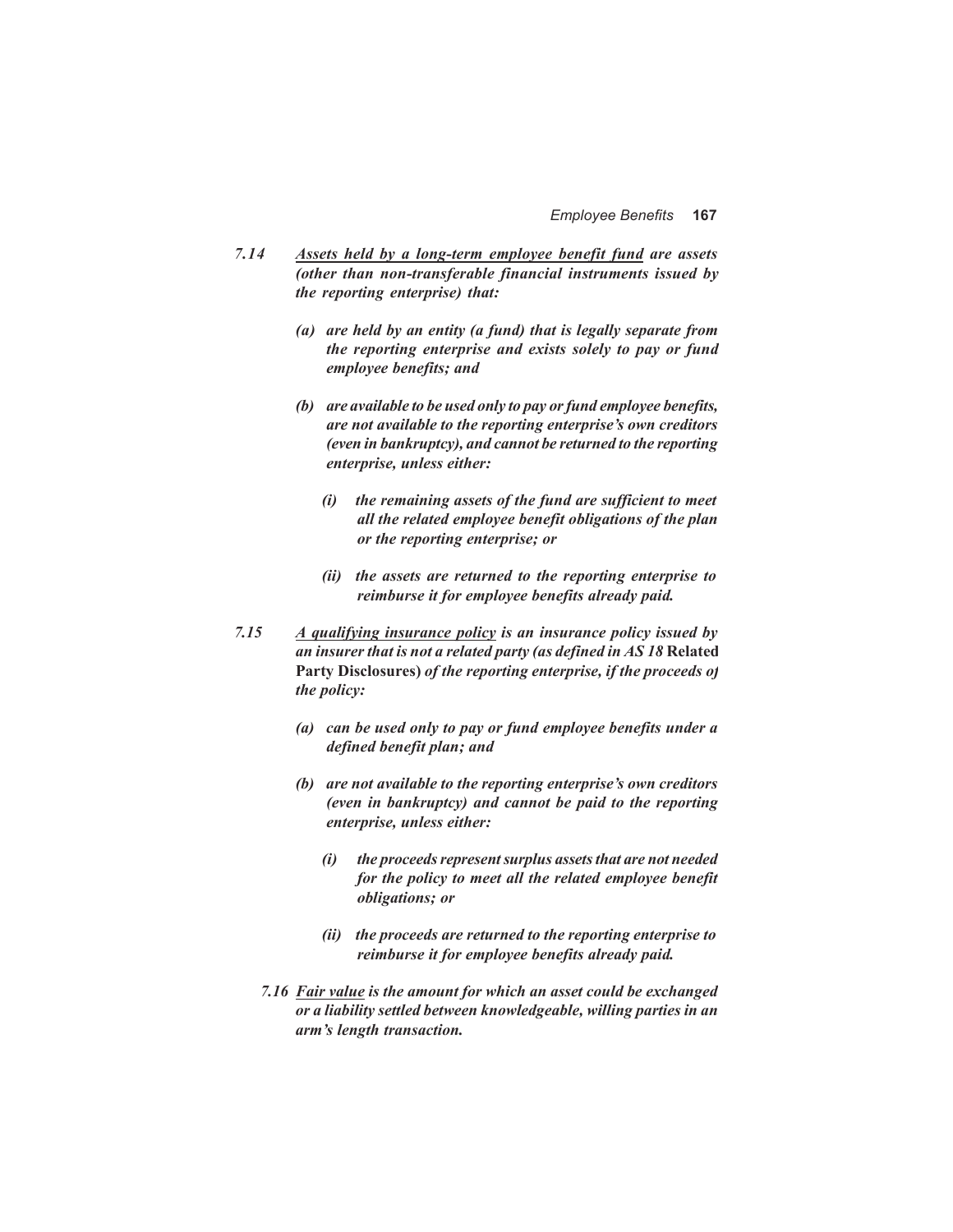- *7.14 Assets held by a long-term employee benefit fund are assets (other than non-transferable financial instruments issued by the reporting enterprise) that:*
	- *(a) are held by an entity (a fund) that is legally separate from the reporting enterprise and exists solely to pay or fund employee benefits; and*
	- *(b) are available to be used only to pay orfund employee benefits, are not available to the reporting enterprise's own creditors (even in bankruptcy), and cannot be returned to the reporting enterprise, unless either:*
		- *(i) the remaining assets of the fund are sufficient to meet all the related employee benefit obligations of the plan or the reporting enterprise; or*
		- *(ii) the assets are returned to the reporting enterprise to reimburse it for employee benefits already paid.*
- *7.15 A qualifying insurance policy is an insurance policy issued by an insurer that is not a related party (as defined in AS 18* **Related Party Disclosures)** *of the reporting enterprise, if the proceeds of the policy:*
	- *(a) can be used only to pay or fund employee benefits under a defined benefit plan; and*
	- *(b) are not available to the reporting enterprise's own creditors (even in bankruptcy) and cannot be paid to the reporting enterprise, unless either:*
		- *(i) the proceeds representsurplus assets that are not needed for the policy to meet all the related employee benefit obligations; or*
		- *(ii) the proceeds are returned to the reporting enterprise to reimburse it for employee benefits already paid.*
	- *7.16 Fair value is the amount for which an asset could be exchanged or a liability settled between knowledgeable, willing parties in an arm's length transaction.*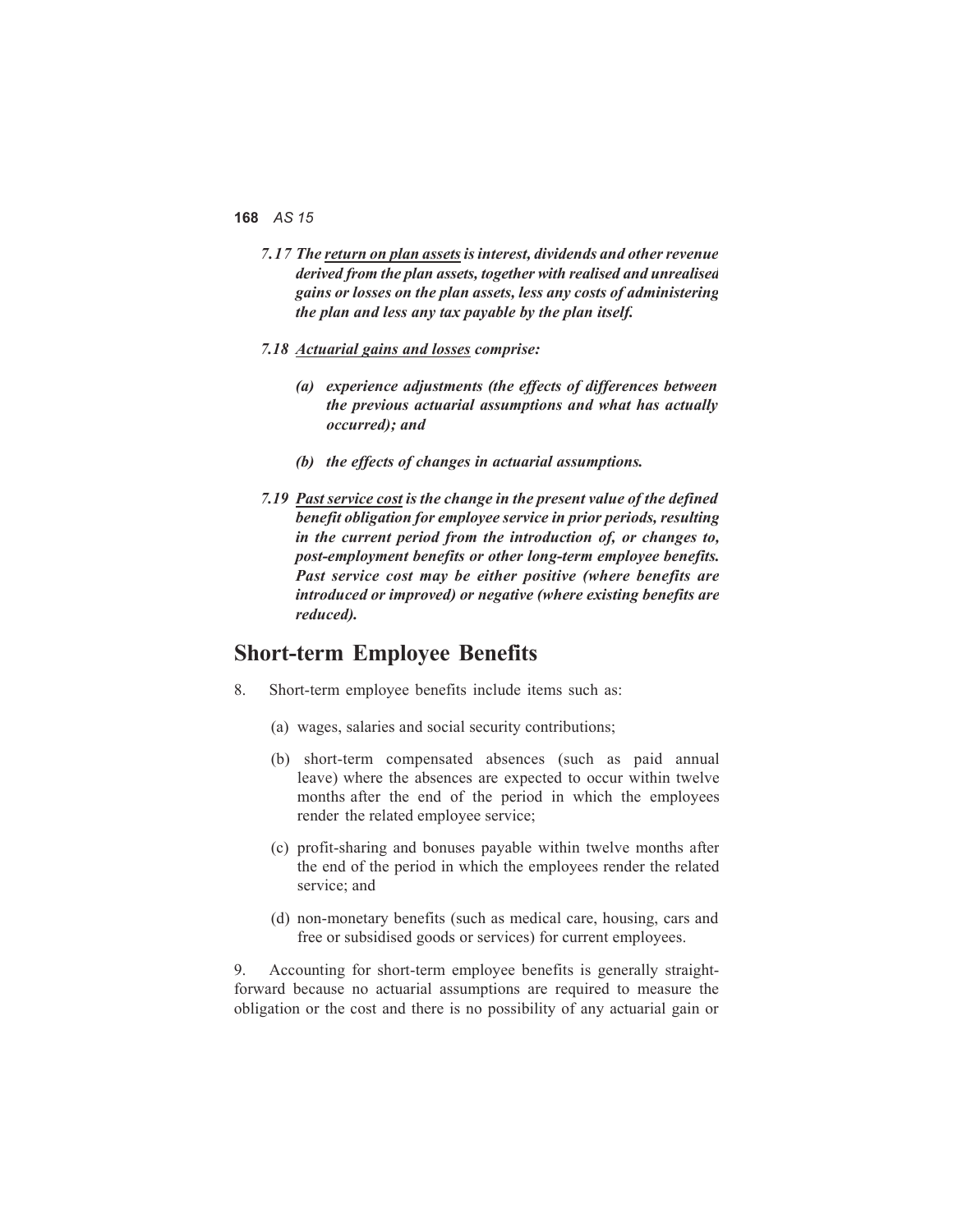- *7.17 The return on plan assetsis interest, dividends and other revenue derived from the plan assets, together with realised and unrealised gains or losses on the plan assets, less any costs of administering the plan and less any tax payable by the plan itself.*
- *7.18 Actuarial gains and losses comprise:*
	- *(a) experience adjustments (the effects of differences between the previous actuarial assumptions and what has actually occurred); and*
	- *(b) the effects of changes in actuarial assumptions.*
- *7.19 Past service cost is the change in the present value of the defined benefit obligation for employee service in prior periods, resulting in the current period from the introduction of, or changes to, post-employment benefits or other long-term employee benefits. Past service cost may be either positive (where benefits are introduced or improved) or negative (where existing benefits are reduced).*

# **Short-term Employee Benefits**

- 8. Short-term employee benefits include items such as:
	- (a) wages, salaries and social security contributions;
	- (b) short-term compensated absences (such as paid annual leave) where the absences are expected to occur within twelve months after the end of the period in which the employees render the related employee service;
	- (c) profit-sharing and bonuses payable within twelve months after the end of the period in which the employees render the related service; and
	- (d) non-monetary benefits (such as medical care, housing, cars and free or subsidised goods or services) for current employees.

9. Accounting for short-term employee benefits is generally straightforward because no actuarial assumptions are required to measure the obligation or the cost and there is no possibility of any actuarial gain or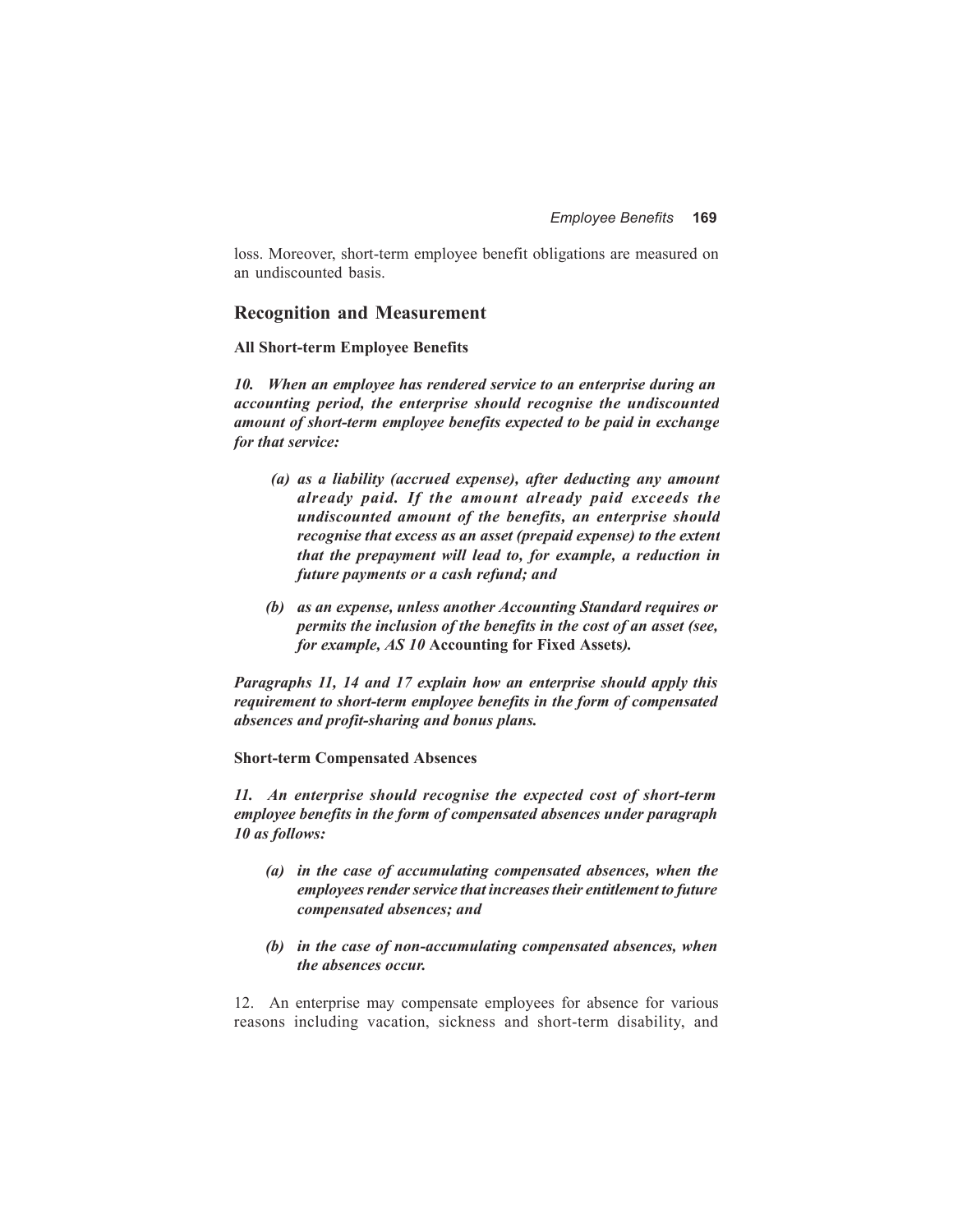loss. Moreover, short-term employee benefit obligations are measured on an undiscounted basis.

#### **Recognition and Measurement**

#### **All Short-term Employee Benefits**

*10. When an employee has rendered service to an enterprise during an accounting period, the enterprise should recognise the undiscounted amount of short-term employee benefits expected to be paid in exchange for that service:*

- *(a) as a liability (accrued expense), after deducting any amount already paid. If the amount already paid exceeds the undiscounted amount of the benefits, an enterprise should recognise that excess as an asset (prepaid expense) to the extent that the prepayment will lead to, for example, a reduction in future payments or a cash refund; and*
- *(b) as an expense, unless another Accounting Standard requires or permits the inclusion of the benefits in the cost of an asset (see, for example, AS 10* **Accounting for Fixed Assets***).*

*Paragraphs 11, 14 and 17 explain how an enterprise should apply this requirement to short-term employee benefits in the form of compensated absences and profit-sharing and bonus plans.*

**Short-term Compensated Absences**

*11. An enterprise should recognise the expected cost of short-term employee benefits in the form of compensated absences under paragraph 10 as follows:*

- *(a) in the case of accumulating compensated absences, when the employees render service that increases their entitlement to future compensated absences; and*
- *(b) in the case of non-accumulating compensated absences, when the absences occur.*

12. An enterprise may compensate employees for absence for various reasons including vacation, sickness and short-term disability, and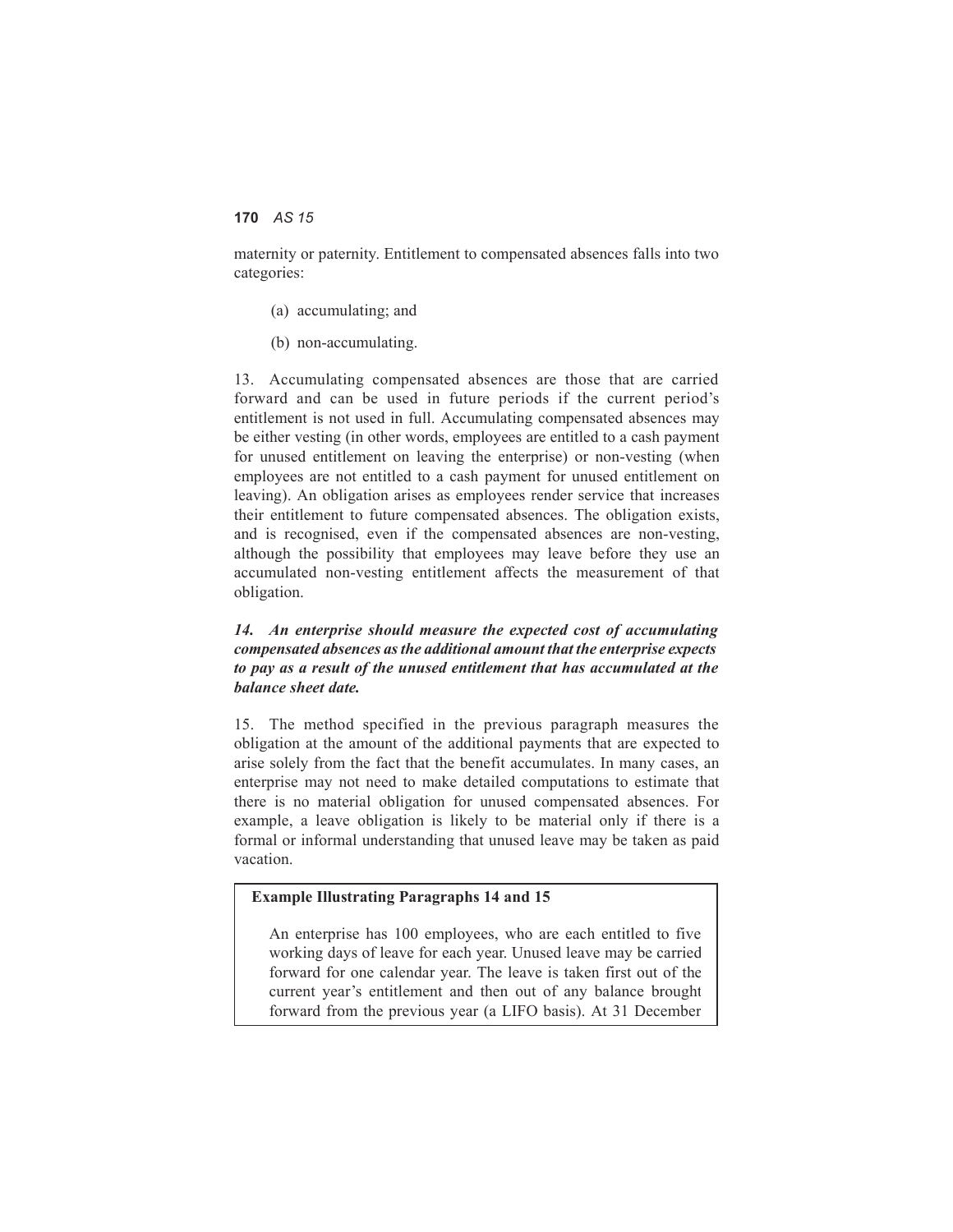maternity or paternity. Entitlement to compensated absences falls into two categories:

- (a) accumulating; and
- (b) non-accumulating.

13. Accumulating compensated absences are those that are carried forward and can be used in future periods if the current period's entitlement is not used in full. Accumulating compensated absences may be either vesting (in other words, employees are entitled to a cash payment for unused entitlement on leaving the enterprise) or non-vesting (when employees are not entitled to a cash payment for unused entitlement on leaving). An obligation arises as employees render service that increases their entitlement to future compensated absences. The obligation exists, and is recognised, even if the compensated absences are non-vesting, although the possibility that employees may leave before they use an accumulated non-vesting entitlement affects the measurement of that obligation.

#### *14. An enterprise should measure the expected cost of accumulating compensated absences as the additional amount that the enterprise expects to pay as a result of the unused entitlement that has accumulated at the balance sheet date.*

15. The method specified in the previous paragraph measures the obligation at the amount of the additional payments that are expected to arise solely from the fact that the benefit accumulates. In many cases, an enterprise may not need to make detailed computations to estimate that there is no material obligation for unused compensated absences. For example, a leave obligation is likely to be material only if there is a formal or informal understanding that unused leave may be taken as paid vacation.

#### **Example Illustrating Paragraphs 14 and 15**

An enterprise has 100 employees, who are each entitled to five working days of leave for each year. Unused leave may be carried forward for one calendar year. The leave is taken first out of the current year's entitlement and then out of any balance brought forward from the previous year (a LIFO basis). At 31 December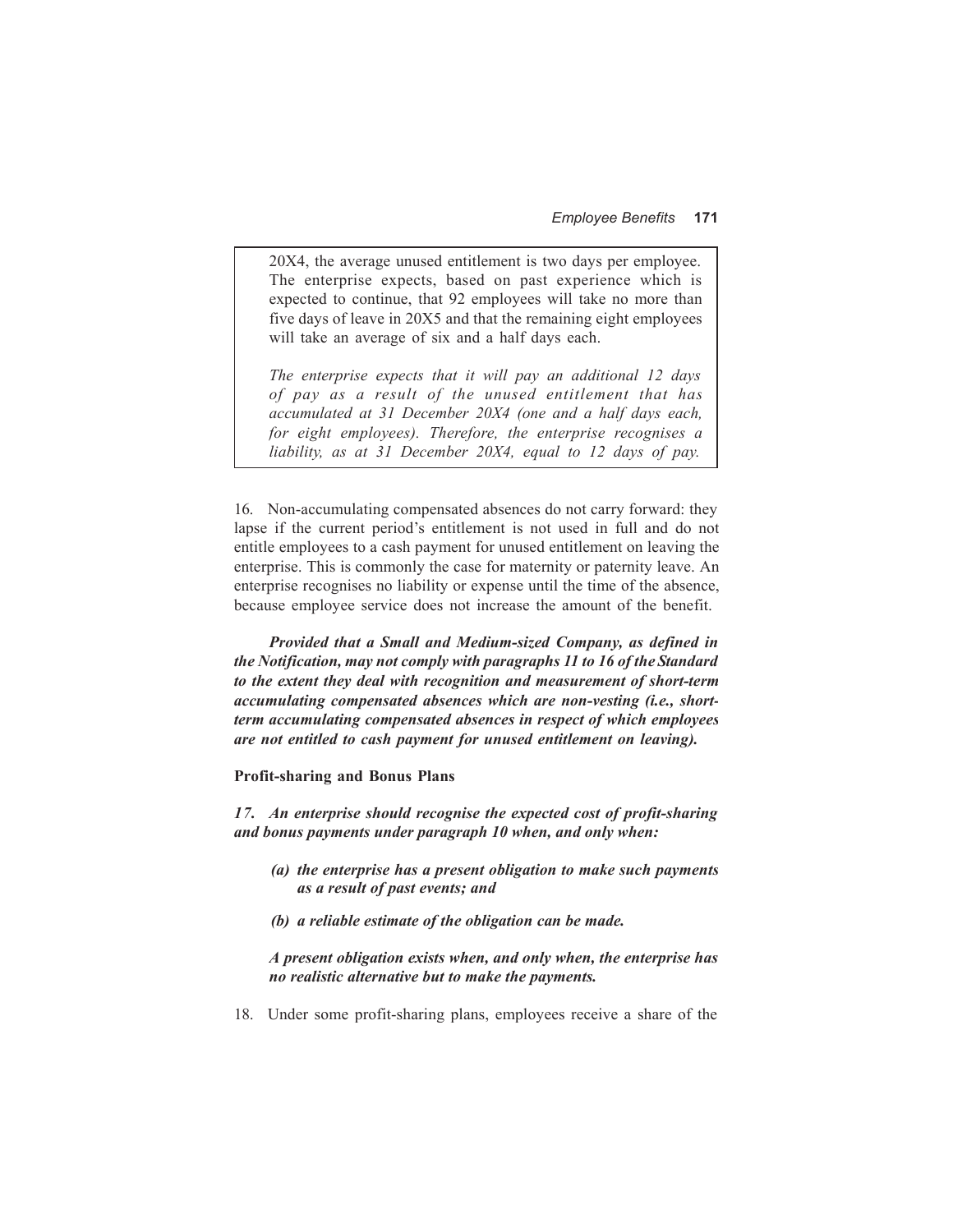20X4, the average unused entitlement is two days per employee. The enterprise expects, based on past experience which is expected to continue, that 92 employees will take no more than five days of leave in 20X5 and that the remaining eight employees will take an average of six and a half days each.

*The enterprise expects that it will pay an additional 12 days of pay as a result of the unused entitlement that has accumulated at 31 December 20X4 (one and a half days each, for eight employees). Therefore, the enterprise recognises a liability, as at 31 December 20X4, equal to 12 days of pay.*

16. Non-accumulating compensated absences do not carry forward: they lapse if the current period's entitlement is not used in full and do not entitle employees to a cash payment for unused entitlement on leaving the enterprise. This is commonly the case for maternity or paternity leave. An enterprise recognises no liability or expense until the time of the absence, because employee service does not increase the amount of the benefit.

*Provided that a Small and Medium-sized Company, as defined in the Notification, may not comply with paragraphs 11 to 16 of the Standard to the extent they deal with recognition and measurement of short-term accumulating compensated absences which are non-vesting (i.e., shortterm accumulating compensated absences in respect of which employees are not entitled to cash payment for unused entitlement on leaving).*

#### **Profit-sharing and Bonus Plans**

*17. An enterprise should recognise the expected cost of profit-sharing and bonus payments under paragraph 10 when, and only when:*

- *(a) the enterprise has a present obligation to make such payments as a result of past events; and*
- *(b) a reliable estimate of the obligation can be made.*

*A present obligation exists when, and only when, the enterprise has no realistic alternative but to make the payments.*

18. Under some profit-sharing plans, employees receive a share of the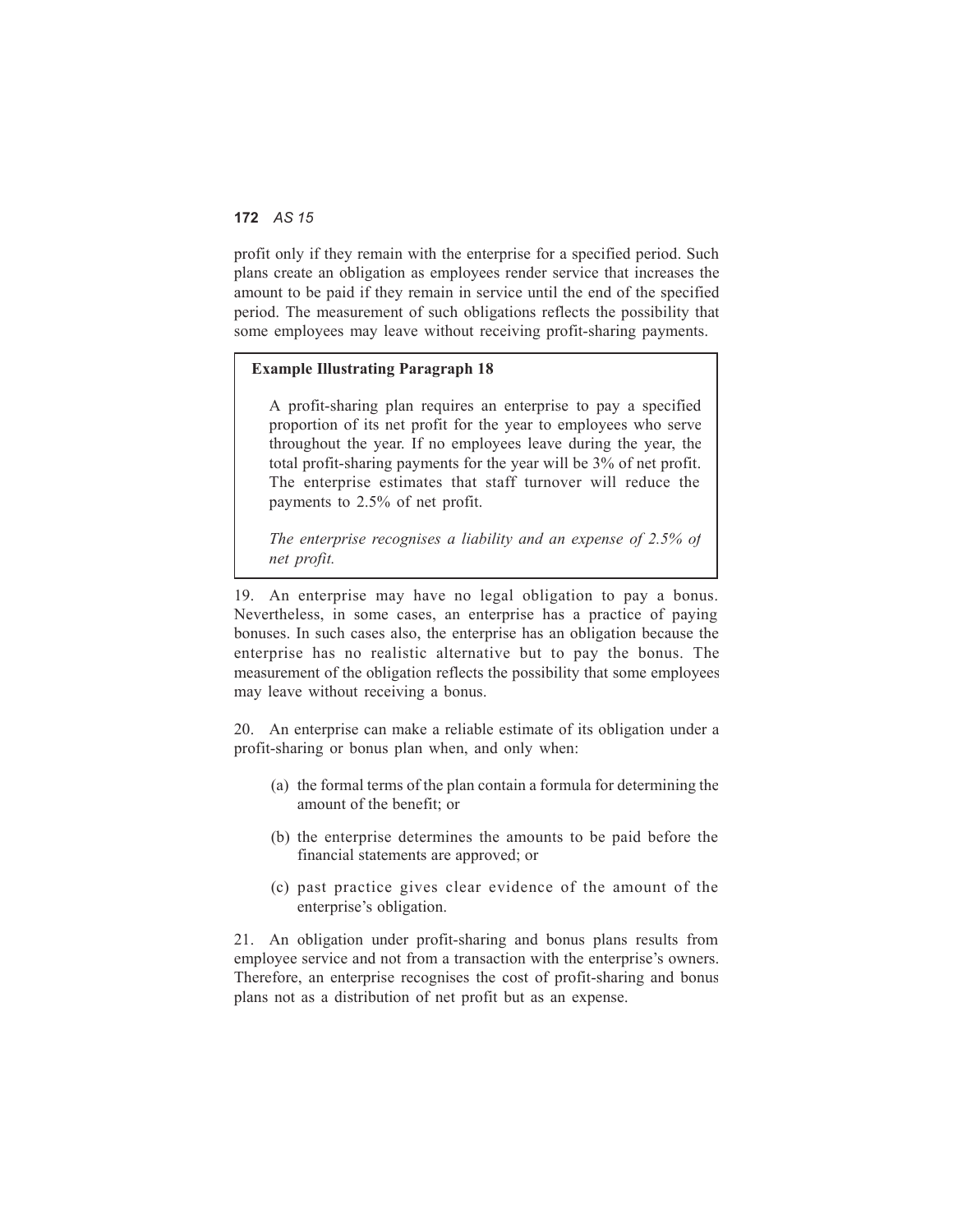profit only if they remain with the enterprise for a specified period. Such plans create an obligation as employees render service that increases the amount to be paid if they remain in service until the end of the specified period. The measurement of such obligations reflects the possibility that some employees may leave without receiving profit-sharing payments.

#### **Example Illustrating Paragraph 18**

A profit-sharing plan requires an enterprise to pay a specified proportion of its net profit for the year to employees who serve throughout the year. If no employees leave during the year, the total profit-sharing payments for the year will be 3% of net profit. The enterprise estimates that staff turnover will reduce the payments to 2.5% of net profit.

*The enterprise recognises a liability and an expense of 2.5% of net profit.*

19. An enterprise may have no legal obligation to pay a bonus. Nevertheless, in some cases, an enterprise has a practice of paying bonuses. In such cases also, the enterprise has an obligation because the enterprise has no realistic alternative but to pay the bonus. The measurement of the obligation reflects the possibility that some employees may leave without receiving a bonus.

20. An enterprise can make a reliable estimate of its obligation under a profit-sharing or bonus plan when, and only when:

- (a) the formal terms of the plan contain a formula for determining the amount of the benefit; or
- (b) the enterprise determines the amounts to be paid before the financial statements are approved; or
- (c) past practice gives clear evidence of the amount of the enterprise's obligation.

21. An obligation under profit-sharing and bonus plans results from employee service and not from a transaction with the enterprise's owners. Therefore, an enterprise recognises the cost of profit-sharing and bonus plans not as a distribution of net profit but as an expense.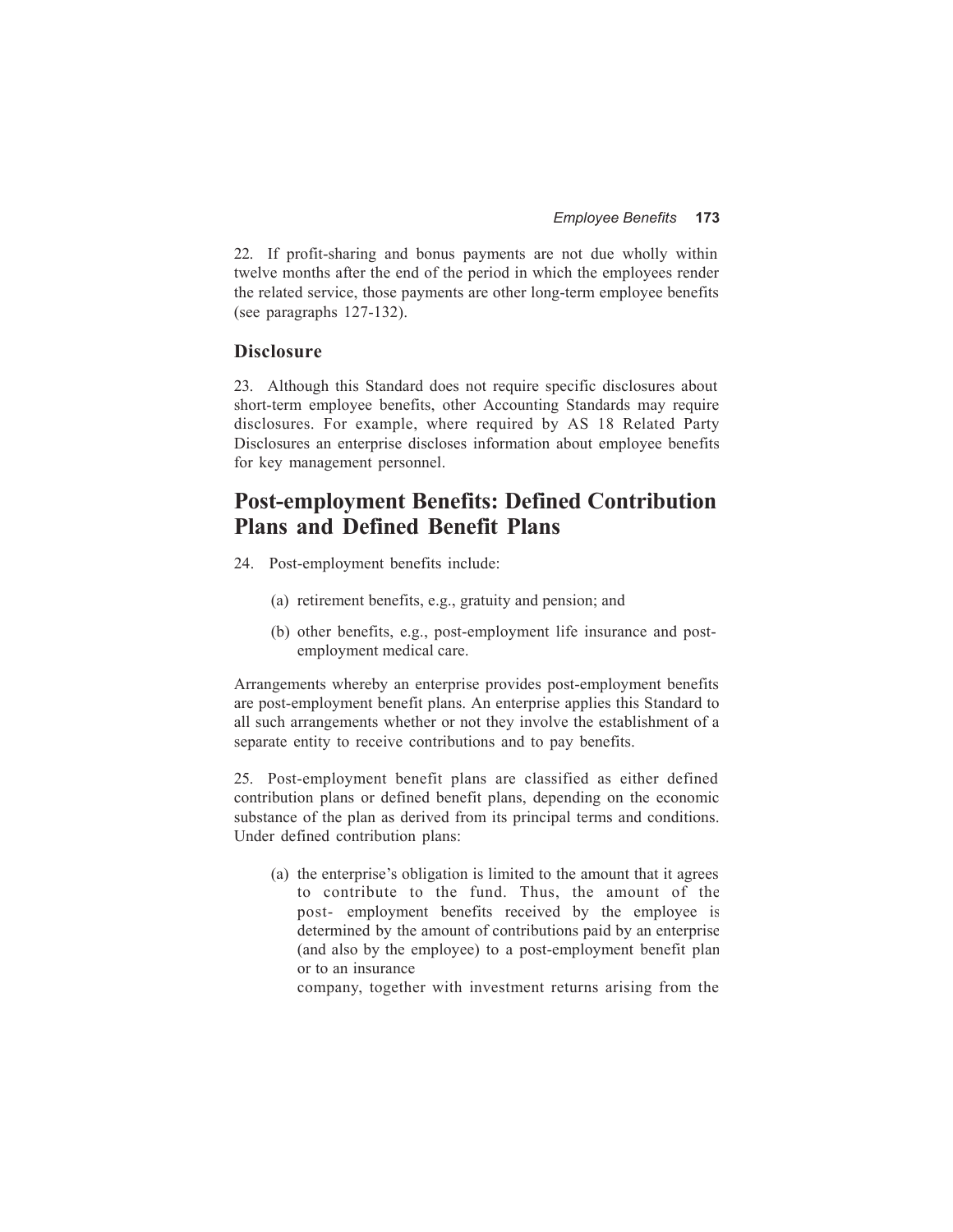22. If profit-sharing and bonus payments are not due wholly within twelve months after the end of the period in which the employees render the related service, those payments are other long-term employee benefits (see paragraphs 127-132).

#### **Disclosure**

23. Although this Standard does not require specific disclosures about short-term employee benefits, other Accounting Standards may require disclosures. For example, where required by AS 18 Related Party Disclosures an enterprise discloses information about employee benefits for key management personnel.

# **Post-employment Benefits: Defined Contribution Plans and Defined Benefit Plans**

- 24. Post-employment benefits include:
	- (a) retirement benefits, e.g., gratuity and pension; and
	- (b) other benefits, e.g., post-employment life insurance and postemployment medical care.

Arrangements whereby an enterprise provides post-employment benefits are post-employment benefit plans. An enterprise applies this Standard to all such arrangements whether or not they involve the establishment of a separate entity to receive contributions and to pay benefits.

25. Post-employment benefit plans are classified as either defined contribution plans or defined benefit plans, depending on the economic substance of the plan as derived from its principal terms and conditions. Under defined contribution plans:

(a) the enterprise's obligation is limited to the amount that it agrees to contribute to the fund. Thus, the amount of the post- employment benefits received by the employee is determined by the amount of contributions paid by an enterprise (and also by the employee) to a post-employment benefit plan or to an insurance

company, together with investment returns arising from the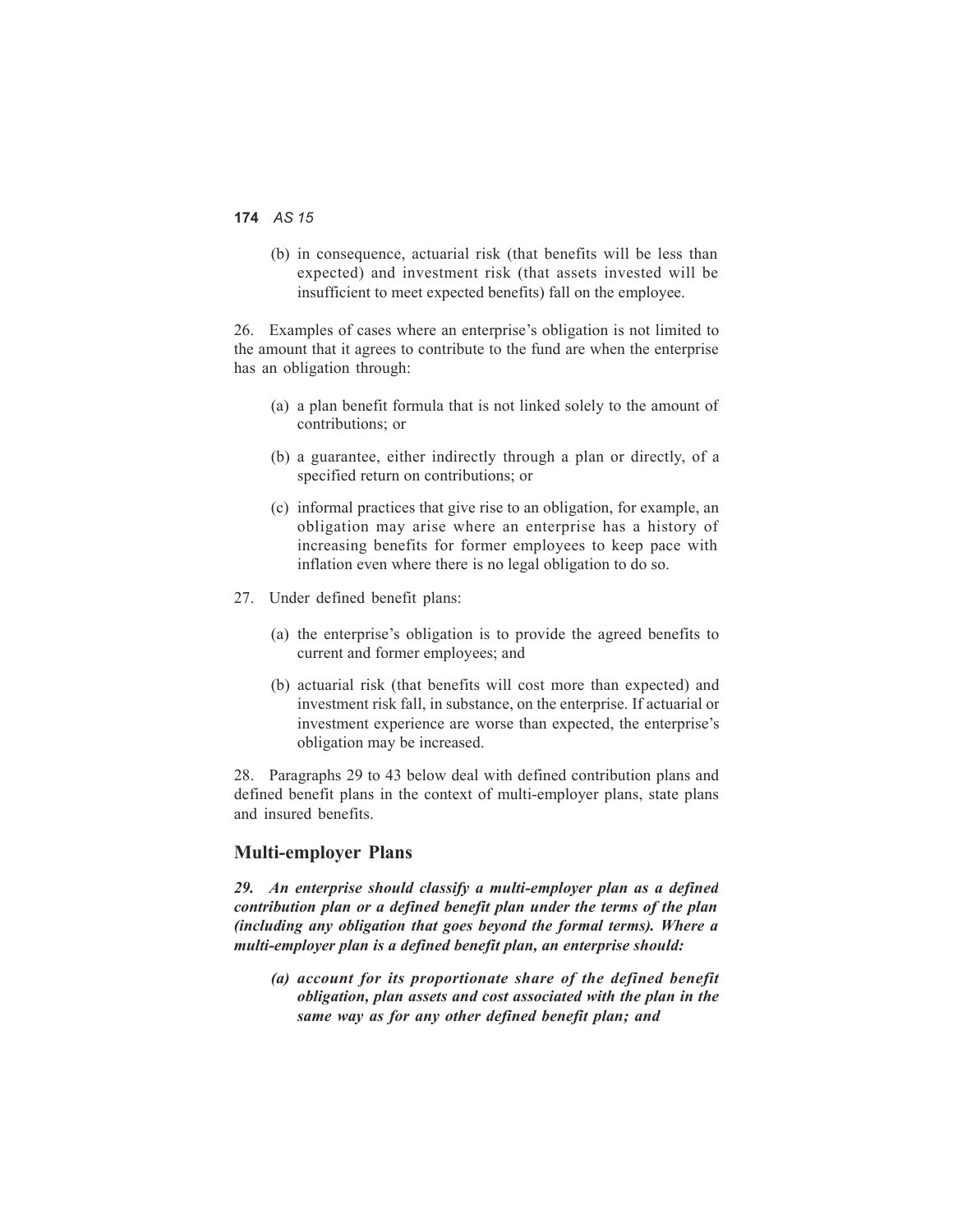(b) in consequence, actuarial risk (that benefits will be less than expected) and investment risk (that assets invested will be insufficient to meet expected benefits) fall on the employee.

26. Examples of cases where an enterprise's obligation is not limited to the amount that it agrees to contribute to the fund are when the enterprise has an obligation through:

- (a) a plan benefit formula that is not linked solely to the amount of contributions; or
- (b) a guarantee, either indirectly through a plan or directly, of a specified return on contributions; or
- (c) informal practices that give rise to an obligation, for example, an obligation may arise where an enterprise has a history of increasing benefits for former employees to keep pace with inflation even where there is no legal obligation to do so.
- 27. Under defined benefit plans:
	- (a) the enterprise's obligation is to provide the agreed benefits to current and former employees; and
	- (b) actuarial risk (that benefits will cost more than expected) and investment risk fall, in substance, on the enterprise. If actuarial or investment experience are worse than expected, the enterprise's obligation may be increased.

28. Paragraphs 29 to 43 below deal with defined contribution plans and defined benefit plans in the context of multi-employer plans, state plans and insured benefits.

#### **Multi-employer Plans**

*29. An enterprise should classify a multi-employer plan as a defined contribution plan or a defined benefit plan under the terms of the plan (including any obligation that goes beyond the formal terms). Where a multi-employer plan is a defined benefit plan, an enterprise should:*

*(a) account for its proportionate share of the defined benefit obligation, plan assets and cost associated with the plan in the same way as for any other defined benefit plan; and*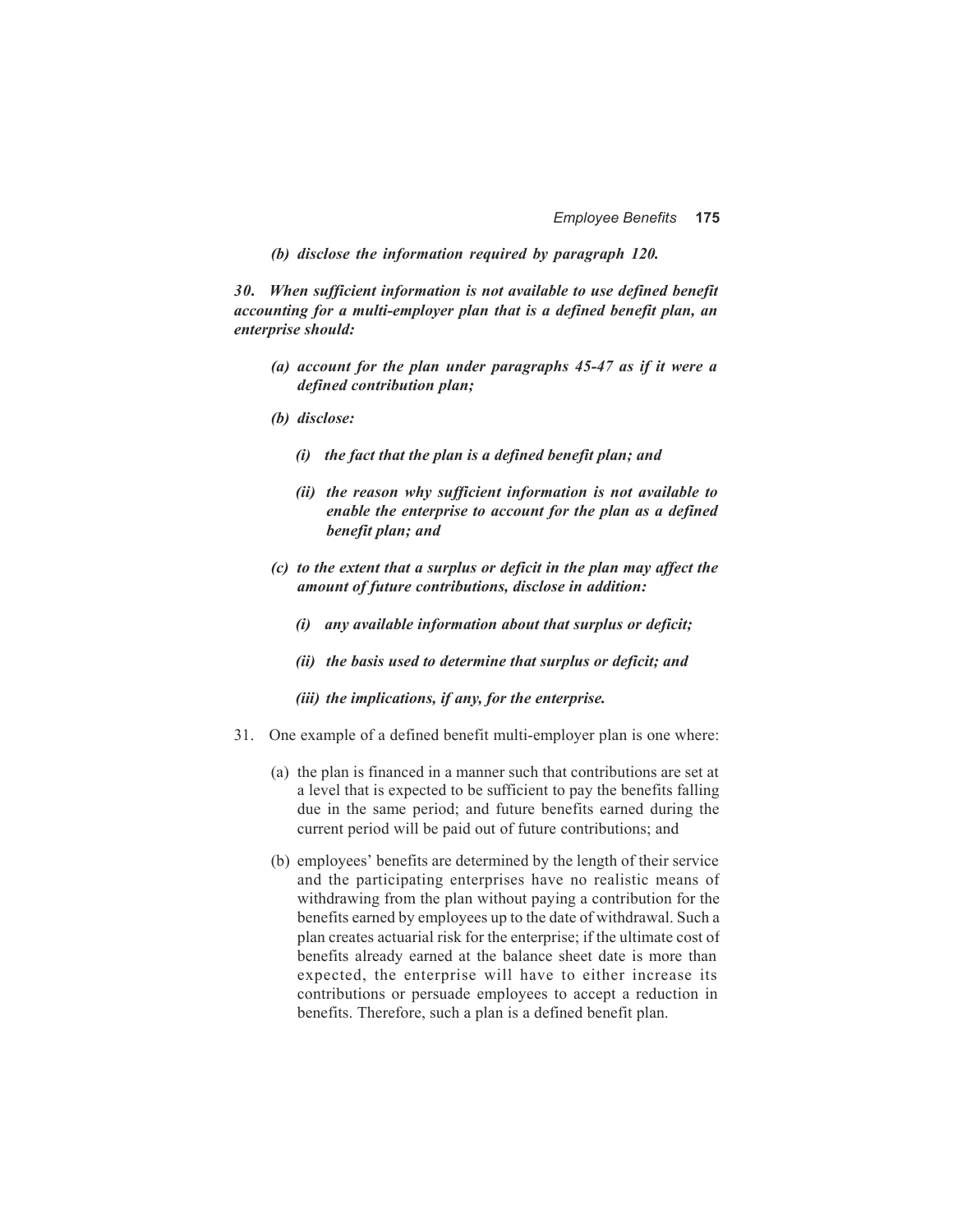*(b) disclose the information required by paragraph 120.*

*30. When sufficient information is not available to use defined benefit accounting for a multi-employer plan that is a defined benefit plan, an enterprise should:*

- *(a) account for the plan under paragraphs 45-47 as if it were a defined contribution plan;*
- *(b) disclose:*
	- *(i) the fact that the plan is a defined benefit plan; and*
	- *(ii) the reason why sufficient information is not available to enable the enterprise to account for the plan as a defined benefit plan; and*
- *(c) to the extent that a surplus or deficit in the plan may affect the amount of future contributions, disclose in addition:*
	- *(i) any available information about that surplus or deficit;*
	- *(ii) the basis used to determine that surplus or deficit; and*
	- *(iii) the implications, if any, for the enterprise.*
- 31. One example of a defined benefit multi-employer plan is one where:
	- (a) the plan is financed in a manner such that contributions are set at a level that is expected to be sufficient to pay the benefits falling due in the same period; and future benefits earned during the current period will be paid out of future contributions; and
	- (b) employees' benefits are determined by the length of their service and the participating enterprises have no realistic means of withdrawing from the plan without paying a contribution for the benefits earned by employees up to the date of withdrawal. Such a plan creates actuarial risk for the enterprise; if the ultimate cost of benefits already earned at the balance sheet date is more than expected, the enterprise will have to either increase its contributions or persuade employees to accept a reduction in benefits. Therefore, such a plan is a defined benefit plan.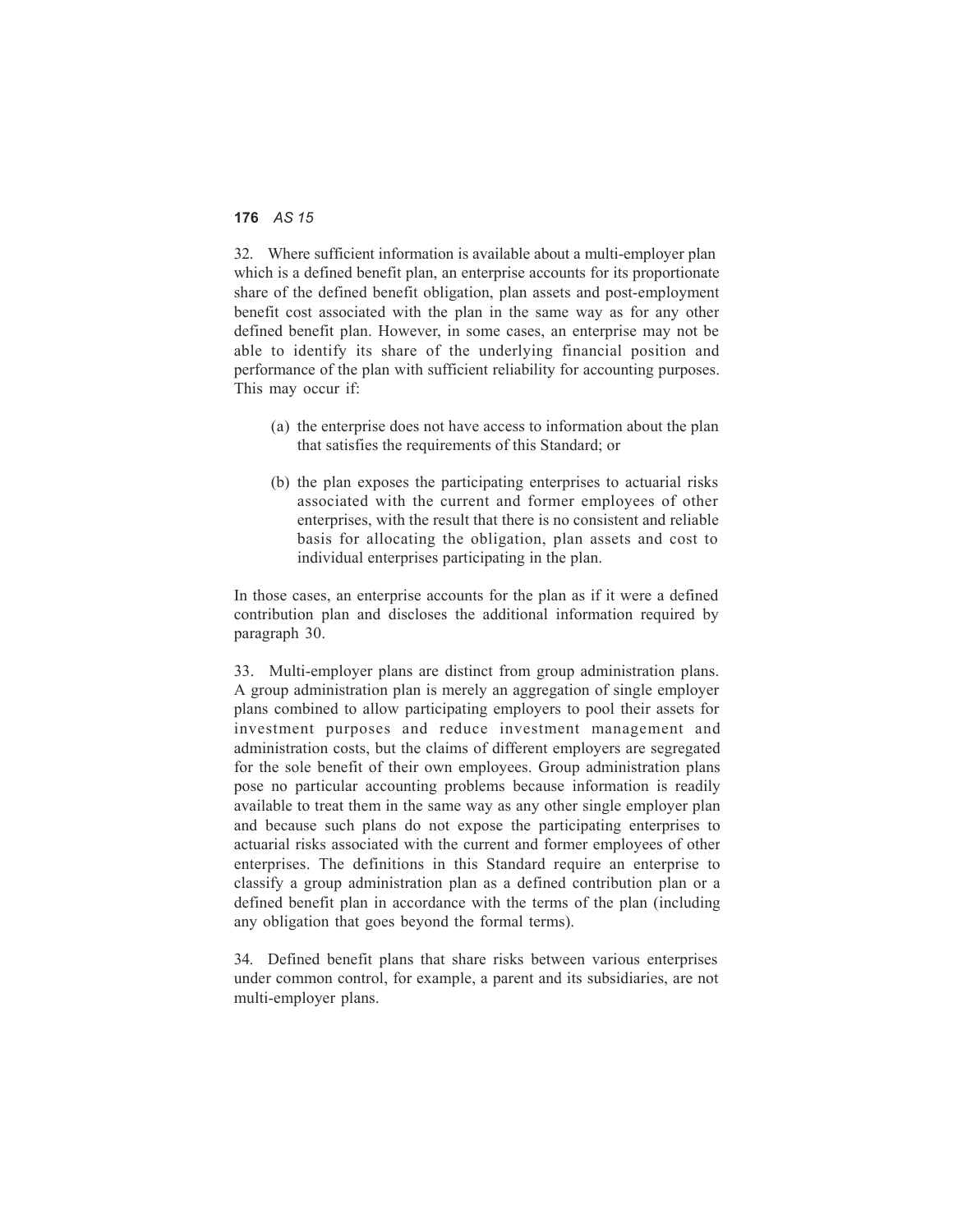32. Where sufficient information is available about a multi-employer plan which is a defined benefit plan, an enterprise accounts for its proportionate share of the defined benefit obligation, plan assets and post-employment benefit cost associated with the plan in the same way as for any other defined benefit plan. However, in some cases, an enterprise may not be able to identify its share of the underlying financial position and performance of the plan with sufficient reliability for accounting purposes. This may occur if:

- (a) the enterprise does not have access to information about the plan that satisfies the requirements of this Standard; or
- (b) the plan exposes the participating enterprises to actuarial risks associated with the current and former employees of other enterprises, with the result that there is no consistent and reliable basis for allocating the obligation, plan assets and cost to individual enterprises participating in the plan.

In those cases, an enterprise accounts for the plan as if it were a defined contribution plan and discloses the additional information required by paragraph 30.

33. Multi-employer plans are distinct from group administration plans. A group administration plan is merely an aggregation of single employer plans combined to allow participating employers to pool their assets for investment purposes and reduce investment management and administration costs, but the claims of different employers are segregated for the sole benefit of their own employees. Group administration plans pose no particular accounting problems because information is readily available to treat them in the same way as any other single employer plan and because such plans do not expose the participating enterprises to actuarial risks associated with the current and former employees of other enterprises. The definitions in this Standard require an enterprise to classify a group administration plan as a defined contribution plan or a defined benefit plan in accordance with the terms of the plan (including any obligation that goes beyond the formal terms).

34. Defined benefit plans that share risks between various enterprises under common control, for example, a parent and its subsidiaries, are not multi-employer plans.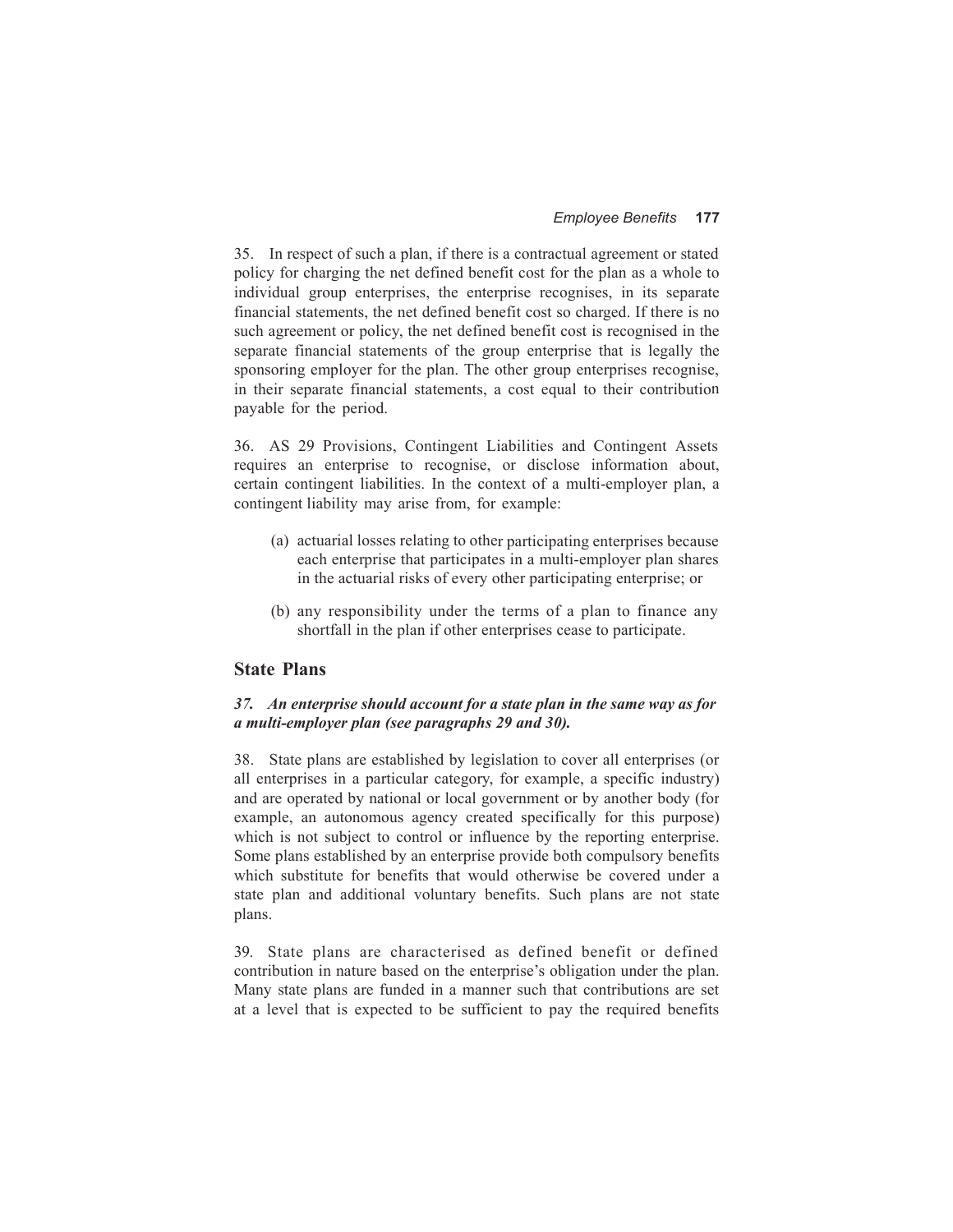35. In respect of such a plan, if there is a contractual agreement or stated policy for charging the net defined benefit cost for the plan as a whole to individual group enterprises, the enterprise recognises, in its separate financial statements, the net defined benefit cost so charged. If there is no such agreement or policy, the net defined benefit cost is recognised in the separate financial statements of the group enterprise that is legally the sponsoring employer for the plan. The other group enterprises recognise, in their separate financial statements, a cost equal to their contribution payable for the period.

36. AS 29 Provisions, Contingent Liabilities and Contingent Assets requires an enterprise to recognise, or disclose information about, certain contingent liabilities. In the context of a multi-employer plan, a contingent liability may arise from, for example:

- (a) actuarial losses relating to other participating enterprises because each enterprise that participates in a multi-employer plan shares in the actuarial risks of every other participating enterprise; or
- (b) any responsibility under the terms of a plan to finance any shortfall in the plan if other enterprises cease to participate.

### **State Plans**

#### *37. An enterprise should account for a state plan in the same way as for a multi-employer plan (see paragraphs 29 and 30).*

38. State plans are established by legislation to cover all enterprises (or all enterprises in a particular category, for example, a specific industry) and are operated by national or local government or by another body (for example, an autonomous agency created specifically for this purpose) which is not subject to control or influence by the reporting enterprise. Some plans established by an enterprise provide both compulsory benefits which substitute for benefits that would otherwise be covered under a state plan and additional voluntary benefits. Such plans are not state plans.

39. State plans are characterised as defined benefit or defined contribution in nature based on the enterprise's obligation under the plan. Many state plans are funded in a manner such that contributions are set at a level that is expected to be sufficient to pay the required benefits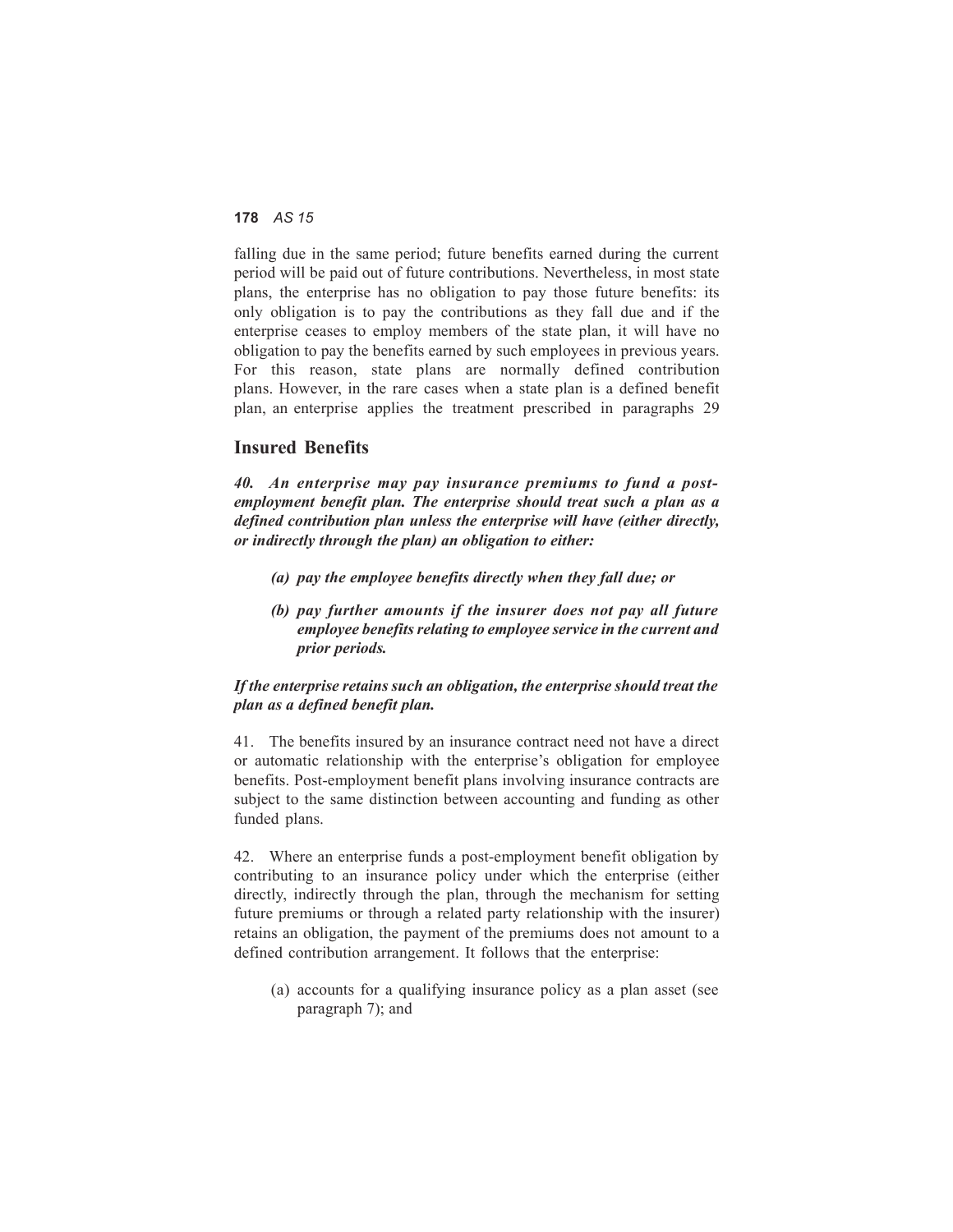falling due in the same period; future benefits earned during the current period will be paid out of future contributions. Nevertheless, in most state plans, the enterprise has no obligation to pay those future benefits: its only obligation is to pay the contributions as they fall due and if the enterprise ceases to employ members of the state plan, it will have no obligation to pay the benefits earned by such employees in previous years. For this reason, state plans are normally defined contribution plans. However, in the rare cases when a state plan is a defined benefit plan, an enterprise applies the treatment prescribed in paragraphs 29

#### **Insured Benefits**

*40. An enterprise may pay insurance premiums to fund a postemployment benefit plan. The enterprise should treat such a plan as a defined contribution plan unless the enterprise will have (either directly, or indirectly through the plan) an obligation to either:*

- *(a) pay the employee benefits directly when they fall due; or*
- *(b) pay further amounts if the insurer does not pay all future employee benefits relating to employee service in the current and prior periods.*

#### *If the enterprise retains such an obligation, the enterprise should treat the plan as a defined benefit plan.*

41. The benefits insured by an insurance contract need not have a direct or automatic relationship with the enterprise's obligation for employee benefits. Post-employment benefit plans involving insurance contracts are subject to the same distinction between accounting and funding as other funded plans.

42. Where an enterprise funds a post-employment benefit obligation by contributing to an insurance policy under which the enterprise (either directly, indirectly through the plan, through the mechanism for setting future premiums or through a related party relationship with the insurer) retains an obligation, the payment of the premiums does not amount to a defined contribution arrangement. It follows that the enterprise:

(a) accounts for a qualifying insurance policy as a plan asset (see paragraph 7); and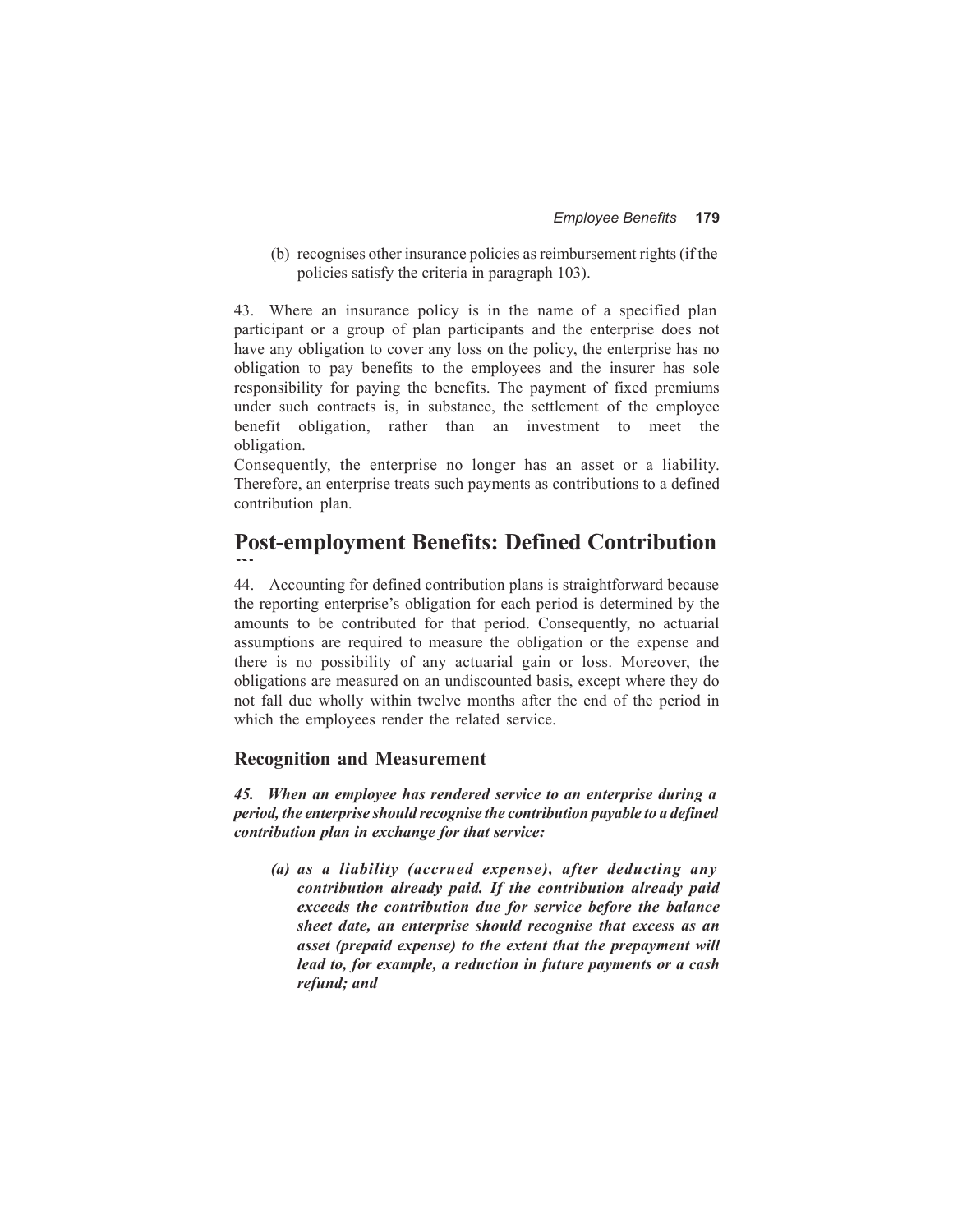(b) recognises other insurance policies as reimbursement rights (if the policies satisfy the criteria in paragraph 103).

43. Where an insurance policy is in the name of a specified plan participant or a group of plan participants and the enterprise does not have any obligation to cover any loss on the policy, the enterprise has no obligation to pay benefits to the employees and the insurer has sole responsibility for paying the benefits. The payment of fixed premiums under such contracts is, in substance, the settlement of the employee benefit obligation, rather than an investment to meet the obligation.

Consequently, the enterprise no longer has an asset or a liability. Therefore, an enterprise treats such payments as contributions to a defined contribution plan.

# **Post-employment Benefits: Defined Contribution Pl**

44. Accounting for defined contribution plans is straightforward because the reporting enterprise's obligation for each period is determined by the amounts to be contributed for that period. Consequently, no actuarial assumptions are required to measure the obligation or the expense and there is no possibility of any actuarial gain or loss. Moreover, the obligations are measured on an undiscounted basis, except where they do not fall due wholly within twelve months after the end of the period in which the employees render the related service.

#### **Recognition and Measurement**

*45. When an employee has rendered service to an enterprise during a period, the enterprise should recognise the contribution payable to a defined contribution plan in exchange for that service:*

*(a) as a liability (accrued expense), after deducting any contribution already paid. If the contribution already paid exceeds the contribution due for service before the balance sheet date, an enterprise should recognise that excess as an asset (prepaid expense) to the extent that the prepayment will lead to, for example, a reduction in future payments or a cash refund; and*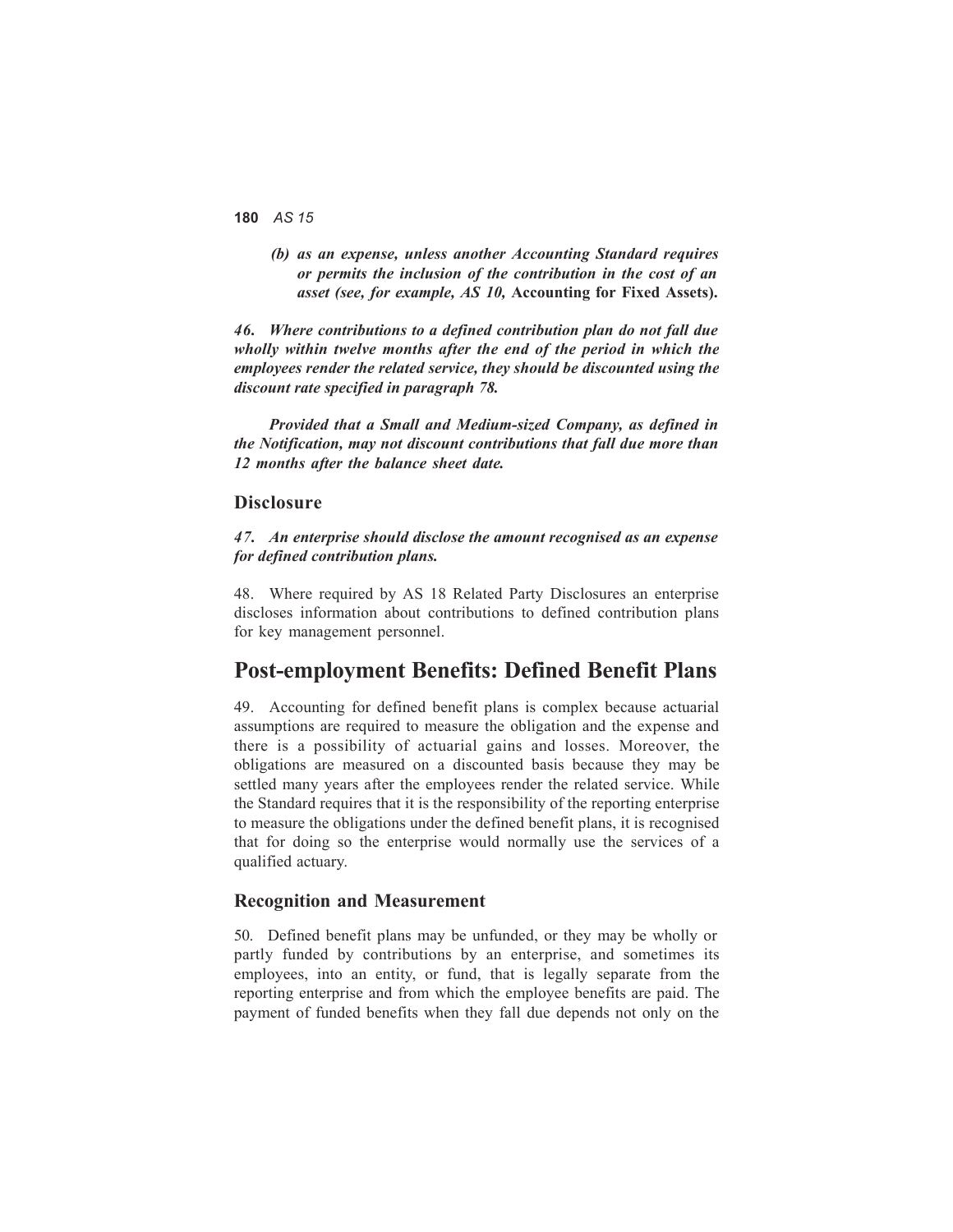*(b) as an expense, unless another Accounting Standard requires or permits the inclusion of the contribution in the cost of an asset (see, for example, AS 10,* **Accounting for Fixed Assets).**

*46. Where contributions to a defined contribution plan do not fall due wholly within twelve months after the end of the period in which the employees render the related service, they should be discounted using the discount rate specified in paragraph 78.*

*Provided that a Small and Medium-sized Company, as defined in the Notification, may not discount contributions that fall due more than 12 months after the balance sheet date.*

#### **Disclosure**

*47. An enterprise should disclose the amount recognised as an expense for defined contribution plans.*

48. Where required by AS 18 Related Party Disclosures an enterprise discloses information about contributions to defined contribution plans for key management personnel.

## **Post-employment Benefits: Defined Benefit Plans**

49. Accounting for defined benefit plans is complex because actuarial assumptions are required to measure the obligation and the expense and there is a possibility of actuarial gains and losses. Moreover, the obligations are measured on a discounted basis because they may be settled many years after the employees render the related service. While the Standard requires that it is the responsibility of the reporting enterprise to measure the obligations under the defined benefit plans, it is recognised that for doing so the enterprise would normally use the services of a qualified actuary.

#### **Recognition and Measurement**

50. Defined benefit plans may be unfunded, or they may be wholly or partly funded by contributions by an enterprise, and sometimes its employees, into an entity, or fund, that is legally separate from the reporting enterprise and from which the employee benefits are paid. The payment of funded benefits when they fall due depends not only on the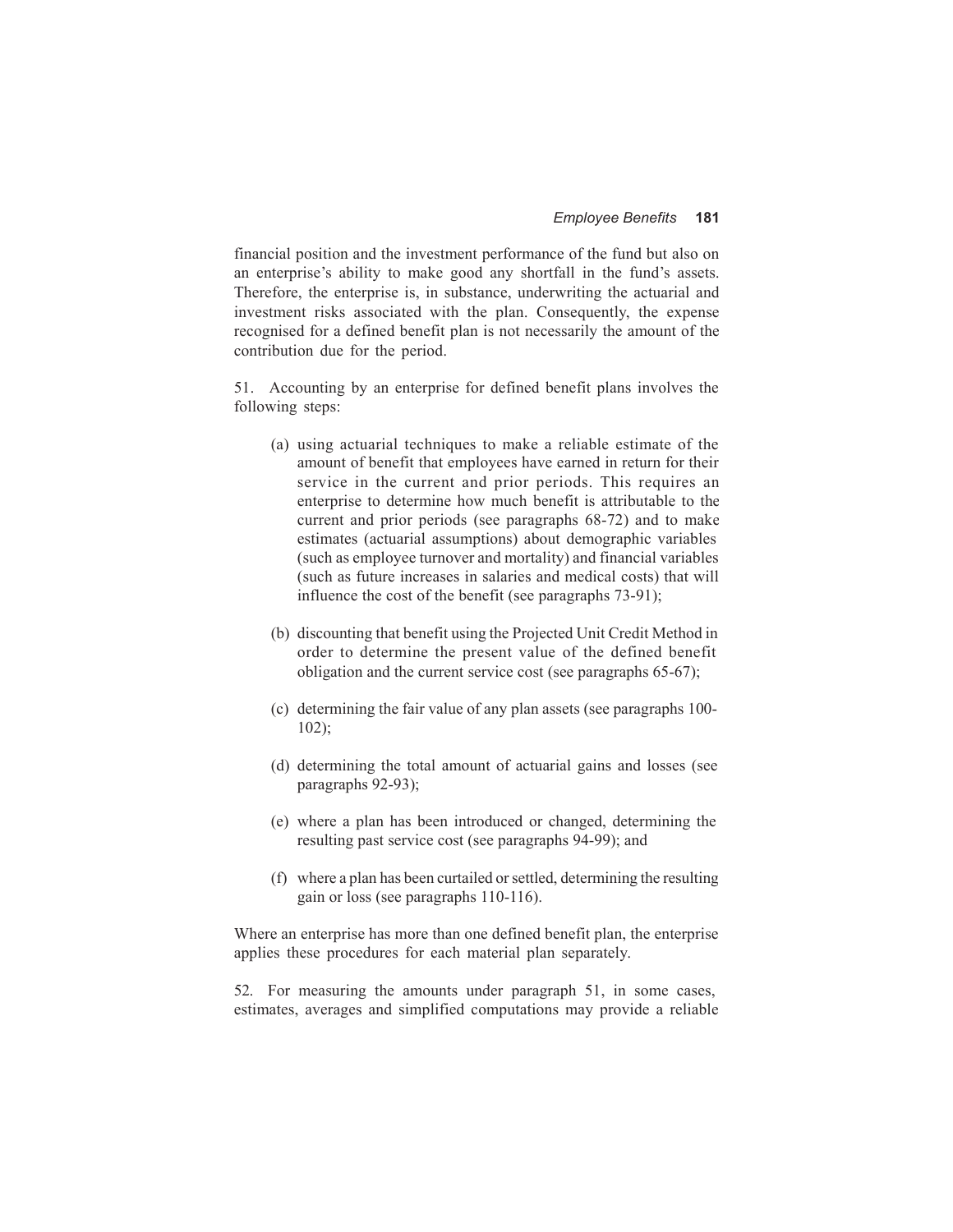financial position and the investment performance of the fund but also on an enterprise's ability to make good any shortfall in the fund's assets. Therefore, the enterprise is, in substance, underwriting the actuarial and investment risks associated with the plan. Consequently, the expense recognised for a defined benefit plan is not necessarily the amount of the contribution due for the period.

51. Accounting by an enterprise for defined benefit plans involves the following steps:

- (a) using actuarial techniques to make a reliable estimate of the amount of benefit that employees have earned in return for their service in the current and prior periods. This requires an enterprise to determine how much benefit is attributable to the current and prior periods (see paragraphs 68-72) and to make estimates (actuarial assumptions) about demographic variables (such as employee turnover and mortality) and financial variables (such as future increases in salaries and medical costs) that will influence the cost of the benefit (see paragraphs 73-91);
- (b) discounting that benefit using the Projected Unit Credit Method in order to determine the present value of the defined benefit obligation and the current service cost (see paragraphs 65-67);
- (c) determining the fair value of any plan assets (see paragraphs 100- 102);
- (d) determining the total amount of actuarial gains and losses (see paragraphs 92-93);
- (e) where a plan has been introduced or changed, determining the resulting past service cost (see paragraphs 94-99); and
- (f) where a plan has been curtailed orsettled, determining the resulting gain or loss (see paragraphs 110-116).

Where an enterprise has more than one defined benefit plan, the enterprise applies these procedures for each material plan separately.

52. For measuring the amounts under paragraph 51, in some cases, estimates, averages and simplified computations may provide a reliable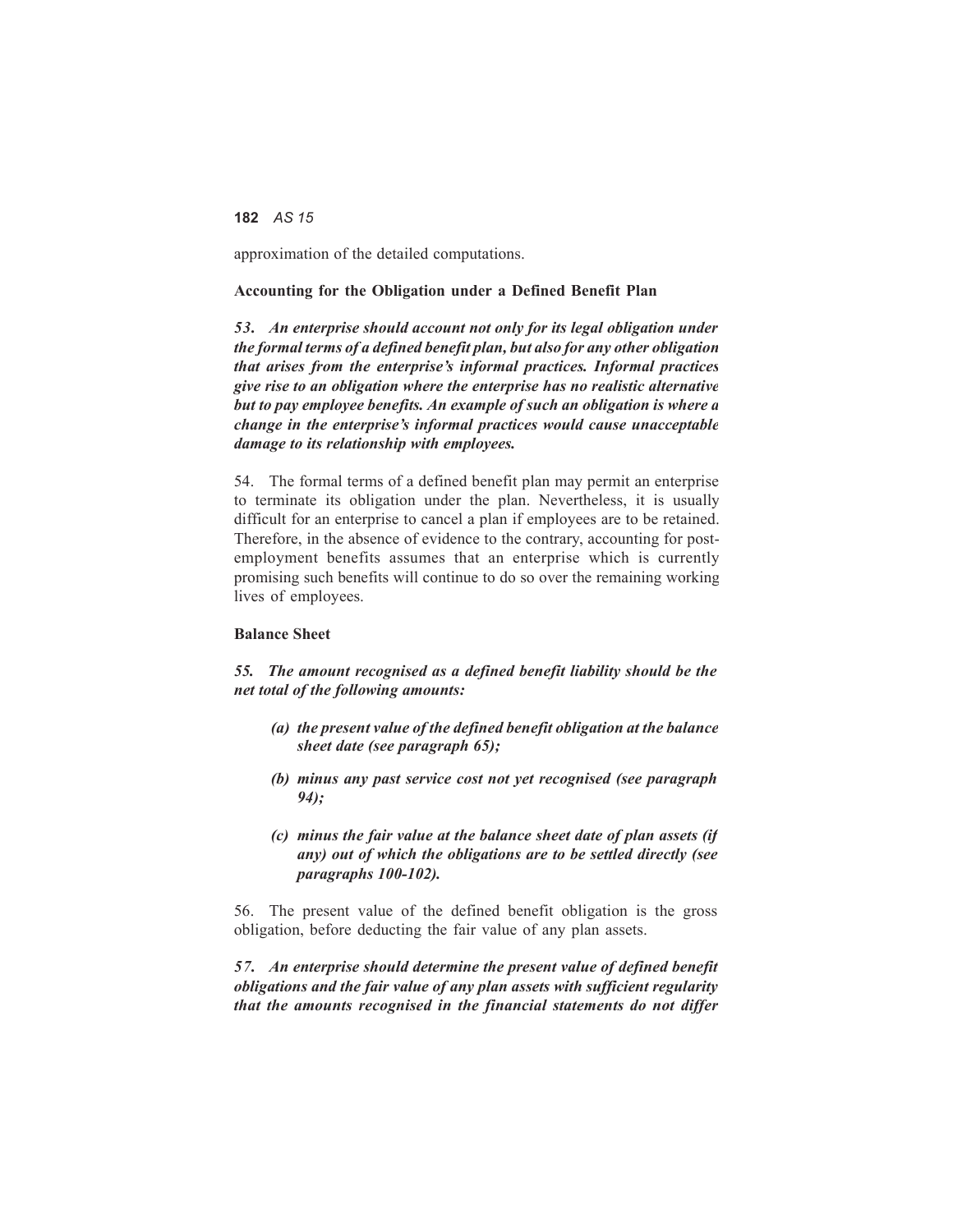approximation of the detailed computations.

#### **Accounting for the Obligation under a Defined Benefit Plan**

*53. An enterprise should account not only for its legal obligation under the formal terms of a defined benefit plan, but also for any other obligation that arises from the enterprise's informal practices. Informal practices give rise to an obligation where the enterprise has no realistic alternative but to pay employee benefits. An example of such an obligation is where a change in the enterprise's informal practices would cause unacceptable damage to its relationship with employees.*

54. The formal terms of a defined benefit plan may permit an enterprise to terminate its obligation under the plan. Nevertheless, it is usually difficult for an enterprise to cancel a plan if employees are to be retained. Therefore, in the absence of evidence to the contrary, accounting for postemployment benefits assumes that an enterprise which is currently promising such benefits will continue to do so over the remaining working lives of employees.

#### **Balance Sheet**

*55. The amount recognised as a defined benefit liability should be the net total of the following amounts:*

- *(a) the present value of the defined benefit obligation at the balance sheet date (see paragraph 65);*
- *(b) minus any past service cost not yet recognised (see paragraph 94);*
- *(c) minus the fair value at the balance sheet date of plan assets (if any) out of which the obligations are to be settled directly (see paragraphs 100-102).*

56. The present value of the defined benefit obligation is the gross obligation, before deducting the fair value of any plan assets.

*57. An enterprise should determine the present value of defined benefit obligations and the fair value of any plan assets with sufficient regularity that the amounts recognised in the financial statements do not differ*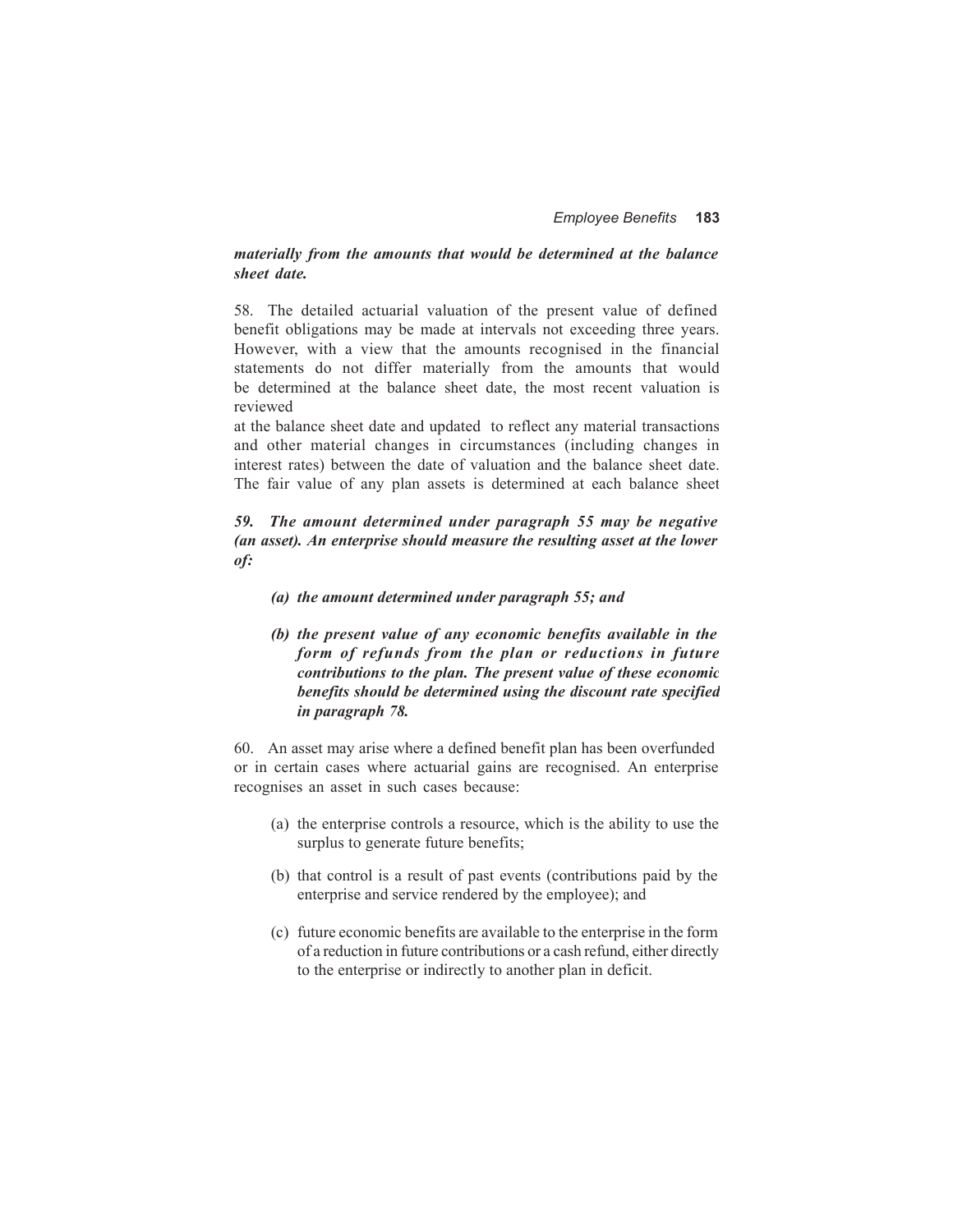#### *materially from the amounts that would be determined at the balance sheet date.*

58. The detailed actuarial valuation of the present value of defined benefit obligations may be made at intervals not exceeding three years. However, with a view that the amounts recognised in the financial statements do not differ materially from the amounts that would be determined at the balance sheet date, the most recent valuation is reviewed

at the balance sheet date and updated to reflect any material transactions and other material changes in circumstances (including changes in interest rates) between the date of valuation and the balance sheet date. The fair value of any plan assets is determined at each balance sheet

*59. The amount determined under paragraph 55 may be negative (an asset). An enterprise should measure the resulting asset at the lower of:*

- *(a) the amount determined under paragraph 55; and*
- *(b) the present value of any economic benefits available in the form of refunds from the plan or reductions in future contributions to the plan. The present value of these economic benefits should be determined using the discount rate specified in paragraph 78.*

60. An asset may arise where a defined benefit plan has been overfunded or in certain cases where actuarial gains are recognised. An enterprise recognises an asset in such cases because:

- (a) the enterprise controls a resource, which is the ability to use the surplus to generate future benefits;
- (b) that control is a result of past events (contributions paid by the enterprise and service rendered by the employee); and
- (c) future economic benefits are available to the enterprise in the form of a reduction in future contributions or a cash refund, either directly to the enterprise or indirectly to another plan in deficit.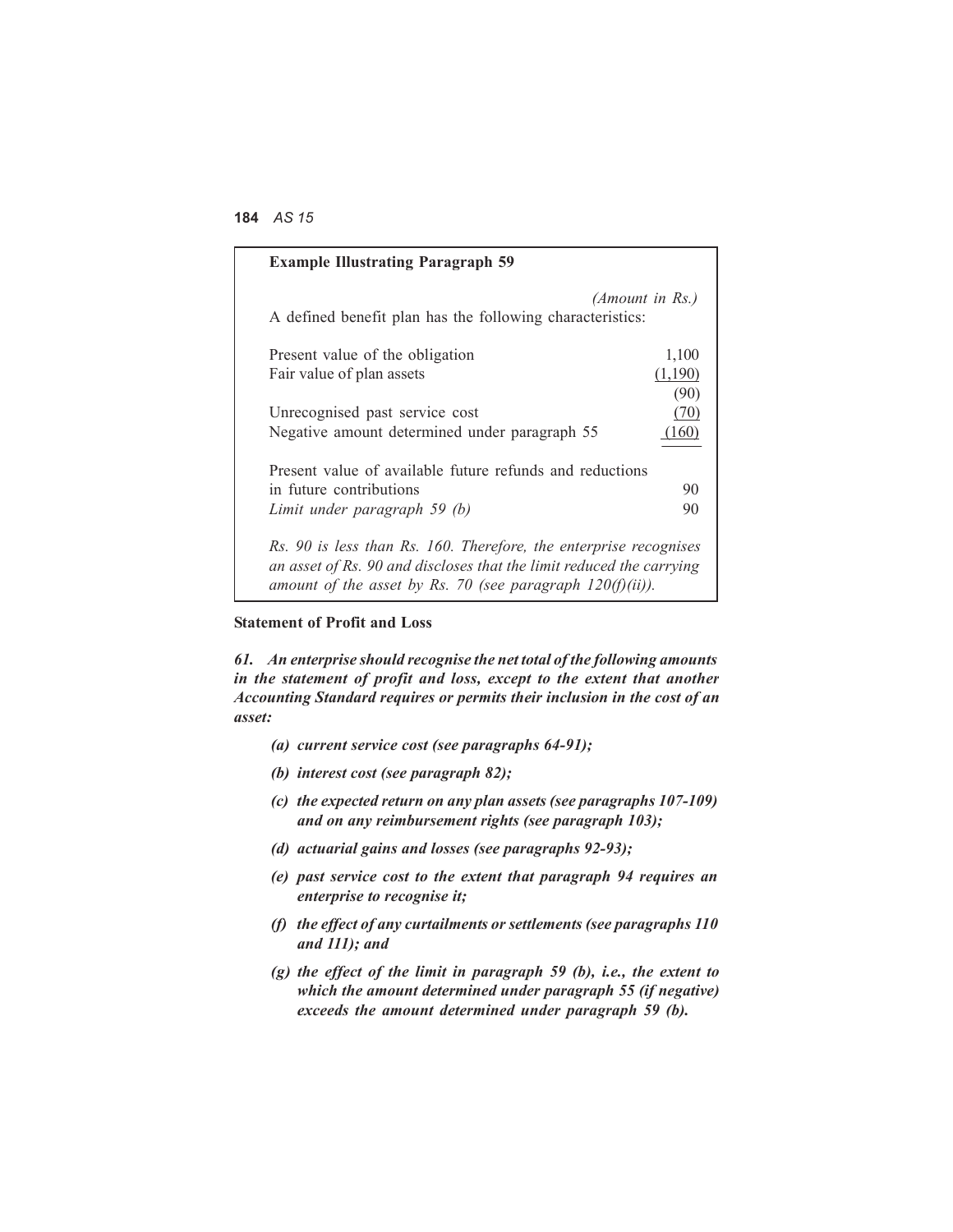| <b>Example Illustrating Paragraph 59</b>                                        |                          |
|---------------------------------------------------------------------------------|--------------------------|
| A defined benefit plan has the following characteristics:                       | <i>(Amount in Rs.)</i>   |
| Present value of the obligation<br>Fair value of plan assets                    | 1,100<br>(1,190)<br>(90) |
| Unrecognised past service cost<br>Negative amount determined under paragraph 55 | (70)<br>160)             |
| Present value of available future refunds and reductions                        |                          |
| in future contributions                                                         | 90                       |
| Limit under paragraph 59 (b)                                                    | 90                       |

#### **Statement of Profit and Loss**

*61. An enterprise should recognise the net total of the following amounts in the statement of profit and loss, except to the extent that another Accounting Standard requires or permits their inclusion in the cost of an asset:*

- *(a) current service cost (see paragraphs 64-91);*
- *(b) interest cost (see paragraph 82);*
- *(c) the expected return on any plan assets (see paragraphs 107-109) and on any reimbursement rights (see paragraph 103);*
- *(d) actuarial gains and losses (see paragraphs 92-93);*
- *(e) past service cost to the extent that paragraph 94 requires an enterprise to recognise it;*
- *(f) the effect of any curtailments or settlements (see paragraphs 110 and 111); and*
- *(g) the effect of the limit in paragraph 59 (b), i.e., the extent to which the amount determined under paragraph 55 (if negative) exceeds the amount determined under paragraph 59 (b).*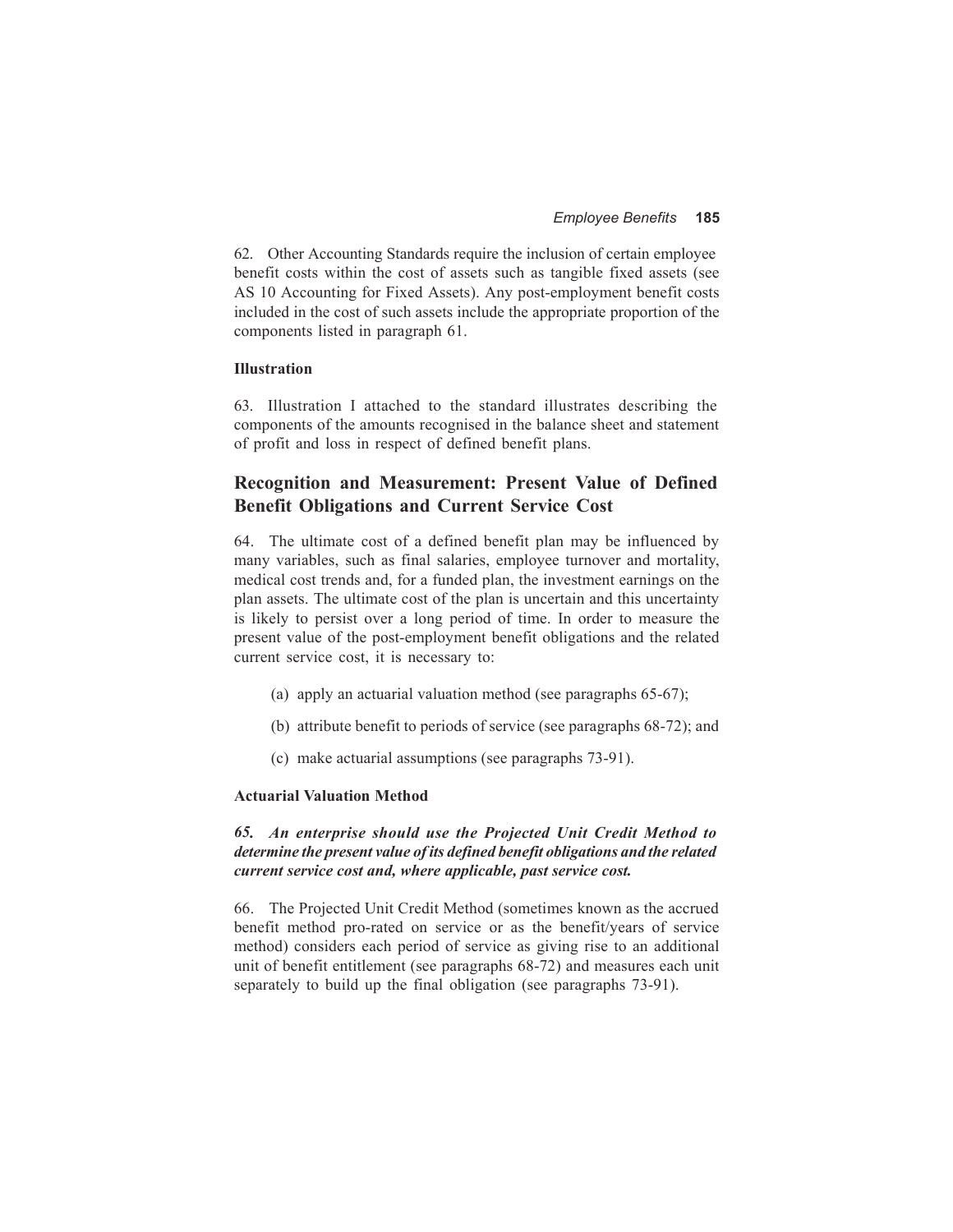62. Other Accounting Standards require the inclusion of certain employee benefit costs within the cost of assets such as tangible fixed assets (see AS 10 Accounting for Fixed Assets). Any post-employment benefit costs included in the cost of such assets include the appropriate proportion of the components listed in paragraph 61.

#### **Illustration**

63. Illustration I attached to the standard illustrates describing the components of the amounts recognised in the balance sheet and statement of profit and loss in respect of defined benefit plans.

### **Recognition and Measurement: Present Value of Defined Benefit Obligations and Current Service Cost**

64. The ultimate cost of a defined benefit plan may be influenced by many variables, such as final salaries, employee turnover and mortality, medical cost trends and, for a funded plan, the investment earnings on the plan assets. The ultimate cost of the plan is uncertain and this uncertainty is likely to persist over a long period of time. In order to measure the present value of the post-employment benefit obligations and the related current service cost, it is necessary to:

- (a) apply an actuarial valuation method (see paragraphs 65-67);
- (b) attribute benefit to periods of service (see paragraphs 68-72); and
- (c) make actuarial assumptions (see paragraphs 73-91).

#### **Actuarial Valuation Method**

*65. An enterprise should use the Projected Unit Credit Method to determine the present value of its defined benefit obligations and the related current service cost and, where applicable, past service cost.*

66. The Projected Unit Credit Method (sometimes known as the accrued benefit method pro-rated on service or as the benefit/years of service method) considers each period of service as giving rise to an additional unit of benefit entitlement (see paragraphs 68-72) and measures each unit separately to build up the final obligation (see paragraphs 73-91).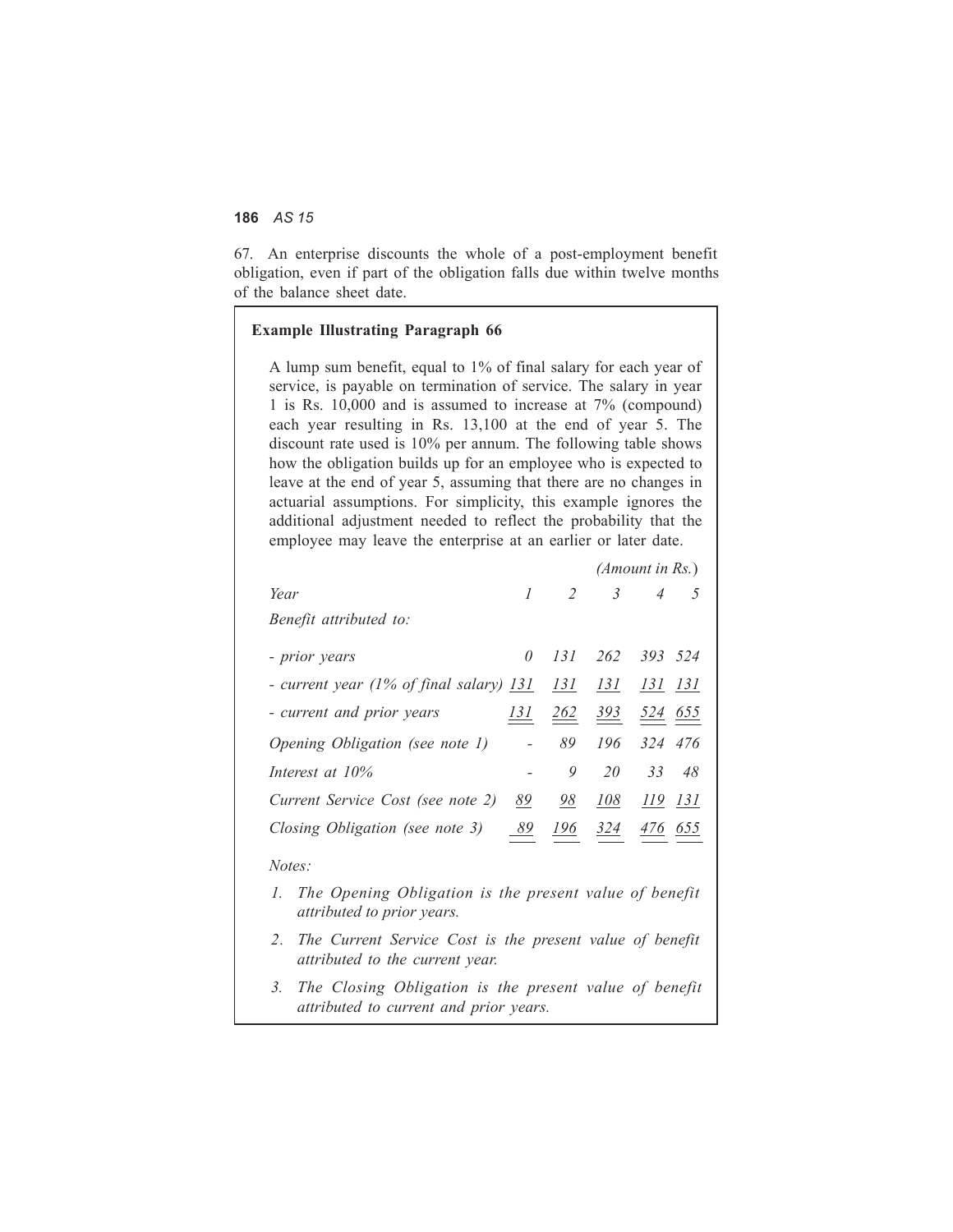67. An enterprise discounts the whole of a post-employment benefit obligation, even if part of the obligation falls due within twelve months of the balance sheet date.

#### **Example Illustrating Paragraph 66**

A lump sum benefit, equal to 1% of final salary for each year of service, is payable on termination of service. The salary in year 1 is Rs. 10,000 and is assumed to increase at 7% (compound) each year resulting in Rs. 13,100 at the end of year 5. The discount rate used is 10% per annum. The following table shows how the obligation builds up for an employee who is expected to leave at the end of year 5, assuming that there are no changes in actuarial assumptions. For simplicity, this example ignores the additional adjustment needed to reflect the probability that the employee may leave the enterprise at an earlier or later date.

|                                                                                                            |           |                |               | $(A$ <i>mount in Rs.</i> ) |    |
|------------------------------------------------------------------------------------------------------------|-----------|----------------|---------------|----------------------------|----|
| Year                                                                                                       |           | - 2            | $\mathcal{E}$ | $\overline{4}$             | .5 |
| Benefit attributed to:                                                                                     |           |                |               |                            |    |
| - prior years                                                                                              | 0         | 131            | 262           | 393 524                    |    |
| - current year (1% of final salary) 131                                                                    |           | 131            | <u>131</u>    | <u>131 131</u>             |    |
| - current and prior years                                                                                  |           |                |               | <u>131 262 393 524 655</u> |    |
| Opening Obligation (see note 1)                                                                            |           | 89             | 196           | 324 476                    |    |
| Interest at 10%                                                                                            |           | 9              | 20            | 33                         | 48 |
| Current Service Cost (see note 2)                                                                          | <u>89</u> | $\frac{98}{5}$ | <u>108</u>    | <u>119 131</u>             |    |
| Closing Obligation (see note 3)                                                                            | <u>89</u> | <u> 196</u>    | <u>324</u>    | <u>476 655</u>             |    |
| Notes:                                                                                                     |           |                |               |                            |    |
| The Opening Obligation is the present value of benefit<br>$l_{\cdot}$<br><i>attributed to prior years.</i> |           |                |               |                            |    |
| The Current Service Cost is the present value of benefit<br>2.<br>attributed to the current year.          |           |                |               |                            |    |
| The Closing Obligation is the present value of benefit<br>3.<br>attributed to current and prior years.     |           |                |               |                            |    |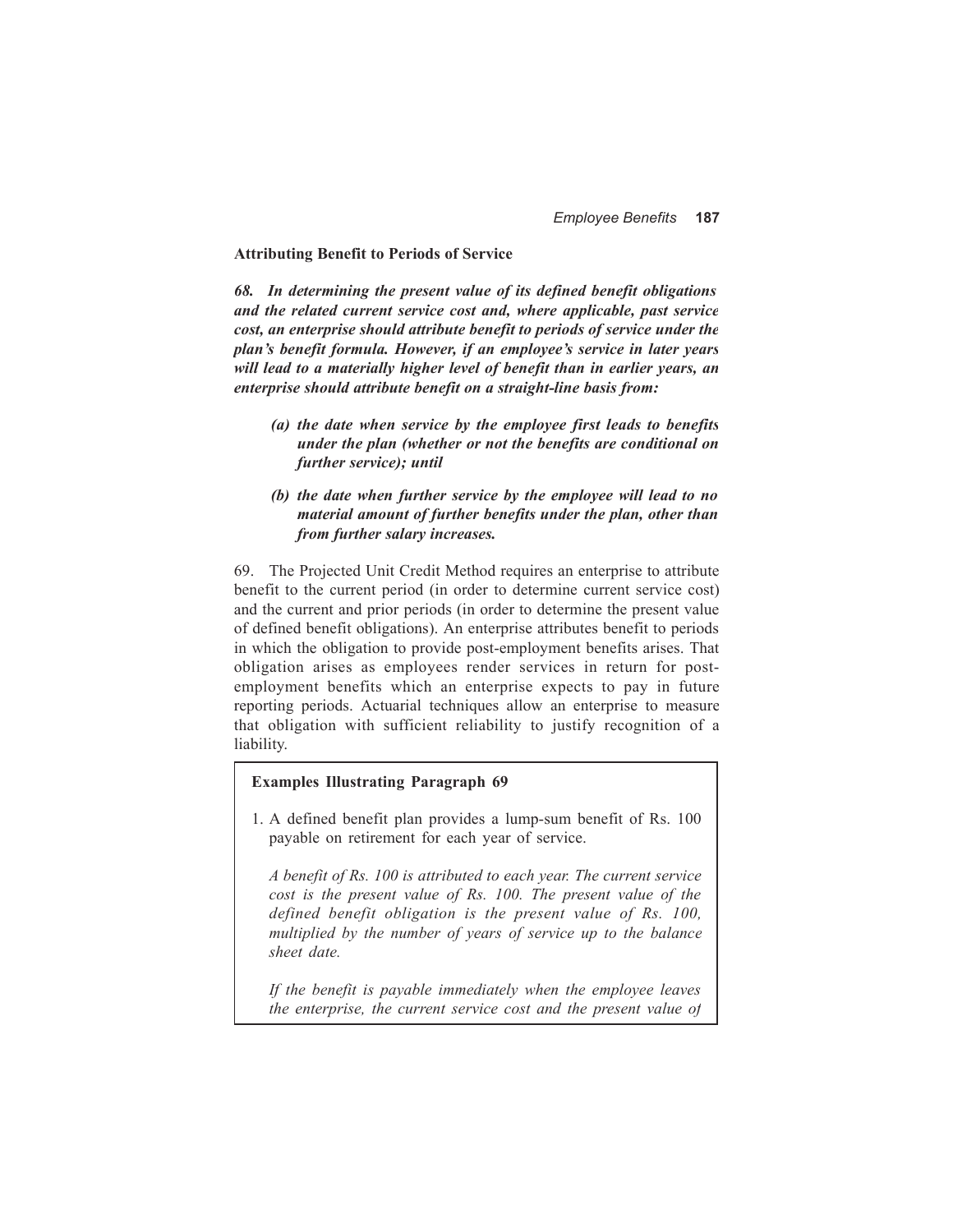#### **Attributing Benefit to Periods of Service**

*68. In determining the present value of its defined benefit obligations and the related current service cost and, where applicable, past service cost, an enterprise should attribute benefit to periods of service under the plan's benefit formula. However, if an employee's service in later years will lead to a materially higher level of benefit than in earlier years, an enterprise should attribute benefit on a straight-line basis from:*

- *(a) the date when service by the employee first leads to benefits under the plan (whether or not the benefits are conditional on further service); until*
- *(b) the date when further service by the employee will lead to no material amount of further benefits under the plan, other than from further salary increases.*

69. The Projected Unit Credit Method requires an enterprise to attribute benefit to the current period (in order to determine current service cost) and the current and prior periods (in order to determine the present value of defined benefit obligations). An enterprise attributes benefit to periods in which the obligation to provide post-employment benefits arises. That obligation arises as employees render services in return for postemployment benefits which an enterprise expects to pay in future reporting periods. Actuarial techniques allow an enterprise to measure that obligation with sufficient reliability to justify recognition of a liability.

#### **Examples Illustrating Paragraph 69**

1. A defined benefit plan provides a lump-sum benefit of Rs. 100 payable on retirement for each year of service.

*A benefit of Rs. 100 is attributed to each year. The current service cost is the present value of Rs. 100. The present value of the defined benefit obligation is the present value of Rs. 100, multiplied by the number of years of service up to the balance sheet date.*

*If the benefit is payable immediately when the employee leaves the enterprise, the current service cost and the present value of*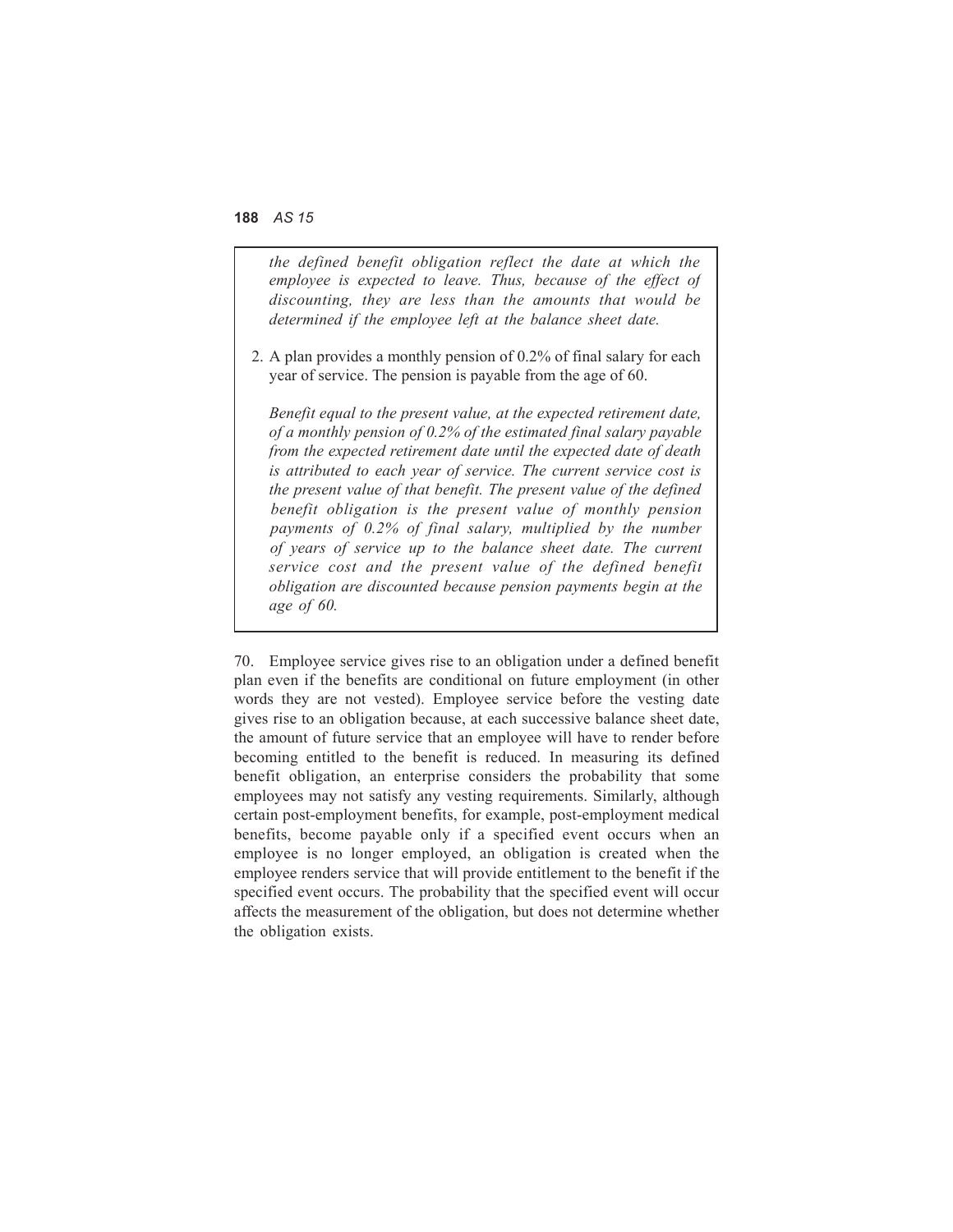*the defined benefit obligation reflect the date at which the employee is expected to leave. Thus, because of the effect of discounting, they are less than the amounts that would be determined if the employee left at the balance sheet date.*

2. A plan provides a monthly pension of 0.2% of final salary for each year of service. The pension is payable from the age of 60.

*Benefit equal to the present value, at the expected retirement date, of a monthly pension of 0.2% of the estimated final salary payable from the expected retirement date until the expected date of death is attributed to each year of service. The current service cost is the present value of that benefit. The present value of the defined benefit obligation is the present value of monthly pension payments of 0.2% of final salary, multiplied by the number of years of service up to the balance sheet date. The current service cost and the present value of the defined benefit obligation are discounted because pension payments begin at the age of 60.*

70. Employee service gives rise to an obligation under a defined benefit plan even if the benefits are conditional on future employment (in other words they are not vested). Employee service before the vesting date gives rise to an obligation because, at each successive balance sheet date, the amount of future service that an employee will have to render before becoming entitled to the benefit is reduced. In measuring its defined benefit obligation, an enterprise considers the probability that some employees may not satisfy any vesting requirements. Similarly, although certain post-employment benefits, for example, post-employment medical benefits, become payable only if a specified event occurs when an employee is no longer employed, an obligation is created when the employee renders service that will provide entitlement to the benefit if the specified event occurs. The probability that the specified event will occur affects the measurement of the obligation, but does not determine whether the obligation exists.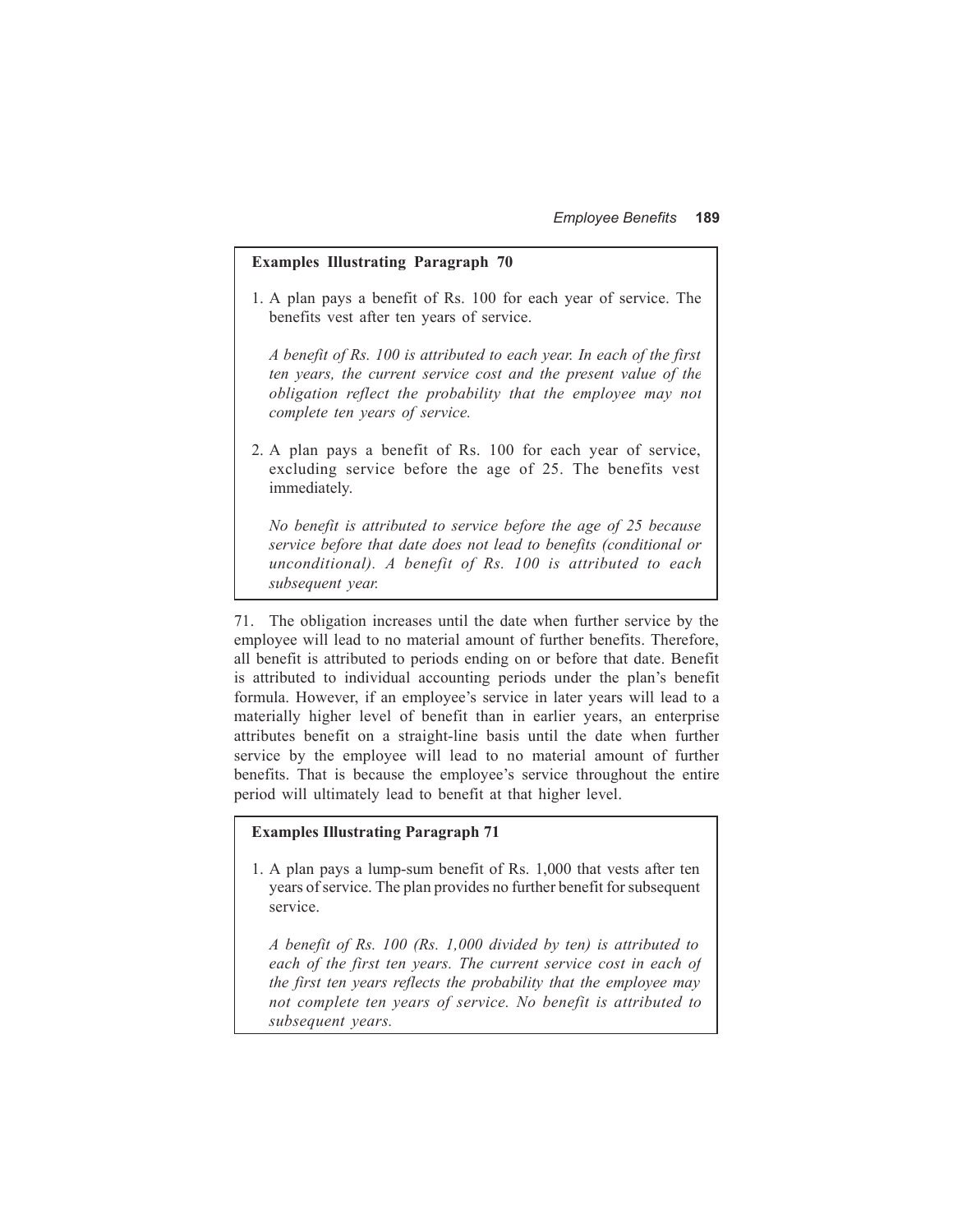#### **Examples Illustrating Paragraph 70**

1. A plan pays a benefit of Rs. 100 for each year of service. The benefits vest after ten years of service.

*A benefit of Rs. 100 is attributed to each year. In each of the first ten years, the current service cost and the present value of the obligation reflect the probability that the employee may not complete ten years of service.*

2. A plan pays a benefit of Rs. 100 for each year of service, excluding service before the age of 25. The benefits vest immediately.

*No benefit is attributed to service before the age of 25 because service before that date does not lead to benefits (conditional or unconditional). A benefit of Rs. 100 is attributed to each subsequent year.*

71. The obligation increases until the date when further service by the employee will lead to no material amount of further benefits. Therefore, all benefit is attributed to periods ending on or before that date. Benefit is attributed to individual accounting periods under the plan's benefit formula. However, if an employee's service in later years will lead to a materially higher level of benefit than in earlier years, an enterprise attributes benefit on a straight-line basis until the date when further service by the employee will lead to no material amount of further benefits. That is because the employee's service throughout the entire period will ultimately lead to benefit at that higher level.

#### **Examples Illustrating Paragraph 71**

1. A plan pays a lump-sum benefit of Rs. 1,000 that vests after ten years of service. The plan provides no further benefit for subsequent service.

*A benefit of Rs. 100 (Rs. 1,000 divided by ten) is attributed to each of the first ten years. The current service cost in each of the first ten years reflects the probability that the employee may not complete ten years of service. No benefit is attributed to subsequent years.*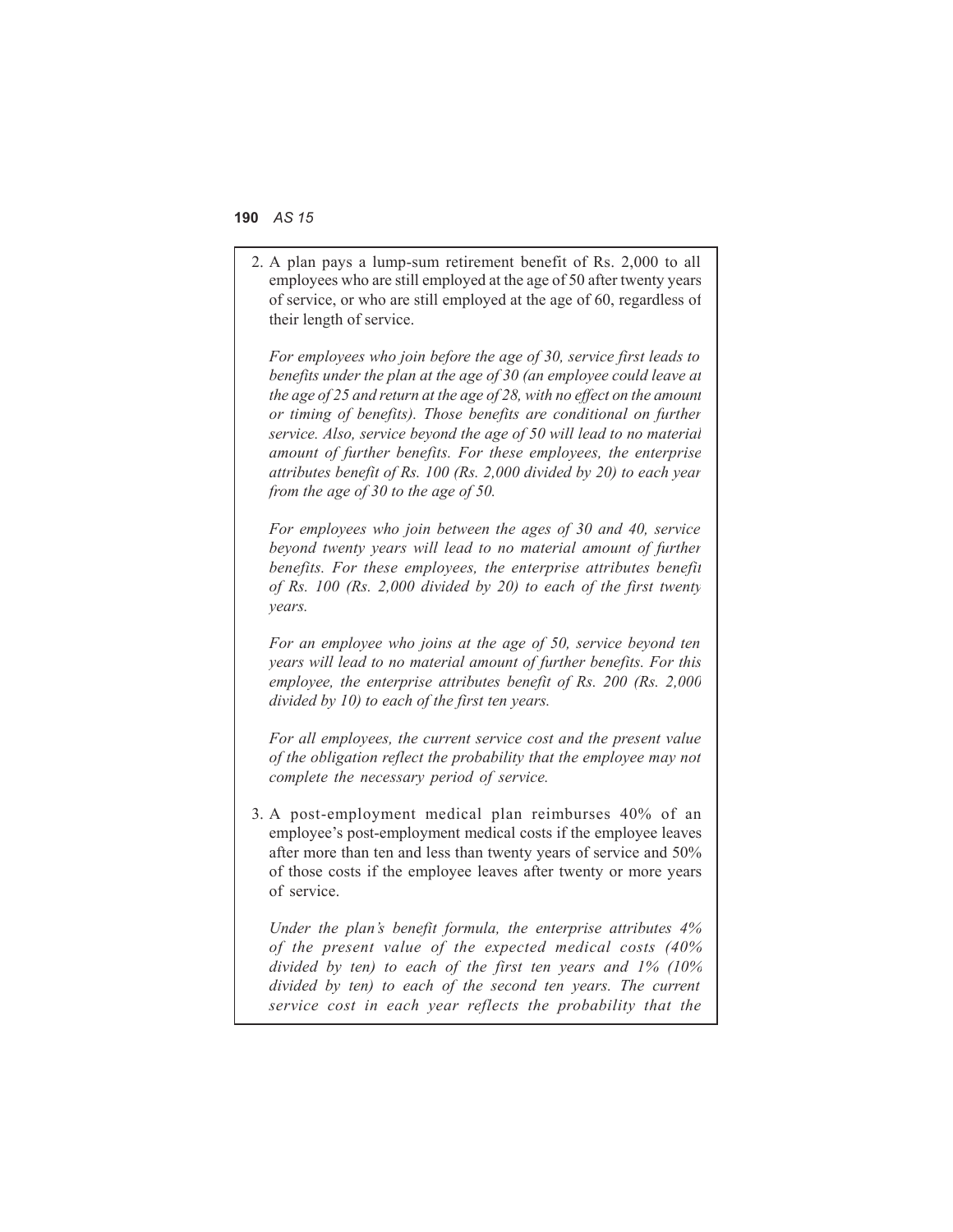2. A plan pays a lump-sum retirement benefit of Rs. 2,000 to all employees who are still employed at the age of 50 after twenty years of service, or who are still employed at the age of 60, regardless of their length of service.

*For employees who join before the age of 30, service first leads to benefits under the plan at the age of 30 (an employee could leave at the age of 25 and return at the age of 28, with no effect on the amount or timing of benefits). Those benefits are conditional on further service. Also, service beyond the age of 50 will lead to no material amount of further benefits. For these employees, the enterprise attributes benefit of Rs. 100 (Rs. 2,000 divided by 20) to each year from the age of 30 to the age of 50.*

*For employees who join between the ages of 30 and 40, service beyond twenty years will lead to no material amount of further benefits. For these employees, the enterprise attributes benefit of Rs. 100 (Rs. 2,000 divided by 20) to each of the first twenty years.*

*For an employee who joins at the age of 50, service beyond ten years will lead to no material amount of further benefits. For this employee, the enterprise attributes benefit of Rs. 200 (Rs. 2,000 divided by 10) to each of the first ten years.*

*For all employees, the current service cost and the present value of the obligation reflect the probability that the employee may not complete the necessary period of service.*

3. A post-employment medical plan reimburses 40% of an employee's post-employment medical costs if the employee leaves after more than ten and less than twenty years of service and 50% of those costs if the employee leaves after twenty or more years of service.

*Under the plan's benefit formula, the enterprise attributes 4% of the present value of the expected medical costs (40% divided by ten) to each of the first ten years and 1% (10% divided by ten) to each of the second ten years. The current service cost in each year reflects the probability that the*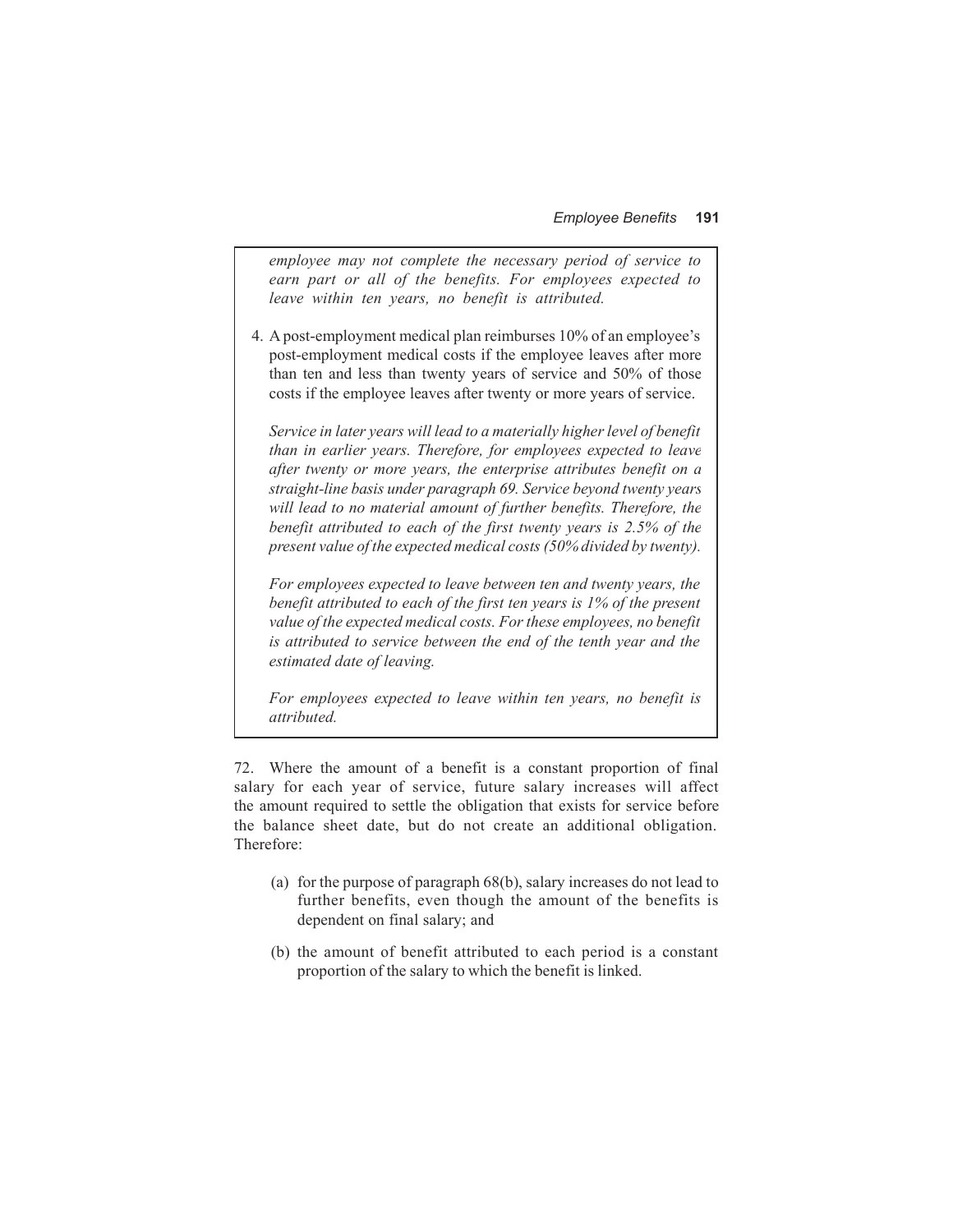*employee may not complete the necessary period of service to earn part or all of the benefits. For employees expected to leave within ten years, no benefit is attributed.*

4. A post-employment medical plan reimburses 10% of an employee's post-employment medical costs if the employee leaves after more than ten and less than twenty years of service and 50% of those costs if the employee leaves after twenty or more years of service.

*Service in later years will lead to a materially higher level of benefit than in earlier years. Therefore, for employees expected to leave after twenty or more years, the enterprise attributes benefit on a straight-line basis under paragraph 69. Service beyond twenty years will lead to no material amount of further benefits. Therefore, the benefit attributed to each of the first twenty years is 2.5% of the present value of the expected medical costs (50% divided by twenty).*

*For employees expected to leave between ten and twenty years, the benefit attributed to each of the first ten years is 1% of the present value of the expected medical costs. For these employees, no benefit is attributed to service between the end of the tenth year and the estimated date of leaving.*

*For employees expected to leave within ten years, no benefit is attributed.*

72. Where the amount of a benefit is a constant proportion of final salary for each year of service, future salary increases will affect the amount required to settle the obligation that exists for service before the balance sheet date, but do not create an additional obligation. Therefore:

- (a) for the purpose of paragraph 68(b), salary increases do not lead to further benefits, even though the amount of the benefits is dependent on final salary; and
- (b) the amount of benefit attributed to each period is a constant proportion of the salary to which the benefit is linked.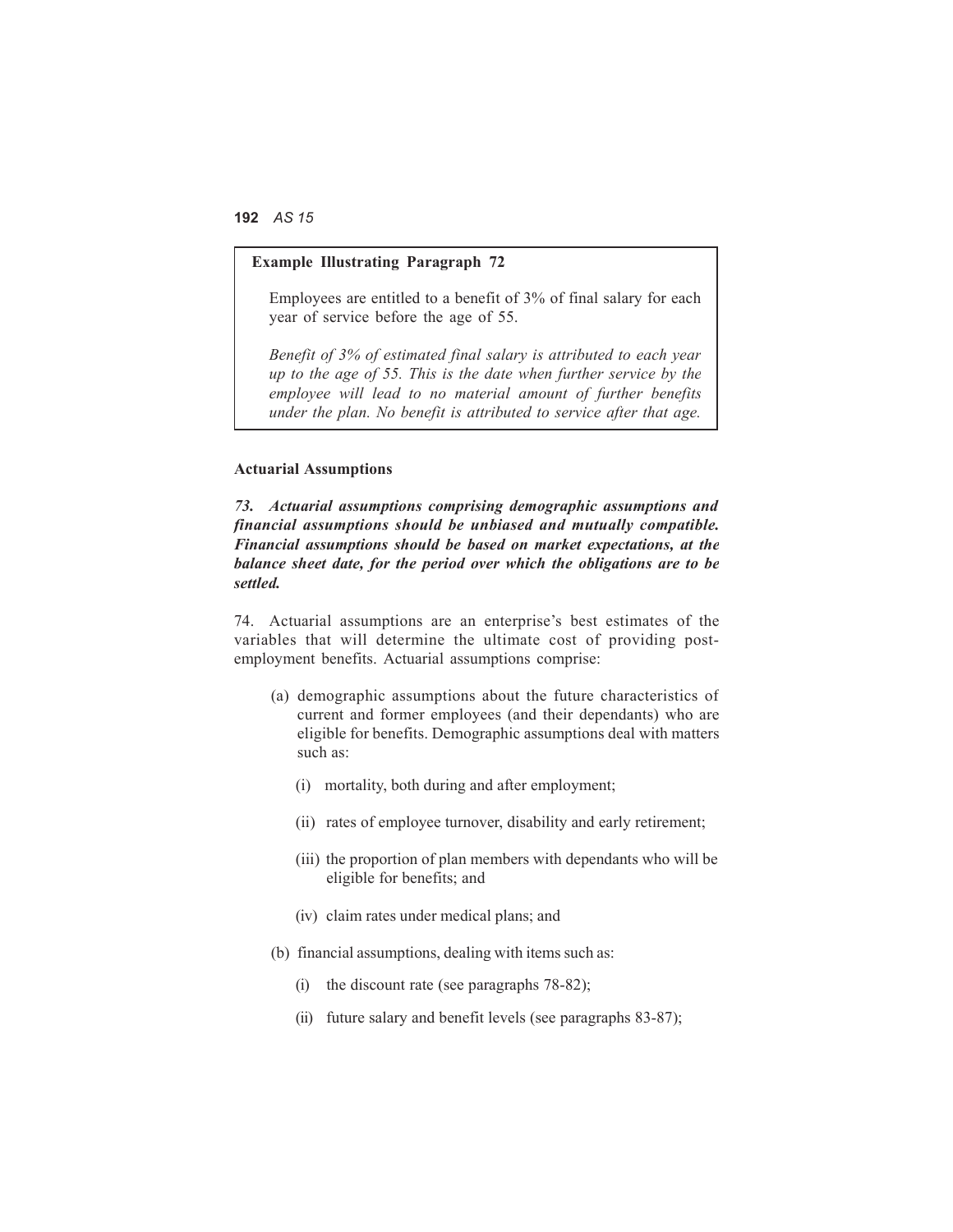#### **Example Illustrating Paragraph 72**

Employees are entitled to a benefit of 3% of final salary for each year of service before the age of 55.

*Benefit of 3% of estimated final salary is attributed to each year up to the age of 55. This is the date when further service by the employee will lead to no material amount of further benefits under the plan. No benefit is attributed to service after that age.*

#### **Actuarial Assumptions**

*73. Actuarial assumptions comprising demographic assumptions and financial assumptions should be unbiased and mutually compatible. Financial assumptions should be based on market expectations, at the balance sheet date, for the period over which the obligations are to be settled.*

74. Actuarial assumptions are an enterprise's best estimates of the variables that will determine the ultimate cost of providing postemployment benefits. Actuarial assumptions comprise:

- (a) demographic assumptions about the future characteristics of current and former employees (and their dependants) who are eligible for benefits. Demographic assumptions deal with matters such as:
	- (i) mortality, both during and after employment;
	- (ii) rates of employee turnover, disability and early retirement;
	- (iii) the proportion of plan members with dependants who will be eligible for benefits; and
	- (iv) claim rates under medical plans; and
- (b) financial assumptions, dealing with items such as:
	- (i) the discount rate (see paragraphs 78-82);
	- (ii) future salary and benefit levels (see paragraphs 83-87);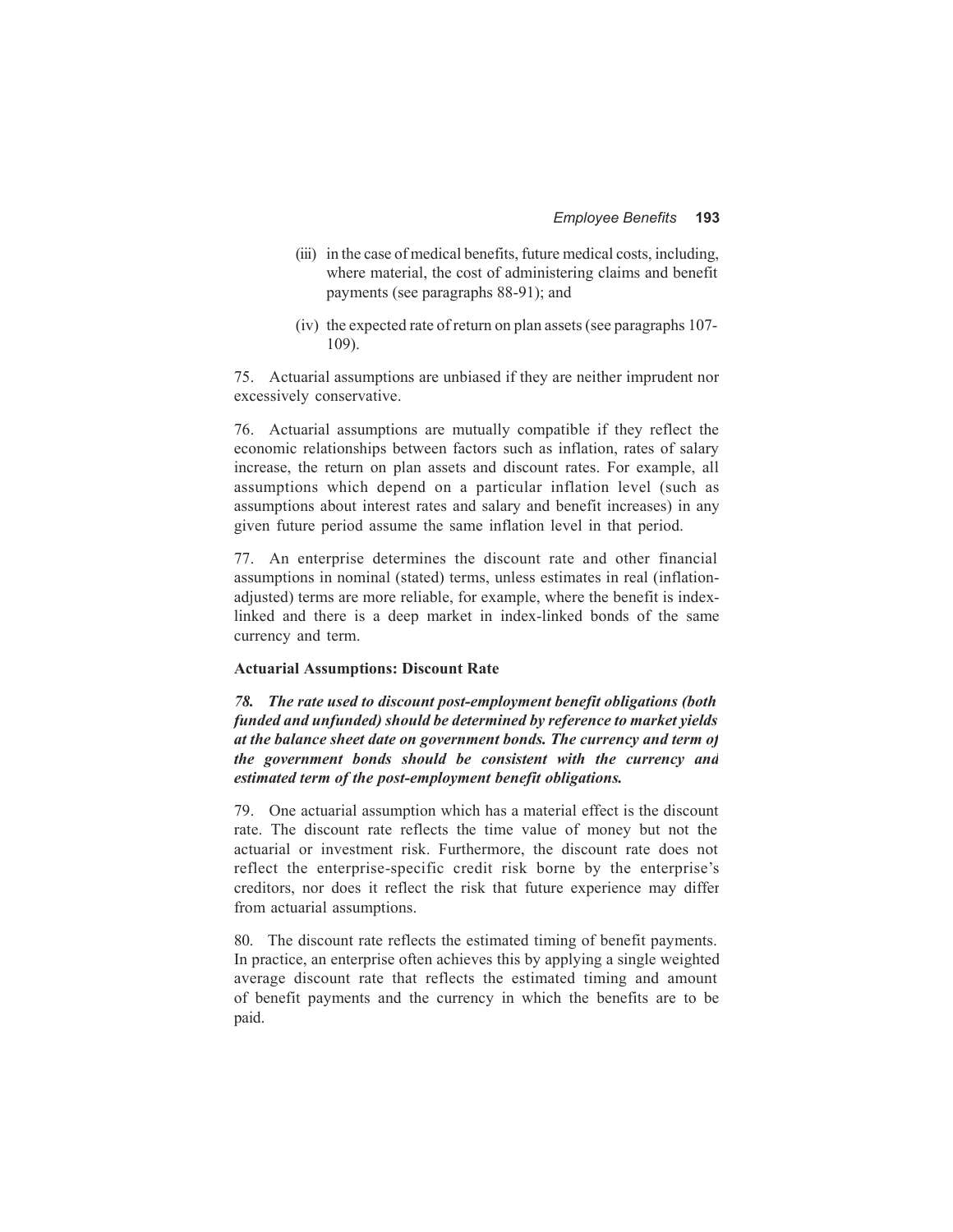- (iii) in the case of medical benefits, future medical costs, including, where material, the cost of administering claims and benefit payments (see paragraphs 88-91); and
- (iv) the expected rate of return on plan assets (see paragraphs 107- 109).

75. Actuarial assumptions are unbiased if they are neither imprudent nor excessively conservative.

76. Actuarial assumptions are mutually compatible if they reflect the economic relationships between factors such as inflation, rates of salary increase, the return on plan assets and discount rates. For example, all assumptions which depend on a particular inflation level (such as assumptions about interest rates and salary and benefit increases) in any given future period assume the same inflation level in that period.

77. An enterprise determines the discount rate and other financial assumptions in nominal (stated) terms, unless estimates in real (inflationadjusted) terms are more reliable, for example, where the benefit is indexlinked and there is a deep market in index-linked bonds of the same currency and term.

#### **Actuarial Assumptions: Discount Rate**

*78. The rate used to discount post-employment benefit obligations (both funded and unfunded) should be determined by reference to market yields at the balance sheet date on government bonds. The currency and term of the government bonds should be consistent with the currency and estimated term of the post-employment benefit obligations.*

79. One actuarial assumption which has a material effect is the discount rate. The discount rate reflects the time value of money but not the actuarial or investment risk. Furthermore, the discount rate does not reflect the enterprise-specific credit risk borne by the enterprise's creditors, nor does it reflect the risk that future experience may differ from actuarial assumptions.

80. The discount rate reflects the estimated timing of benefit payments. In practice, an enterprise often achieves this by applying a single weighted average discount rate that reflects the estimated timing and amount of benefit payments and the currency in which the benefits are to be paid.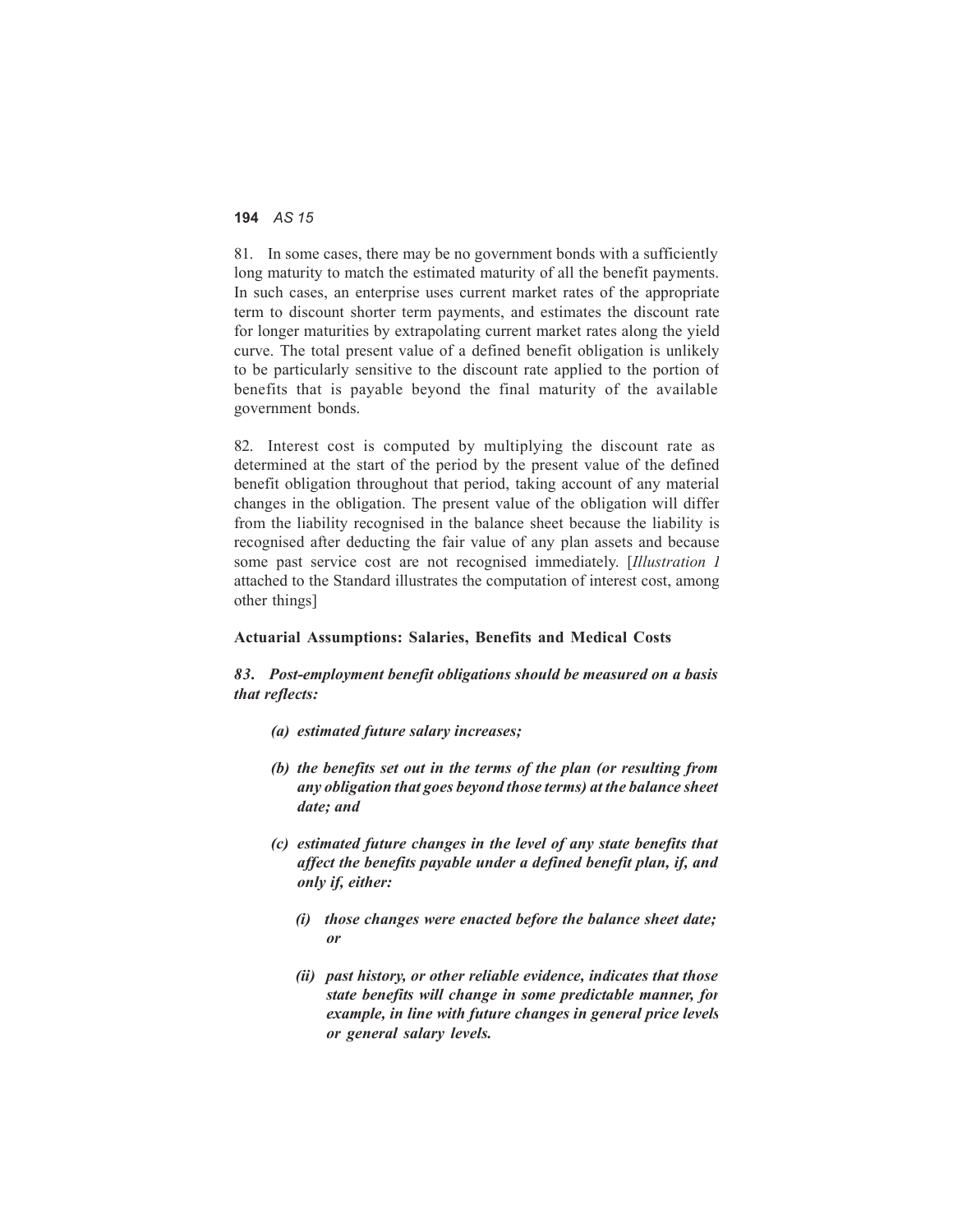81. In some cases, there may be no government bonds with a sufficiently long maturity to match the estimated maturity of all the benefit payments. In such cases, an enterprise uses current market rates of the appropriate term to discount shorter term payments, and estimates the discount rate for longer maturities by extrapolating current market rates along the yield curve. The total present value of a defined benefit obligation is unlikely to be particularly sensitive to the discount rate applied to the portion of benefits that is payable beyond the final maturity of the available government bonds.

82. Interest cost is computed by multiplying the discount rate as determined at the start of the period by the present value of the defined benefit obligation throughout that period, taking account of any material changes in the obligation. The present value of the obligation will differ from the liability recognised in the balance sheet because the liability is recognised after deducting the fair value of any plan assets and because some past service cost are not recognised immediately. [*Illustration I* attached to the Standard illustrates the computation of interest cost, among other things]

#### **Actuarial Assumptions: Salaries, Benefits and Medical Costs**

#### *83. Post-employment benefit obligations should be measured on a basis that reflects:*

- *(a) estimated future salary increases;*
- *(b) the benefits set out in the terms of the plan (or resulting from any obligation that goes beyond those terms) at the balance sheet date; and*
- *(c) estimated future changes in the level of any state benefits that affect the benefits payable under a defined benefit plan, if, and only if, either:*
	- *(i) those changes were enacted before the balance sheet date; or*
	- *(ii) past history, or other reliable evidence, indicates that those state benefits will change in some predictable manner, for example, in line with future changes in general price levels or general salary levels.*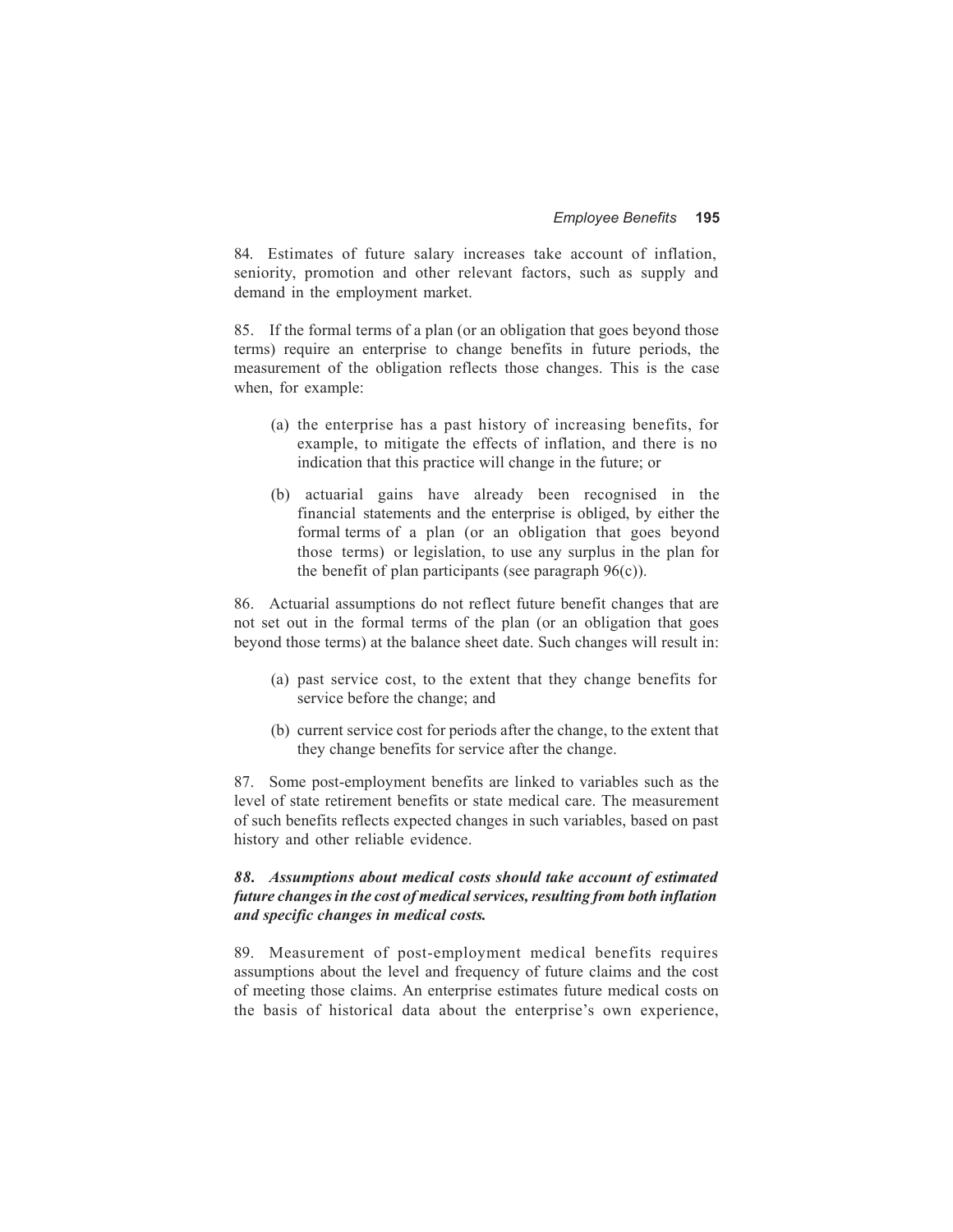84. Estimates of future salary increases take account of inflation, seniority, promotion and other relevant factors, such as supply and demand in the employment market.

85. If the formal terms of a plan (or an obligation that goes beyond those terms) require an enterprise to change benefits in future periods, the measurement of the obligation reflects those changes. This is the case when, for example:

- (a) the enterprise has a past history of increasing benefits, for example, to mitigate the effects of inflation, and there is no indication that this practice will change in the future; or
- (b) actuarial gains have already been recognised in the financial statements and the enterprise is obliged, by either the formal terms of a plan (or an obligation that goes beyond those terms) or legislation, to use any surplus in the plan for the benefit of plan participants (see paragraph  $96(c)$ ).

86. Actuarial assumptions do not reflect future benefit changes that are not set out in the formal terms of the plan (or an obligation that goes beyond those terms) at the balance sheet date. Such changes will result in:

- (a) past service cost, to the extent that they change benefits for service before the change; and
- (b) current service cost for periods after the change, to the extent that they change benefits for service after the change.

87. Some post-employment benefits are linked to variables such as the level of state retirement benefits or state medical care. The measurement of such benefits reflects expected changes in such variables, based on past history and other reliable evidence.

#### *88. Assumptions about medical costs should take account of estimated future changes in the cost of medical services, resulting from both inflation and specific changes in medical costs.*

89. Measurement of post-employment medical benefits requires assumptions about the level and frequency of future claims and the cost of meeting those claims. An enterprise estimates future medical costs on the basis of historical data about the enterprise's own experience,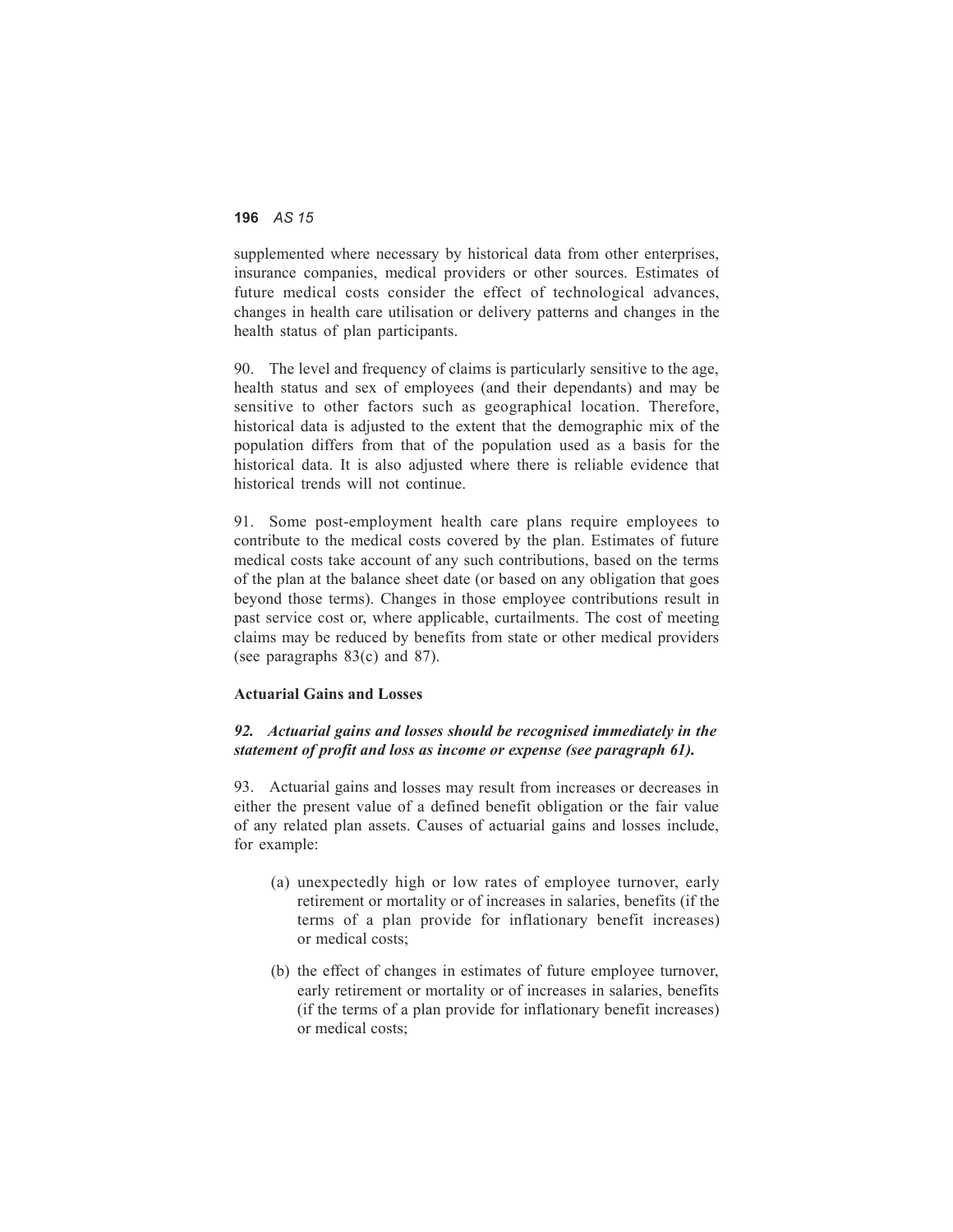supplemented where necessary by historical data from other enterprises, insurance companies, medical providers or other sources. Estimates of future medical costs consider the effect of technological advances, changes in health care utilisation or delivery patterns and changes in the health status of plan participants.

90. The level and frequency of claims is particularly sensitive to the age, health status and sex of employees (and their dependants) and may be sensitive to other factors such as geographical location. Therefore, historical data is adjusted to the extent that the demographic mix of the population differs from that of the population used as a basis for the historical data. It is also adjusted where there is reliable evidence that historical trends will not continue.

91. Some post-employment health care plans require employees to contribute to the medical costs covered by the plan. Estimates of future medical costs take account of any such contributions, based on the terms of the plan at the balance sheet date (or based on any obligation that goes beyond those terms). Changes in those employee contributions result in past service cost or, where applicable, curtailments. The cost of meeting claims may be reduced by benefits from state or other medical providers (see paragraphs 83(c) and 87).

#### **Actuarial Gains and Losses**

#### *92. Actuarial gains and losses should be recognised immediately in the statement of profit and loss as income or expense (see paragraph 61).*

93. Actuarial gains and losses may result from increases or decreases in either the present value of a defined benefit obligation or the fair value of any related plan assets. Causes of actuarial gains and losses include, for example:

- (a) unexpectedly high or low rates of employee turnover, early retirement or mortality or of increases in salaries, benefits (if the terms of a plan provide for inflationary benefit increases) or medical costs;
- (b) the effect of changes in estimates of future employee turnover, early retirement or mortality or of increases in salaries, benefits (if the terms of a plan provide for inflationary benefit increases) or medical costs;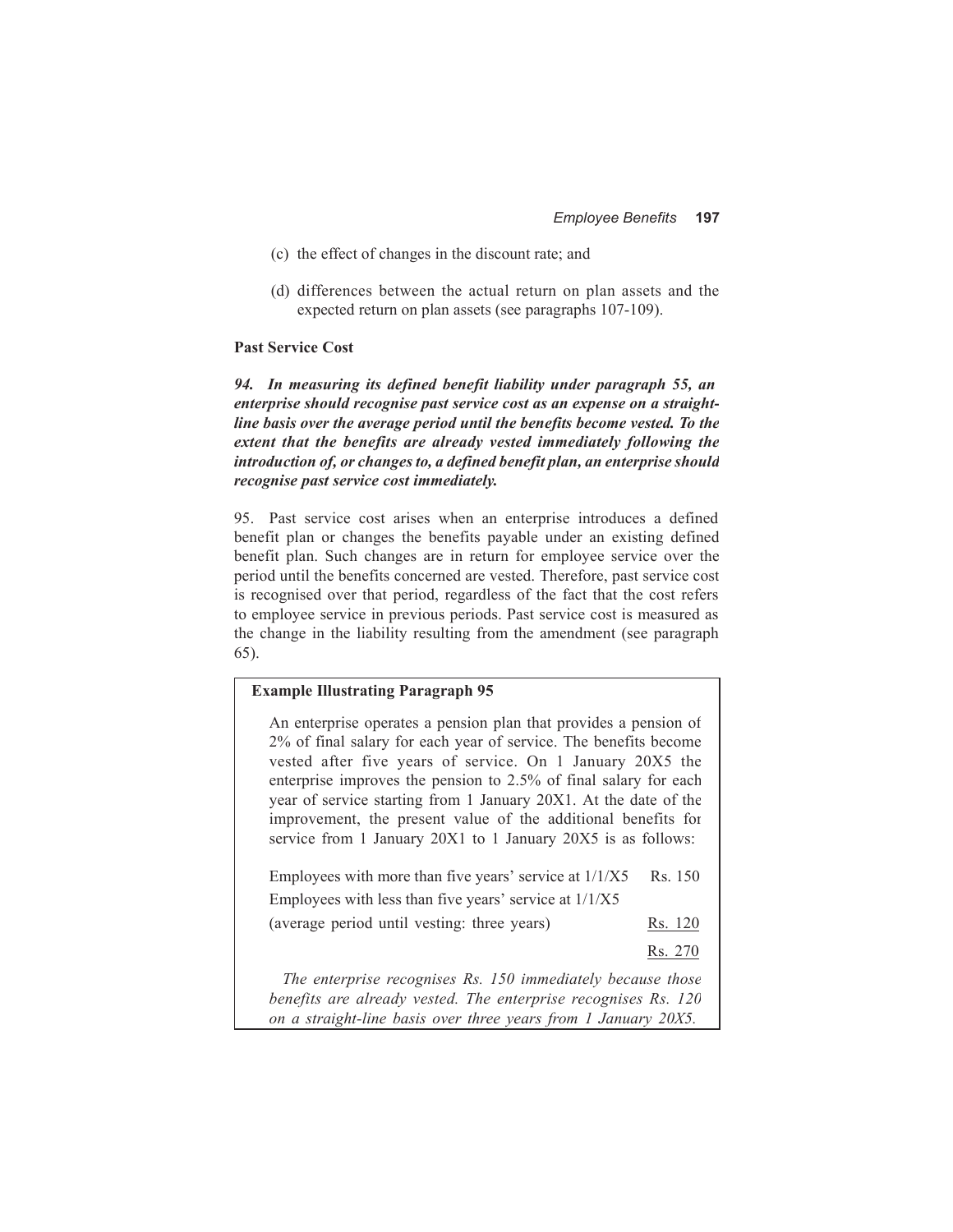- (c) the effect of changes in the discount rate; and
- (d) differences between the actual return on plan assets and the expected return on plan assets (see paragraphs 107-109).

#### **Past Service Cost**

*94. In measuring its defined benefit liability under paragraph 55, an enterprise should recognise past service cost as an expense on a straightline basis over the average period until the benefits become vested. To the extent that the benefits are already vested immediately following the introduction of, or changes to, a defined benefit plan, an enterprise should recognise past service cost immediately.*

95. Past service cost arises when an enterprise introduces a defined benefit plan or changes the benefits payable under an existing defined benefit plan. Such changes are in return for employee service over the period until the benefits concerned are vested. Therefore, past service cost is recognised over that period, regardless of the fact that the cost refers to employee service in previous periods. Past service cost is measured as the change in the liability resulting from the amendment (see paragraph 65).

#### **Example Illustrating Paragraph 95**

An enterprise operates a pension plan that provides a pension of 2% of final salary for each year of service. The benefits become vested after five years of service. On 1 January 20X5 the enterprise improves the pension to 2.5% of final salary for each year of service starting from 1 January 20X1. At the date of the improvement, the present value of the additional benefits for service from 1 January 20X1 to 1 January 20X5 is as follows:

- Employees with more than five years' service at  $1/1/X5$  Rs. 150 Employees with less than five years' service at 1/1/X5
- (average period until vesting: three years) Rs. 120

Rs. 270

*The enterprise recognises Rs. 150 immediately because those benefits are already vested. The enterprise recognises Rs. 120 on a straight-line basis over three years from 1 January 20X5.*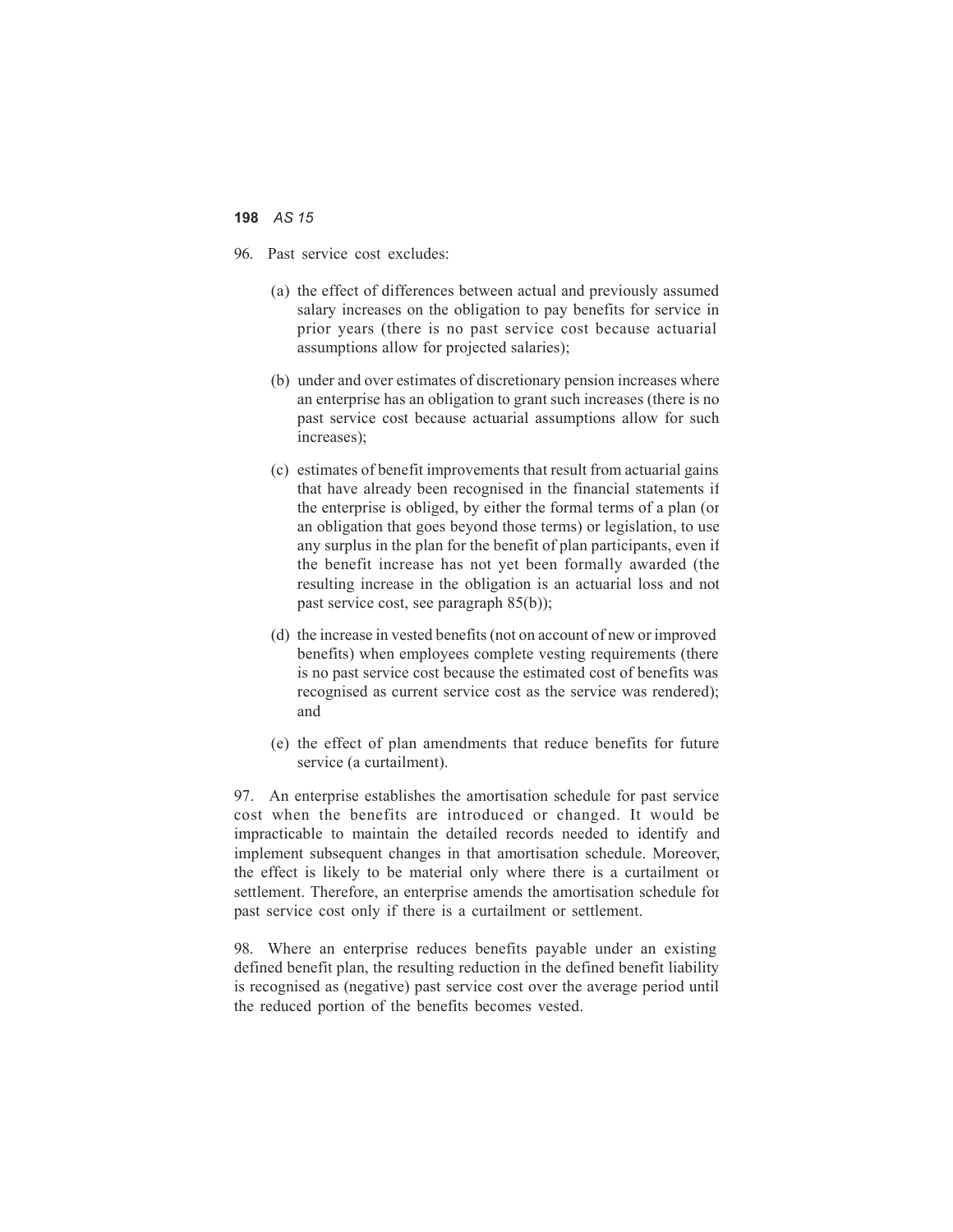- 96. Past service cost excludes:
	- (a) the effect of differences between actual and previously assumed salary increases on the obligation to pay benefits for service in prior years (there is no past service cost because actuarial assumptions allow for projected salaries);
	- (b) under and over estimates of discretionary pension increases where an enterprise has an obligation to grant such increases (there is no past service cost because actuarial assumptions allow for such increases);
	- (c) estimates of benefit improvements that result from actuarial gains that have already been recognised in the financial statements if the enterprise is obliged, by either the formal terms of a plan (or an obligation that goes beyond those terms) or legislation, to use any surplus in the plan for the benefit of plan participants, even if the benefit increase has not yet been formally awarded (the resulting increase in the obligation is an actuarial loss and not past service cost, see paragraph 85(b));
	- (d) the increase in vested benefits (not on account of new or improved benefits) when employees complete vesting requirements (there is no past service cost because the estimated cost of benefits was recognised as current service cost as the service was rendered); and
	- (e) the effect of plan amendments that reduce benefits for future service (a curtailment).

97. An enterprise establishes the amortisation schedule for past service cost when the benefits are introduced or changed. It would be impracticable to maintain the detailed records needed to identify and implement subsequent changes in that amortisation schedule. Moreover, the effect is likely to be material only where there is a curtailment or settlement. Therefore, an enterprise amends the amortisation schedule for past service cost only if there is a curtailment or settlement.

98. Where an enterprise reduces benefits payable under an existing defined benefit plan, the resulting reduction in the defined benefit liability is recognised as (negative) past service cost over the average period until the reduced portion of the benefits becomes vested.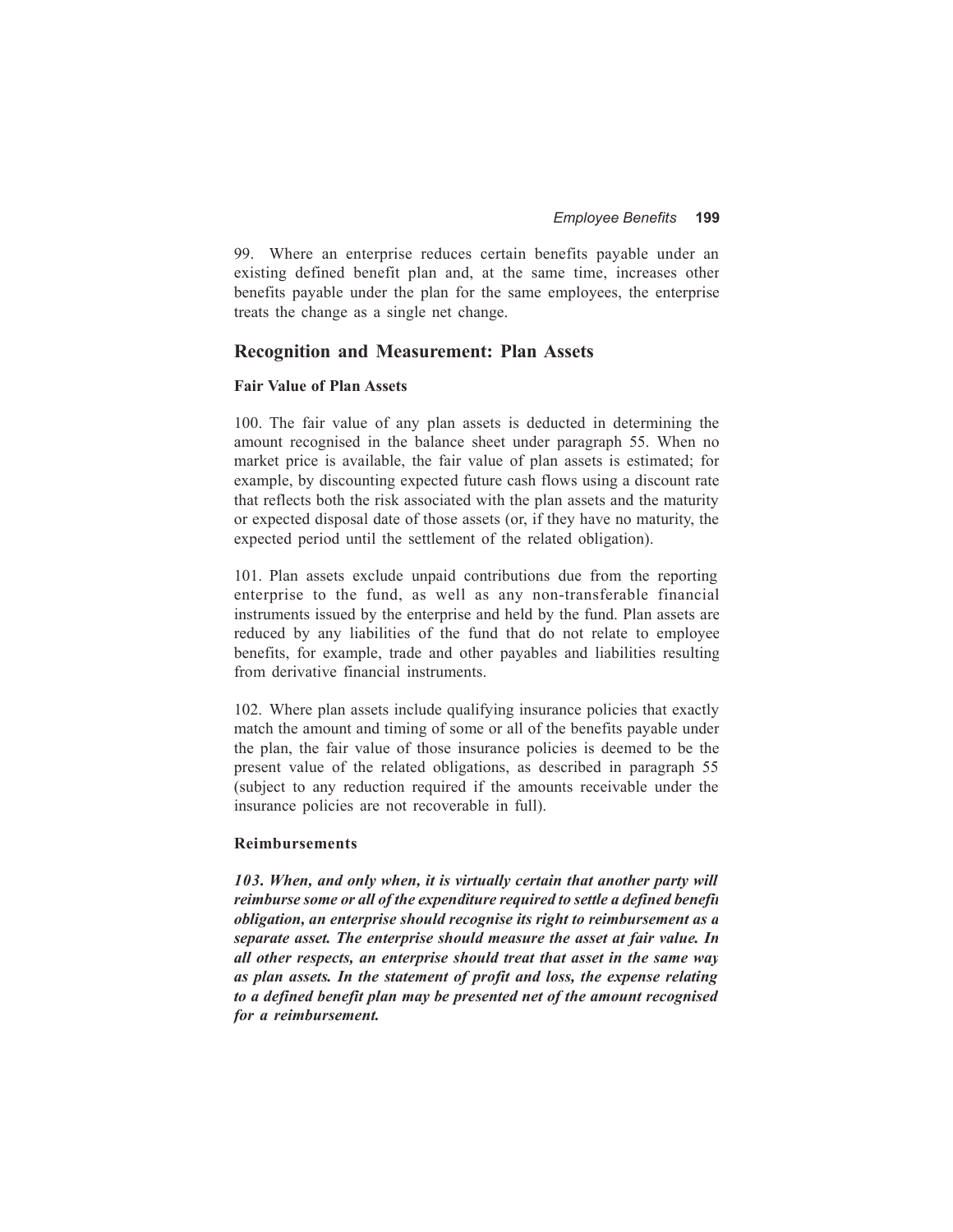99. Where an enterprise reduces certain benefits payable under an existing defined benefit plan and, at the same time, increases other benefits payable under the plan for the same employees, the enterprise treats the change as a single net change.

#### **Recognition and Measurement: Plan Assets**

#### **Fair Value of Plan Assets**

100. The fair value of any plan assets is deducted in determining the amount recognised in the balance sheet under paragraph 55. When no market price is available, the fair value of plan assets is estimated; for example, by discounting expected future cash flows using a discount rate that reflects both the risk associated with the plan assets and the maturity or expected disposal date of those assets (or, if they have no maturity, the expected period until the settlement of the related obligation).

101. Plan assets exclude unpaid contributions due from the reporting enterprise to the fund, as well as any non-transferable financial instruments issued by the enterprise and held by the fund. Plan assets are reduced by any liabilities of the fund that do not relate to employee benefits, for example, trade and other payables and liabilities resulting from derivative financial instruments.

102. Where plan assets include qualifying insurance policies that exactly match the amount and timing of some or all of the benefits payable under the plan, the fair value of those insurance policies is deemed to be the present value of the related obligations, as described in paragraph 55 (subject to any reduction required if the amounts receivable under the insurance policies are not recoverable in full).

#### **Reimbursements**

*103. When, and only when, it is virtually certain that another party will* reimburse some or all of the expenditure required to settle a defined benefit *obligation, an enterprise should recognise its right to reimbursement as a separate asset. The enterprise should measure the asset at fair value. In all other respects, an enterprise should treat that asset in the same way as plan assets. In the statement of profit and loss, the expense relating to a defined benefit plan may be presented net of the amount recognised for a reimbursement.*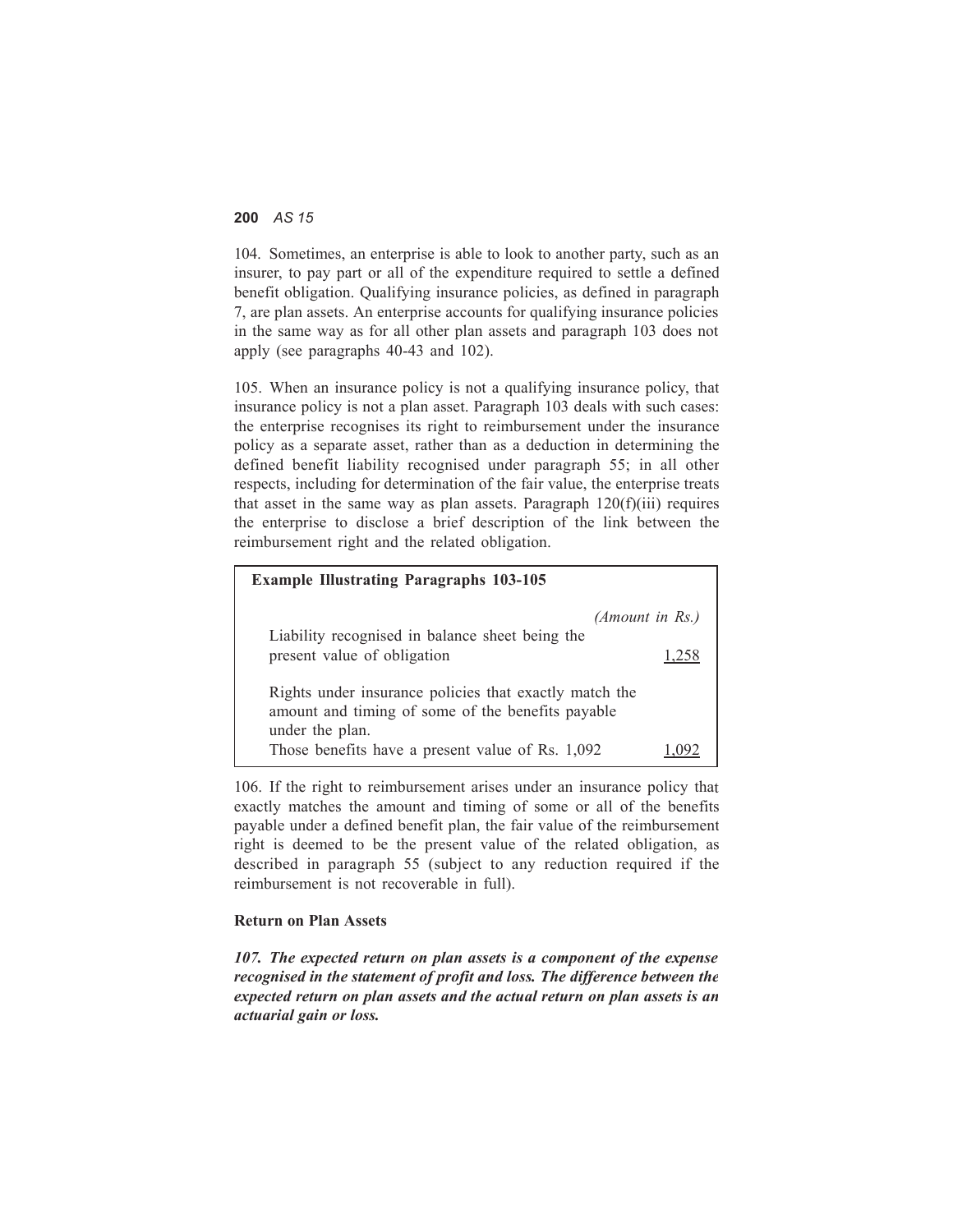104. Sometimes, an enterprise is able to look to another party, such as an insurer, to pay part or all of the expenditure required to settle a defined benefit obligation. Qualifying insurance policies, as defined in paragraph 7, are plan assets. An enterprise accounts for qualifying insurance policies in the same way as for all other plan assets and paragraph 103 does not apply (see paragraphs 40-43 and 102).

105. When an insurance policy is not a qualifying insurance policy, that insurance policy is not a plan asset. Paragraph 103 deals with such cases: the enterprise recognises its right to reimbursement under the insurance policy as a separate asset, rather than as a deduction in determining the defined benefit liability recognised under paragraph 55; in all other respects, including for determination of the fair value, the enterprise treats that asset in the same way as plan assets. Paragraph  $120(f)(iii)$  requires the enterprise to disclose a brief description of the link between the reimbursement right and the related obligation.

| <b>Example Illustrating Paragraphs 103-105</b>                                                                                 |  |
|--------------------------------------------------------------------------------------------------------------------------------|--|
| (Amount in Rs.)<br>Liability recognised in balance sheet being the                                                             |  |
| present value of obligation                                                                                                    |  |
| Rights under insurance policies that exactly match the<br>amount and timing of some of the benefits payable<br>under the plan. |  |
| Those benefits have a present value of Rs. 1,092                                                                               |  |

106. If the right to reimbursement arises under an insurance policy that exactly matches the amount and timing of some or all of the benefits payable under a defined benefit plan, the fair value of the reimbursement right is deemed to be the present value of the related obligation, as described in paragraph 55 (subject to any reduction required if the reimbursement is not recoverable in full).

#### **Return on Plan Assets**

*107. The expected return on plan assets is a component of the expense recognised in the statement of profit and loss. The difference between the expected return on plan assets and the actual return on plan assets is an actuarial gain or loss.*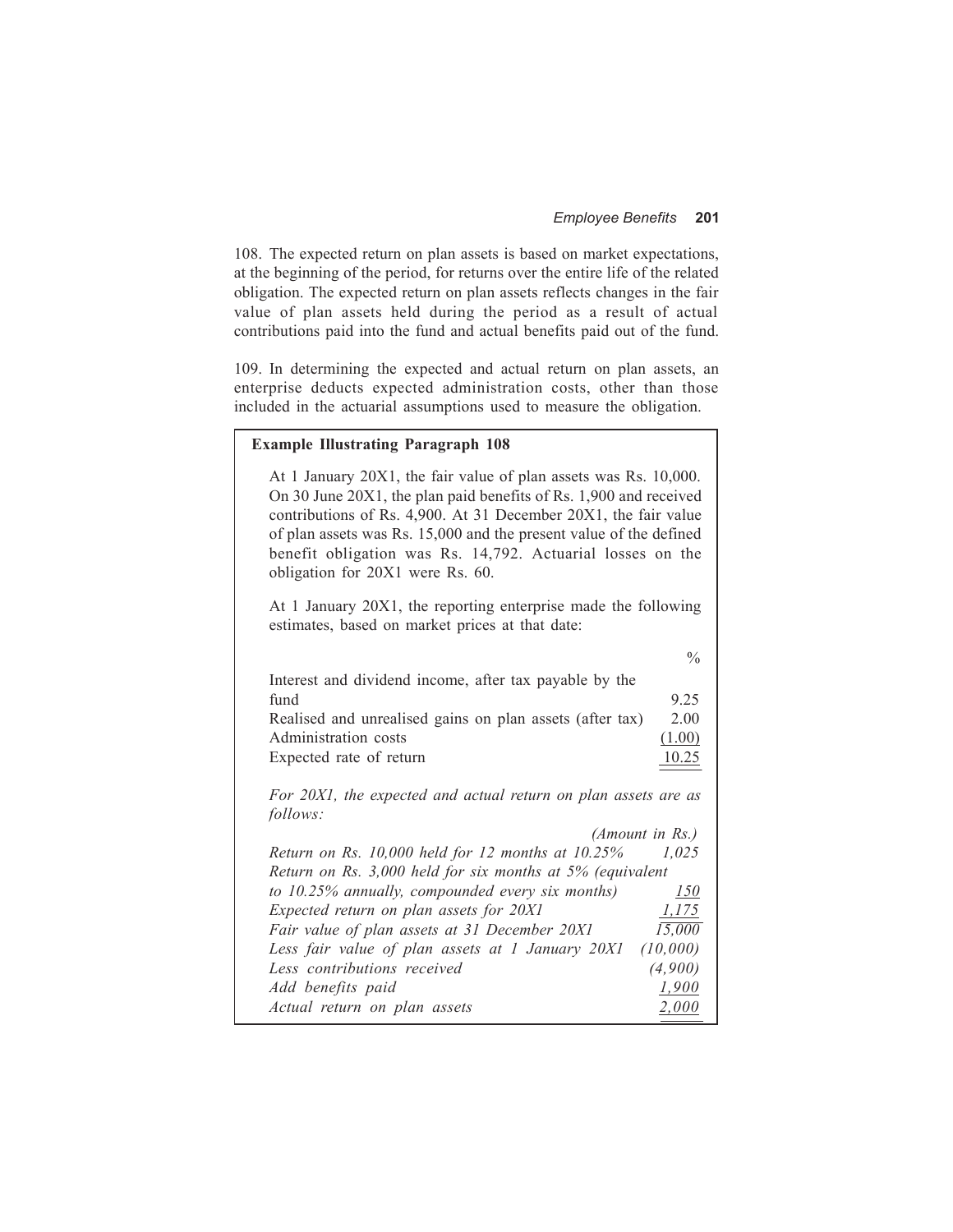#### *Employee Benefits* **201**

 $\frac{0}{0}$ 

108. The expected return on plan assets is based on market expectations, at the beginning of the period, for returns over the entire life of the related obligation. The expected return on plan assets reflects changes in the fair value of plan assets held during the period as a result of actual contributions paid into the fund and actual benefits paid out of the fund.

109. In determining the expected and actual return on plan assets, an enterprise deducts expected administration costs, other than those included in the actuarial assumptions used to measure the obligation.

#### **Example Illustrating Paragraph 108**

At 1 January 20X1, the fair value of plan assets was Rs. 10,000. On 30 June 20X1, the plan paid benefits of Rs. 1,900 and received contributions of Rs. 4,900. At 31 December 20X1, the fair value of plan assets was Rs. 15,000 and the present value of the defined benefit obligation was Rs. 14,792. Actuarial losses on the obligation for 20X1 were Rs. 60.

At 1 January 20X1, the reporting enterprise made the following estimates, based on market prices at that date:

| Interest and dividend income, after tax payable by the   |        |
|----------------------------------------------------------|--------|
| fund                                                     | 9 2 5  |
| Realised and unrealised gains on plan assets (after tax) | 2.00   |
| Administration costs                                     | (1.00) |
| Expected rate of return                                  | 10.25  |

*For 20X1, the expected and actual return on plan assets are as follows:*

|                                                           | $(A$ <i>mount in Rs.</i> ) |
|-----------------------------------------------------------|----------------------------|
| Return on Rs. $10,000$ held for 12 months at $10.25\%$    | 1,025                      |
| Return on Rs. 3,000 held for six months at 5% (equivalent |                            |
| to 10.25% annually, compounded every six months)          | <i>150</i>                 |
| Expected return on plan assets for 20X1                   | 1,175                      |
| Fair value of plan assets at 31 December 20X1             | 15,000                     |
| Less fair value of plan assets at 1 January 20X1          | (10,000)                   |
| Less contributions received                               | (4,900)                    |
| Add benefits paid                                         | 1,900                      |
| Actual return on plan assets                              | 2,000                      |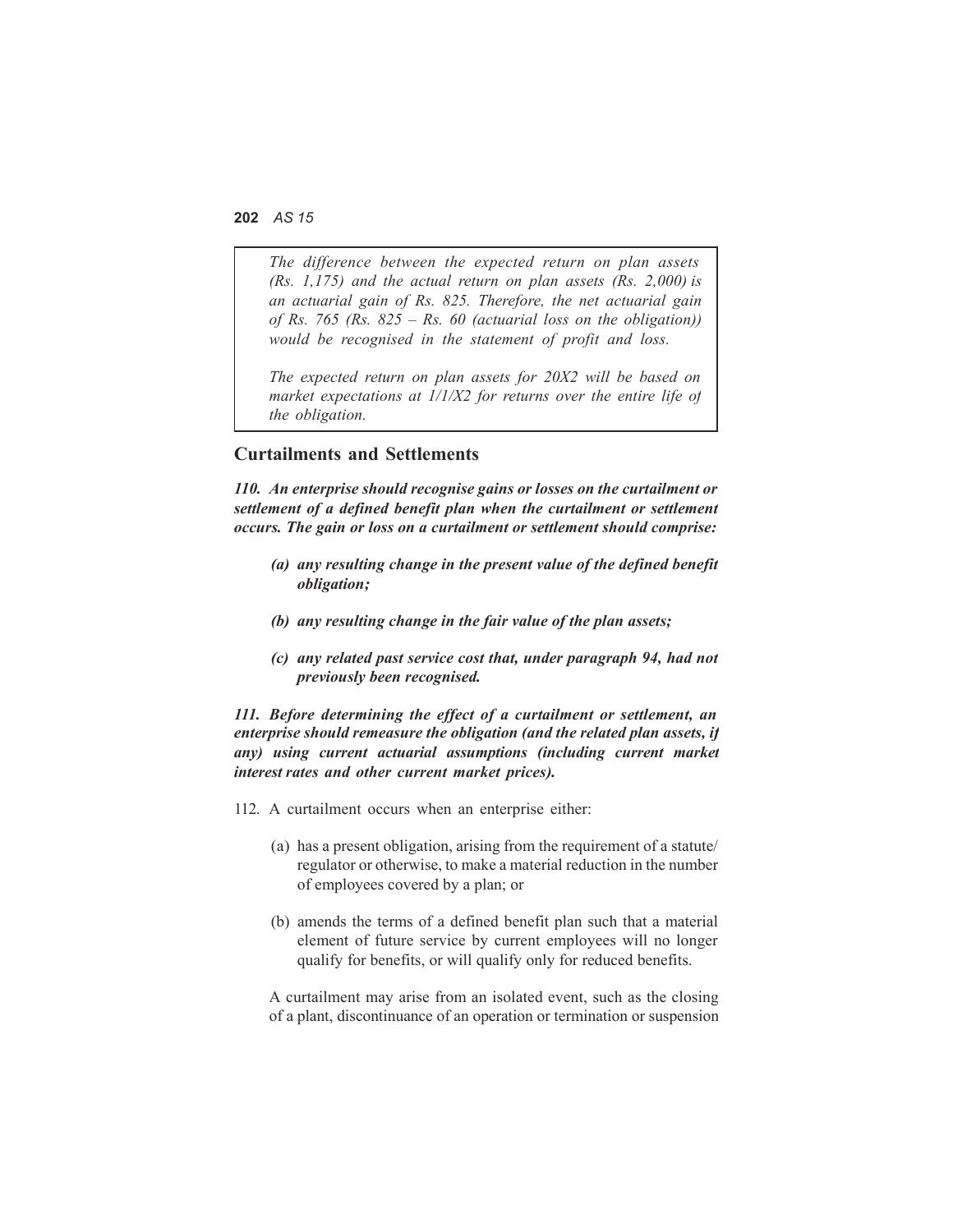*The difference between the expected return on plan assets (Rs. 1,175) and the actual return on plan assets (Rs. 2,000) is an actuarial gain of Rs. 825. Therefore, the net actuarial gain of Rs. 765 (Rs. 825 – Rs. 60 (actuarial loss on the obligation)) would be recognised in the statement of profit and loss.*

*The expected return on plan assets for 20X2 will be based on market expectations at 1/1/X2 for returns over the entire life of the obligation.*

#### **Curtailments and Settlements**

*110. An enterprise should recognise gains or losses on the curtailment or settlement of a defined benefit plan when the curtailment or settlement occurs. The gain or loss on a curtailment or settlement should comprise:*

- *(a) any resulting change in the present value of the defined benefit obligation;*
- *(b) any resulting change in the fair value of the plan assets;*
- *(c) any related past service cost that, under paragraph 94, had not previously been recognised.*

*111. Before determining the effect of a curtailment or settlement, an enterprise should remeasure the obligation (and the related plan assets, if* any) using current actuarial assumptions (including current market *interest rates and other current market prices).*

- 112. A curtailment occurs when an enterprise either:
	- (a) has a present obligation, arising from the requirement of a statute/ regulator or otherwise, to make a material reduction in the number of employees covered by a plan; or
	- (b) amends the terms of a defined benefit plan such that a material element of future service by current employees will no longer qualify for benefits, or will qualify only for reduced benefits.

A curtailment may arise from an isolated event, such as the closing of a plant, discontinuance of an operation or termination or suspension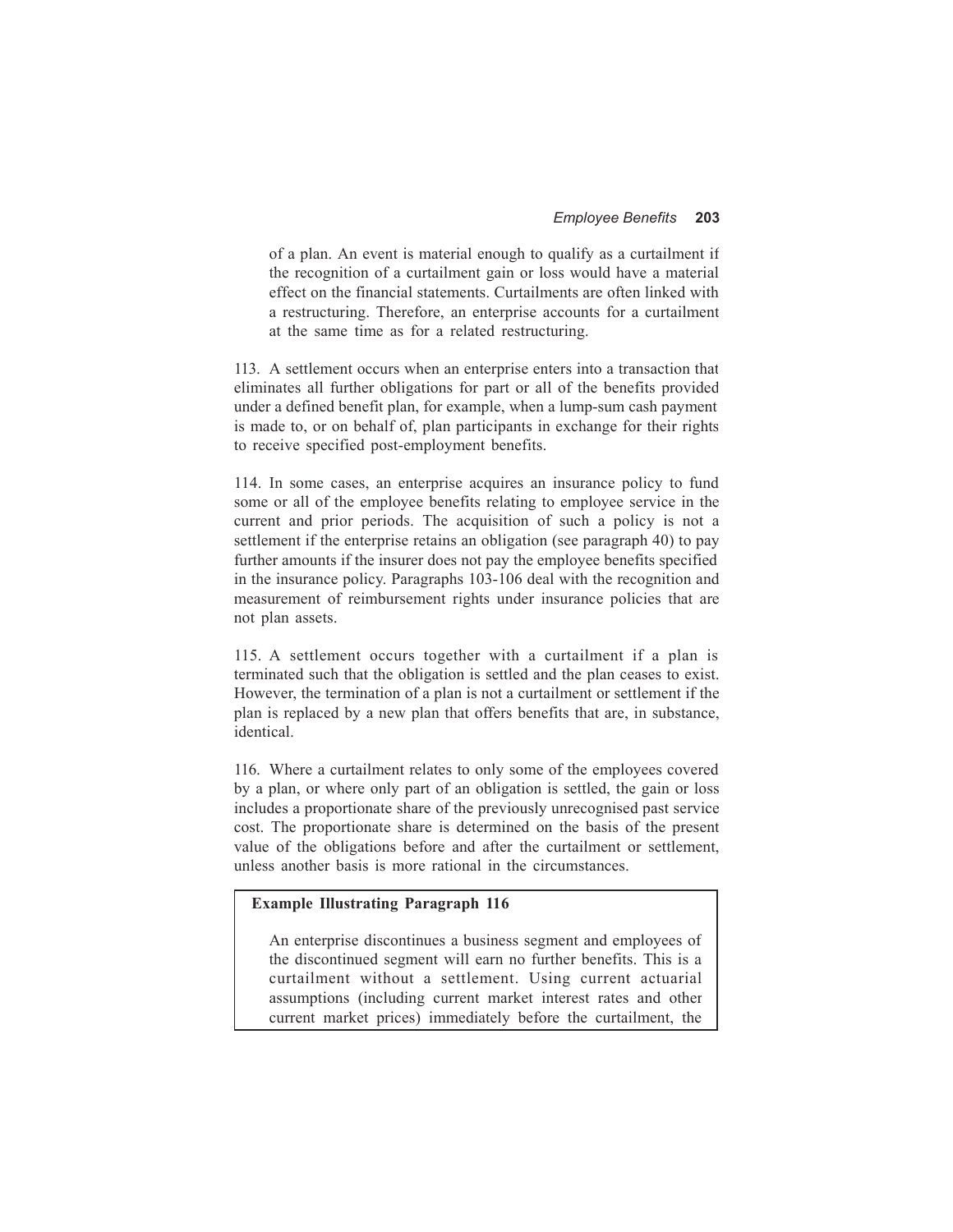of a plan. An event is material enough to qualify as a curtailment if the recognition of a curtailment gain or loss would have a material effect on the financial statements. Curtailments are often linked with a restructuring. Therefore, an enterprise accounts for a curtailment at the same time as for a related restructuring.

113. A settlement occurs when an enterprise enters into a transaction that eliminates all further obligations for part or all of the benefits provided under a defined benefit plan, for example, when a lump-sum cash payment is made to, or on behalf of, plan participants in exchange for their rights to receive specified post-employment benefits.

114. In some cases, an enterprise acquires an insurance policy to fund some or all of the employee benefits relating to employee service in the current and prior periods. The acquisition of such a policy is not a settlement if the enterprise retains an obligation (see paragraph 40) to pay further amounts if the insurer does not pay the employee benefits specified in the insurance policy. Paragraphs 103-106 deal with the recognition and measurement of reimbursement rights under insurance policies that are not plan assets.

115. A settlement occurs together with a curtailment if a plan is terminated such that the obligation is settled and the plan ceases to exist. However, the termination of a plan is not a curtailment or settlement if the plan is replaced by a new plan that offers benefits that are, in substance, identical.

116. Where a curtailment relates to only some of the employees covered by a plan, or where only part of an obligation is settled, the gain or loss includes a proportionate share of the previously unrecognised past service cost. The proportionate share is determined on the basis of the present value of the obligations before and after the curtailment or settlement, unless another basis is more rational in the circumstances.

#### **Example Illustrating Paragraph 116**

An enterprise discontinues a business segment and employees of the discontinued segment will earn no further benefits. This is a curtailment without a settlement. Using current actuarial assumptions (including current market interest rates and other current market prices) immediately before the curtailment, the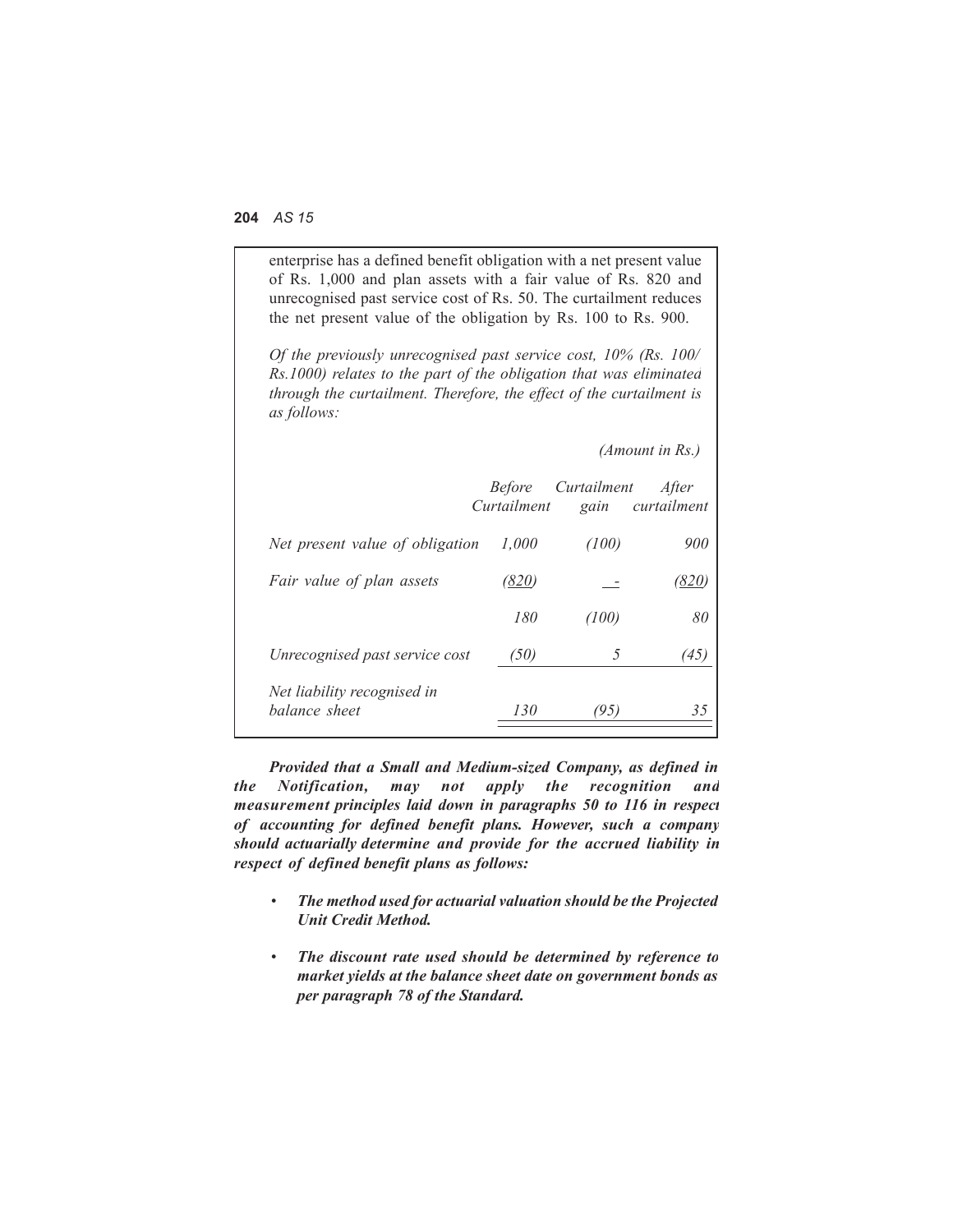enterprise has a defined benefit obligation with a net present value of Rs. 1,000 and plan assets with a fair value of Rs. 820 and unrecognised past service cost of Rs. 50. The curtailment reduces the net present value of the obligation by Rs. 100 to Rs. 900. *Of the previously unrecognised past service cost, 10% (Rs. 100/ Rs.1000) relates to the part of the obligation that was eliminated through the curtailment. Therefore, the effect of the curtailment is as follows:*

*(Amount in Rs.)*

|                                              | Curtailment | Before Curtailment | After<br>gain curtailment |
|----------------------------------------------|-------------|--------------------|---------------------------|
| Net present value of obligation              | 1.000       | (100)              | 900                       |
| Fair value of plan assets                    | (820)       |                    | (820)                     |
|                                              | 180         | (100)              | 80                        |
| Unrecognised past service cost               | (50)        | Ć                  | (45)                      |
| Net liability recognised in<br>balance sheet | 130         | (95)               | 35                        |

*Provided that a Small and Medium-sized Company, as defined in the Notification, may not apply the recognition and measurement principles laid down in paragraphs 50 to 116 in respect of accounting for defined benefit plans. However, such a company should actuarially determine and provide for the accrued liability in respect of defined benefit plans as follows:*

- *The method used for actuarial valuation should be the Projected Unit Credit Method.*
- *The discount rate used should be determined by reference to market yields at the balance sheet date on government bonds as per paragraph 78 of the Standard.*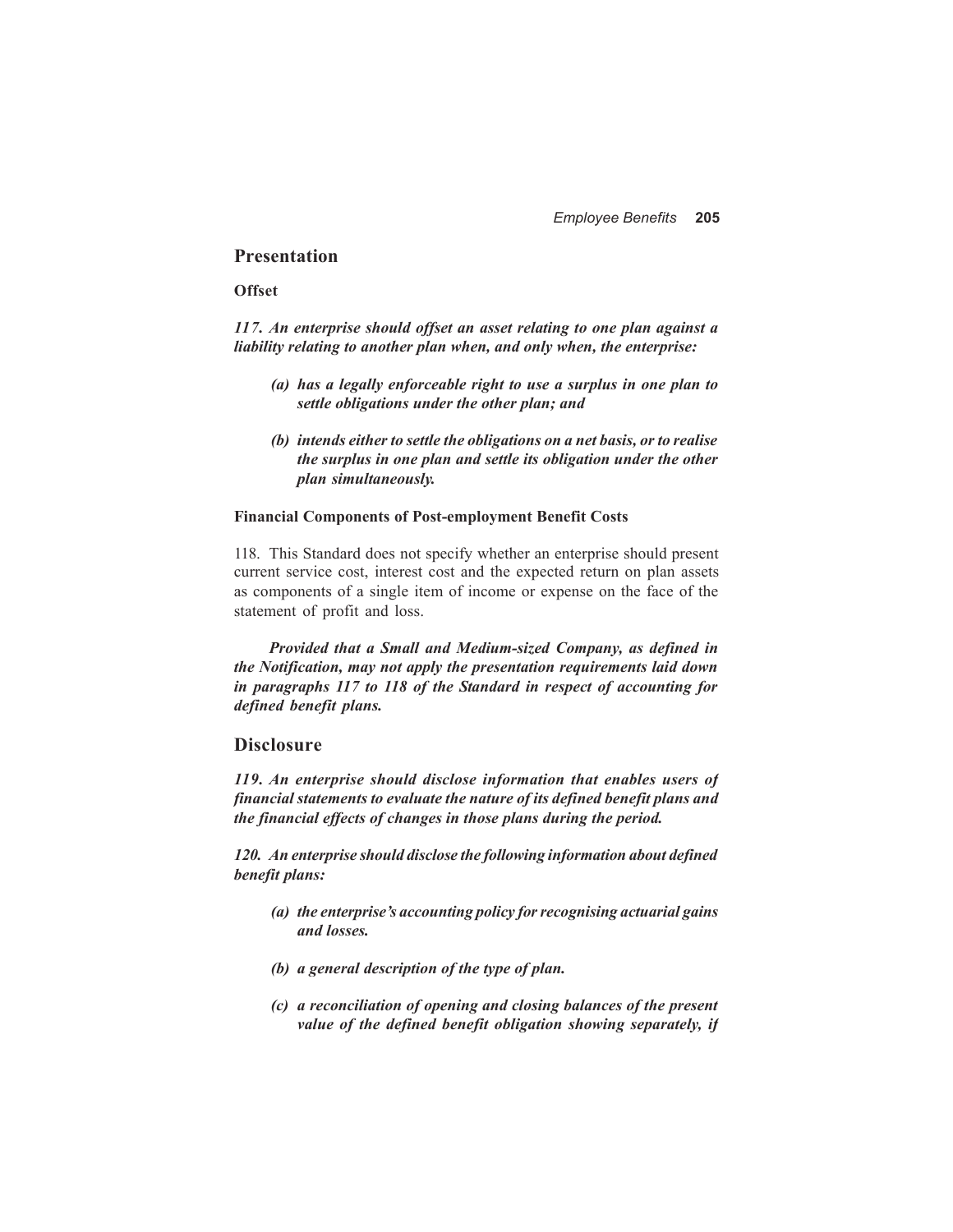#### **Presentation**

**Offset**

*117. An enterprise should offset an asset relating to one plan against a liability relating to another plan when, and only when, the enterprise:*

- *(a) has a legally enforceable right to use a surplus in one plan to settle obligations under the other plan; and*
- *(b) intends either to settle the obligations on a net basis, or to realise the surplus in one plan and settle its obligation under the other plan simultaneously.*

#### **Financial Components of Post-employment Benefit Costs**

118. This Standard does not specify whether an enterprise should present current service cost, interest cost and the expected return on plan assets as components of a single item of income or expense on the face of the statement of profit and loss.

*Provided that a Small and Medium-sized Company, as defined in the Notification, may not apply the presentation requirements laid down in paragraphs 117 to 118 of the Standard in respect of accounting for defined benefit plans.*

#### **Disclosure**

*119. An enterprise should disclose information that enables users of financial statements to evaluate the nature of its defined benefit plans and the financial effects of changes in those plans during the period.*

*120. An enterprise should disclose the following information about defined benefit plans:*

- *(a) the enterprise's accounting policy forrecognising actuarial gains and losses.*
- *(b) a general description of the type of plan.*
- *(c) a reconciliation of opening and closing balances of the present value of the defined benefit obligation showing separately, if*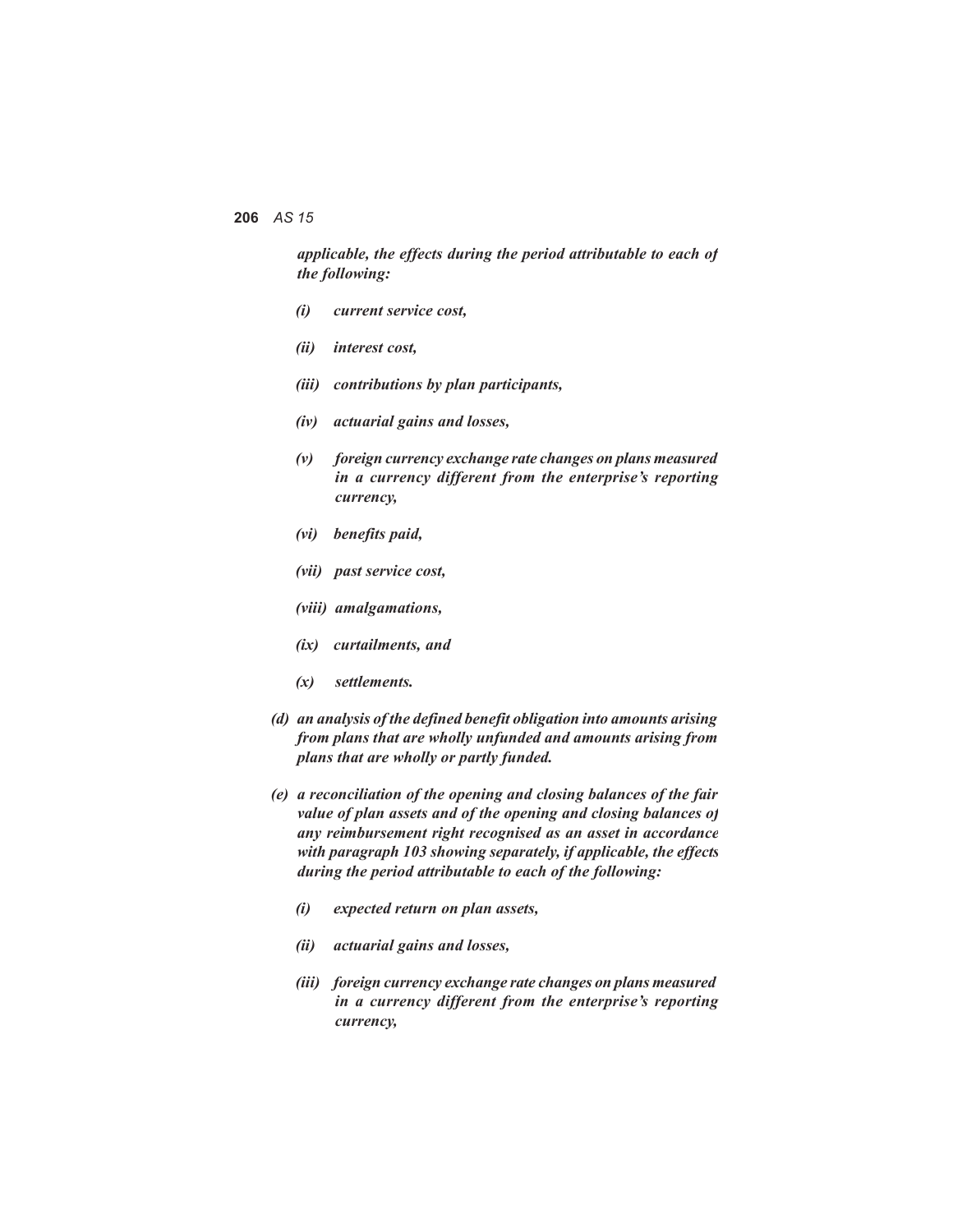*applicable, the effects during the period attributable to each of the following:*

- *(i) current service cost,*
- *(ii) interest cost,*
- *(iii) contributions by plan participants,*
- *(iv) actuarial gains and losses,*
- *(v) foreign currency exchange rate changes on plans measured in a currency different from the enterprise's reporting currency,*
- *(vi) benefits paid,*
- *(vii) past service cost,*
- *(viii) amalgamations,*
- *(ix) curtailments, and*
- *(x) settlements.*
- *(d) an analysis of the defined benefit obligation into amounts arising from plans that are wholly unfunded and amounts arising from plans that are wholly or partly funded.*
- *(e) a reconciliation of the opening and closing balances of the fair value of plan assets and of the opening and closing balances of any reimbursement right recognised as an asset in accordance with paragraph 103 showing separately, if applicable, the effects during the period attributable to each of the following:*
	- *(i) expected return on plan assets,*
	- *(ii) actuarial gains and losses,*
	- *(iii) foreign currency exchange rate changes on plans measured in a currency different from the enterprise's reporting currency,*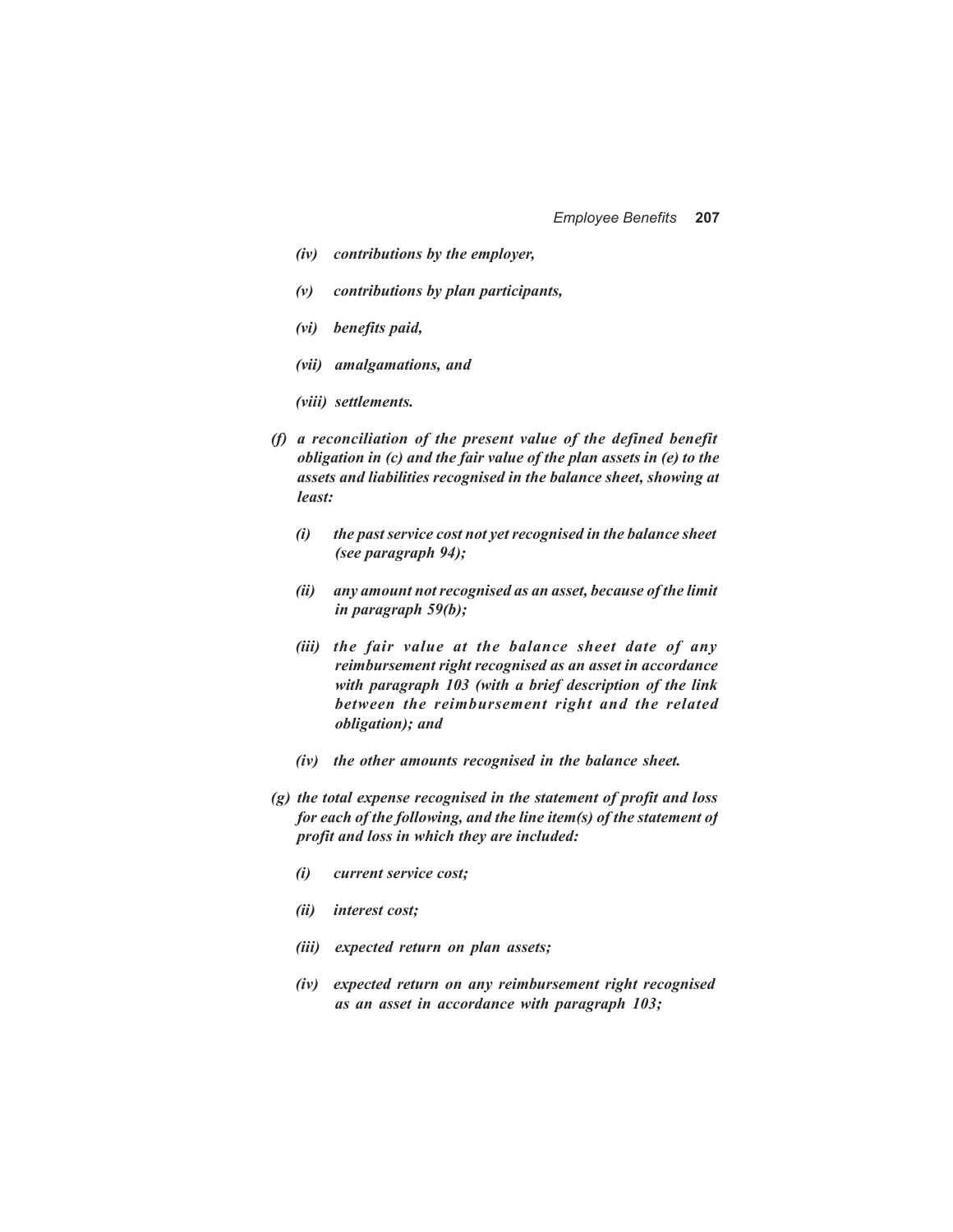- *(iv) contributions by the employer,*
- *(v) contributions by plan participants,*
- *(vi) benefits paid,*
- *(vii) amalgamations, and*
- *(viii) settlements.*
- *(f) a reconciliation of the present value of the defined benefit obligation in (c) and the fair value of the plan assets in (e) to the assets and liabilities recognised in the balance sheet, showing at least:*
	- *(i) the past service cost not yet recognised in the balance sheet (see paragraph 94);*
	- *(ii) any amount notrecognised as an asset, because of the limit in paragraph 59(b);*
	- *(iii) the fair value at the balance sheet date of any reimbursement right recognised as an asset in accordance with paragraph 103 (with a brief description of the link between the reimbursement right and the related obligation); and*
	- *(iv) the other amounts recognised in the balance sheet.*
- *(g) the total expense recognised in the statement of profit and loss for each of the following, and the line item(s) of the statement of profit and loss in which they are included:*
	- *(i) current service cost;*
	- *(ii) interest cost;*
	- *(iii) expected return on plan assets;*
	- *(iv) expected return on any reimbursement right recognised as an asset in accordance with paragraph 103;*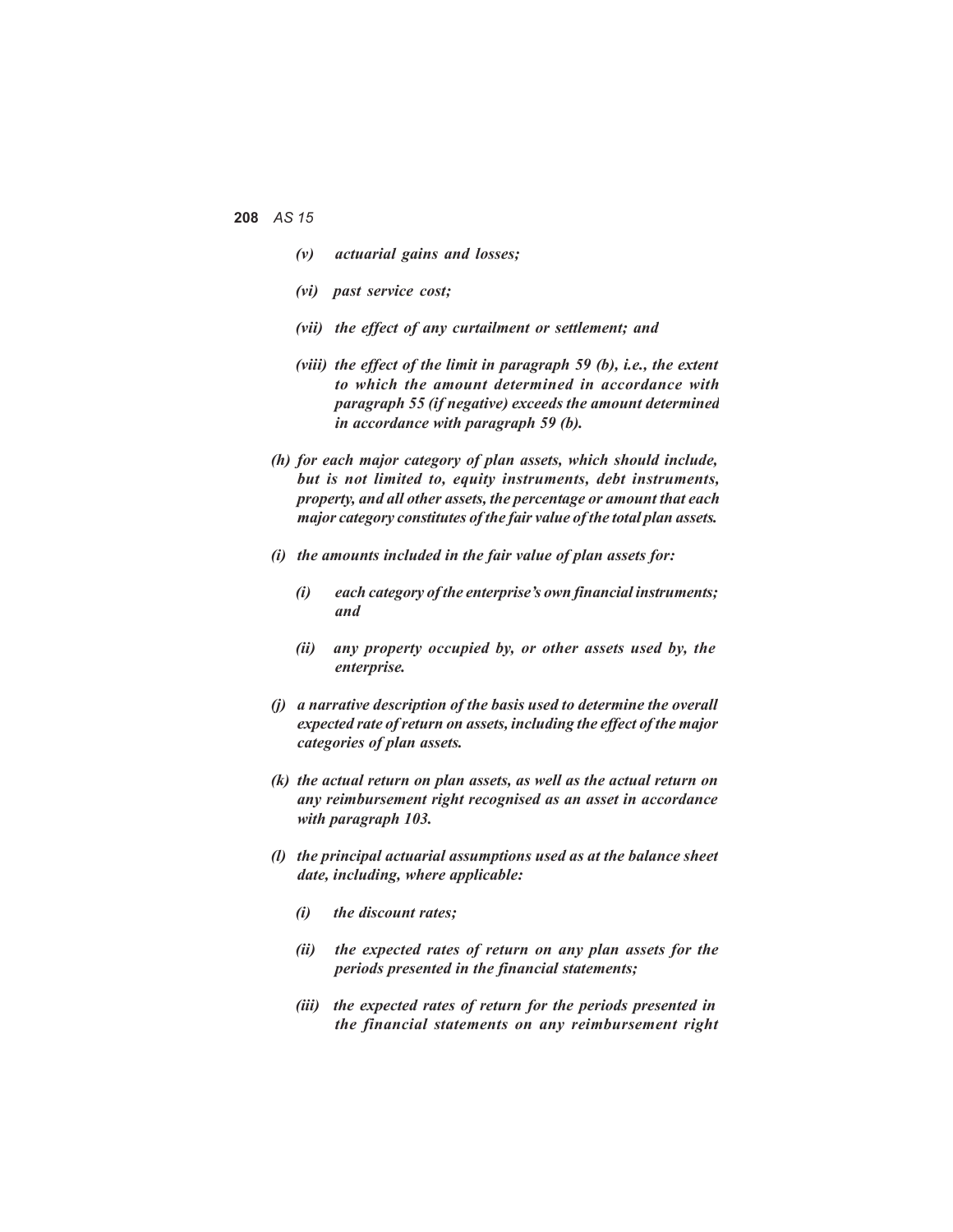- *(v) actuarial gains and losses;*
- *(vi) past service cost;*
- *(vii) the effect of any curtailment or settlement; and*
- *(viii) the effect of the limit in paragraph 59 (b), i.e., the extent to which the amount determined in accordance with paragraph 55 (if negative) exceeds the amount determined in accordance with paragraph 59 (b).*
- *(h) for each major category of plan assets, which should include, but is not limited to, equity instruments, debt instruments, property, and all other assets, the percentage or amount that each major category constitutes of the fair value of the total plan assets.*
- *(i) the amounts included in the fair value of plan assets for:*
	- *(i) each category ofthe enterprise's own financial instruments; and*
	- *(ii) any property occupied by, or other assets used by, the enterprise.*
- *(j) a narrative description of the basis used to determine the overall expected rate of return on assets, including the effect of the major categories of plan assets.*
- *(k) the actual return on plan assets, as well as the actual return on any reimbursement right recognised as an asset in accordance with paragraph 103.*
- *(l) the principal actuarial assumptions used as at the balance sheet date, including, where applicable:*
	- *(i) the discount rates;*
	- *(ii) the expected rates of return on any plan assets for the periods presented in the financial statements;*
	- *(iii) the expected rates of return for the periods presented in the financial statements on any reimbursement right*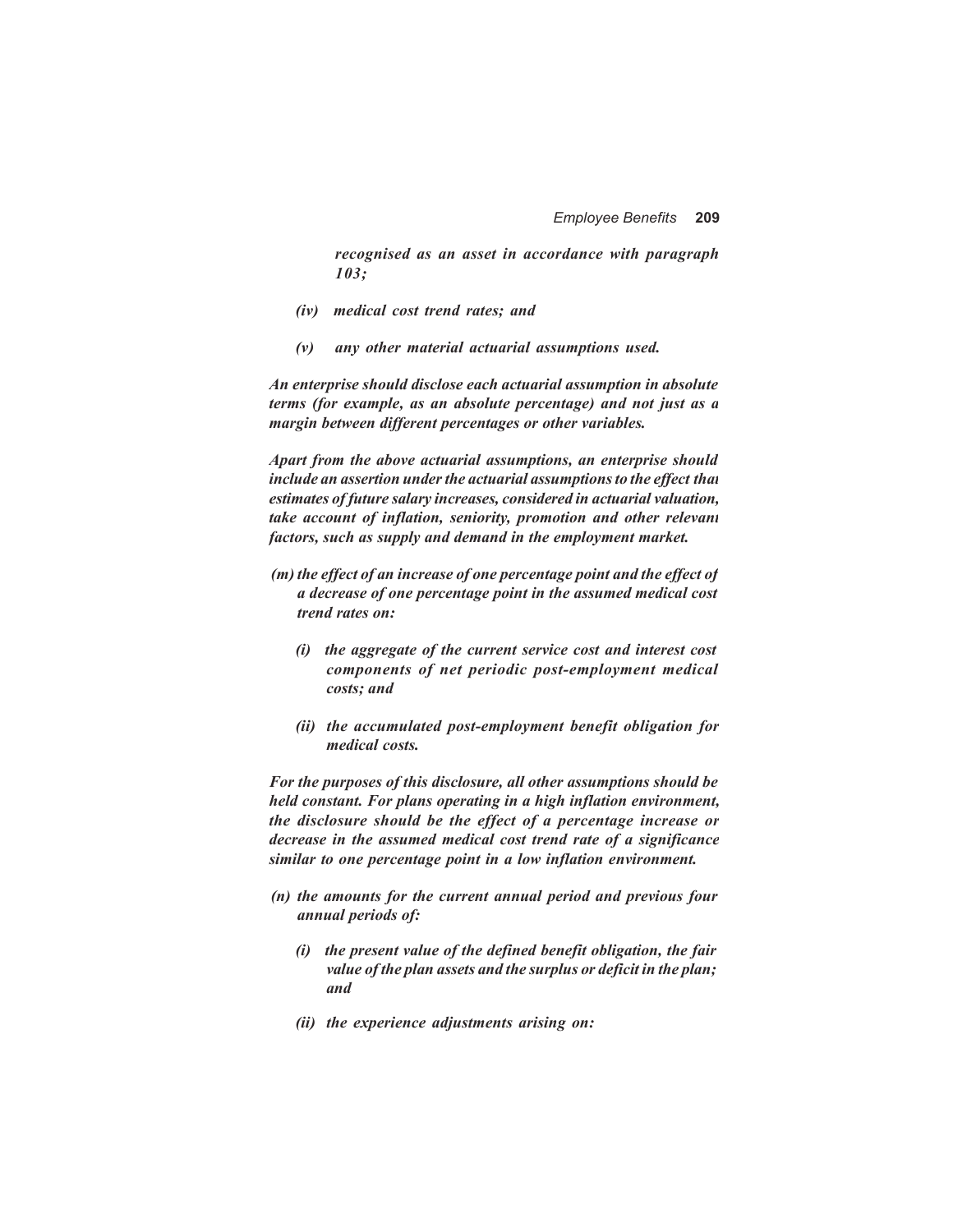*recognised as an asset in accordance with paragraph 103;*

- *(iv) medical cost trend rates; and*
- *(v) any other material actuarial assumptions used.*

*An enterprise should disclose each actuarial assumption in absolute terms (for example, as an absolute percentage) and not just as a margin between different percentages or other variables.*

*Apart from the above actuarial assumptions, an enterprise should include an assertion under the actuarial assumptions to the effect that estimates of future salary increases, considered in actuarial valuation, take account of inflation, seniority, promotion and other relevant factors, such as supply and demand in the employment market.*

- *(m) the effect of an increase of one percentage point and the effect of a decrease of one percentage point in the assumed medical cost trend rates on:*
	- *(i) the aggregate of the current service cost and interest cost components of net periodic post-employment medical costs; and*
	- *(ii) the accumulated post-employment benefit obligation for medical costs.*

*For the purposes of this disclosure, all other assumptions should be held constant. For plans operating in a high inflation environment, the disclosure should be the effect of a percentage increase or decrease in the assumed medical cost trend rate of a significance similar to one percentage point in a low inflation environment.*

- *(n) the amounts for the current annual period and previous four annual periods of:*
	- *(i) the present value of the defined benefit obligation, the fair value of the plan assets and the surplus or deficit in the plan; and*
	- *(ii) the experience adjustments arising on:*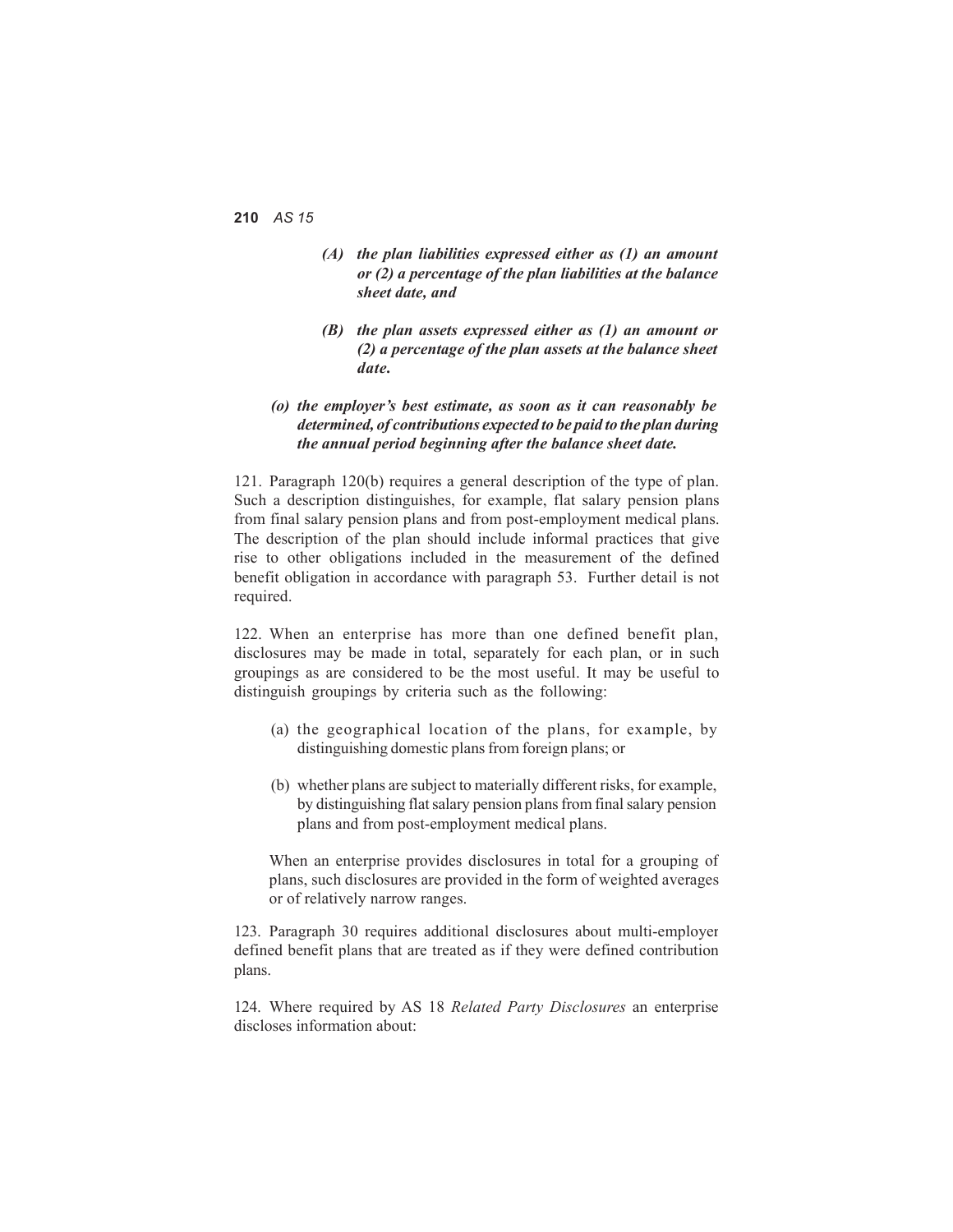- *(A) the plan liabilities expressed either as (1) an amount or (2) a percentage of the plan liabilities at the balance sheet date, and*
- *(B) the plan assets expressed either as (1) an amount or (2) a percentage of the plan assets at the balance sheet date.*

#### *(o) the employer's best estimate, as soon as it can reasonably be determined, of contributions expected to be paid to the plan during the annual period beginning after the balance sheet date.*

121. Paragraph 120(b) requires a general description of the type of plan. Such a description distinguishes, for example, flat salary pension plans from final salary pension plans and from post-employment medical plans. The description of the plan should include informal practices that give rise to other obligations included in the measurement of the defined benefit obligation in accordance with paragraph 53. Further detail is not required.

122. When an enterprise has more than one defined benefit plan, disclosures may be made in total, separately for each plan, or in such groupings as are considered to be the most useful. It may be useful to distinguish groupings by criteria such as the following:

- (a) the geographical location of the plans, for example, by distinguishing domestic plans from foreign plans; or
- (b) whether plans are subject to materially different risks, for example, by distinguishing flat salary pension plans from final salary pension plans and from post-employment medical plans.

When an enterprise provides disclosures in total for a grouping of plans, such disclosures are provided in the form of weighted averages or of relatively narrow ranges.

123. Paragraph 30 requires additional disclosures about multi-employer defined benefit plans that are treated as if they were defined contribution plans.

124. Where required by AS 18 *Related Party Disclosures* an enterprise discloses information about: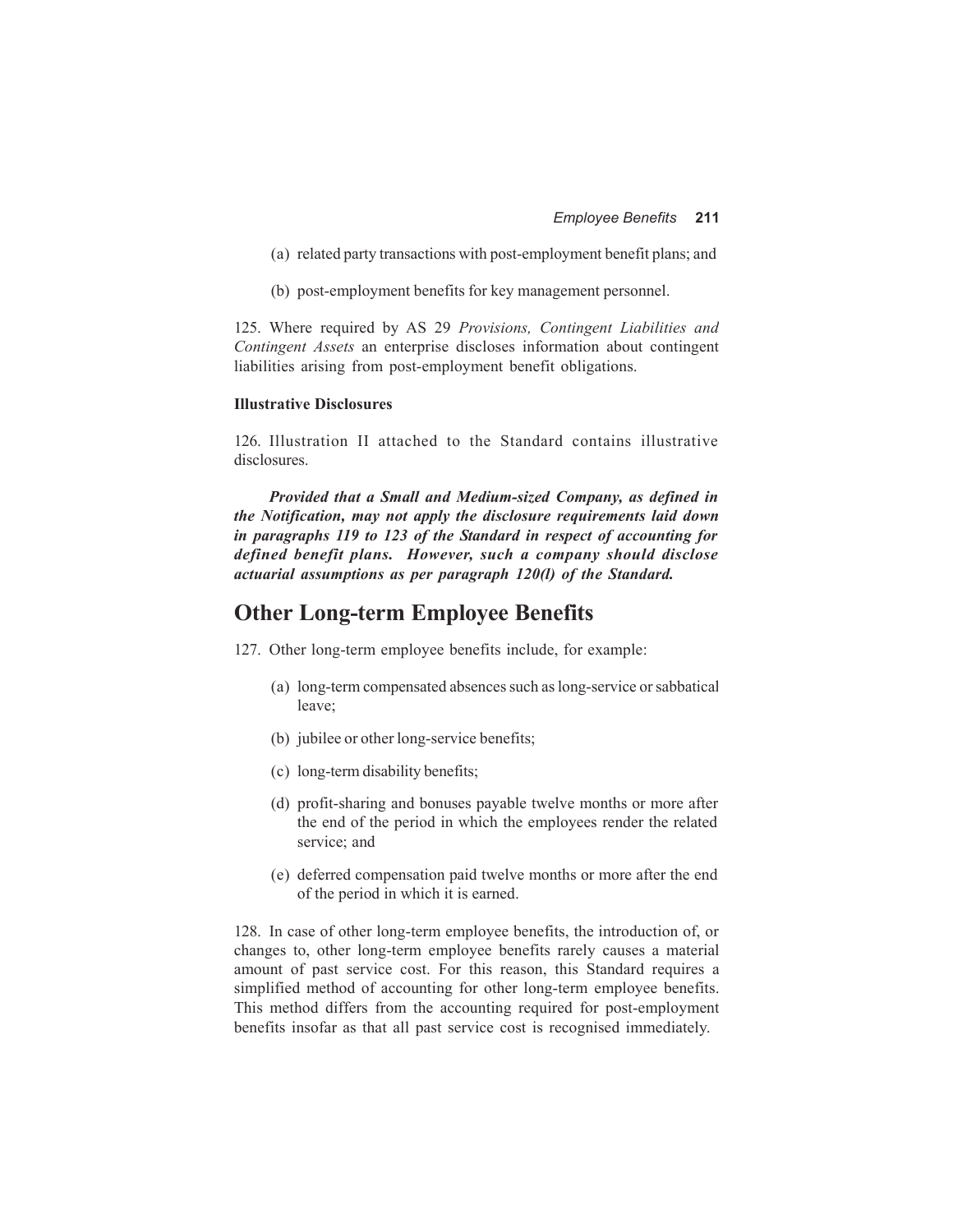- (a) related party transactions with post-employment benefit plans; and
- (b) post-employment benefits for key management personnel.

125. Where required by AS 29 *Provisions, Contingent Liabilities and Contingent Assets* an enterprise discloses information about contingent liabilities arising from post-employment benefit obligations.

#### **Illustrative Disclosures**

126. Illustration II attached to the Standard contains illustrative disclosures.

*Provided that a Small and Medium-sized Company, as defined in the Notification, may not apply the disclosure requirements laid down in paragraphs 119 to 123 of the Standard in respect of accounting for defined benefit plans. However, such a company should disclose actuarial assumptions as per paragraph 120(l) of the Standard.*

### **Other Long-term Employee Benefits**

127. Other long-term employee benefits include, for example:

- (a) long-term compensated absences such as long-service orsabbatical leave;
- (b) jubilee or other long-service benefits;
- (c) long-term disability benefits;
- (d) profit-sharing and bonuses payable twelve months or more after the end of the period in which the employees render the related service; and
- (e) deferred compensation paid twelve months or more after the end of the period in which it is earned.

128. In case of other long-term employee benefits, the introduction of, or changes to, other long-term employee benefits rarely causes a material amount of past service cost. For this reason, this Standard requires a simplified method of accounting for other long-term employee benefits. This method differs from the accounting required for post-employment benefits insofar as that all past service cost is recognised immediately.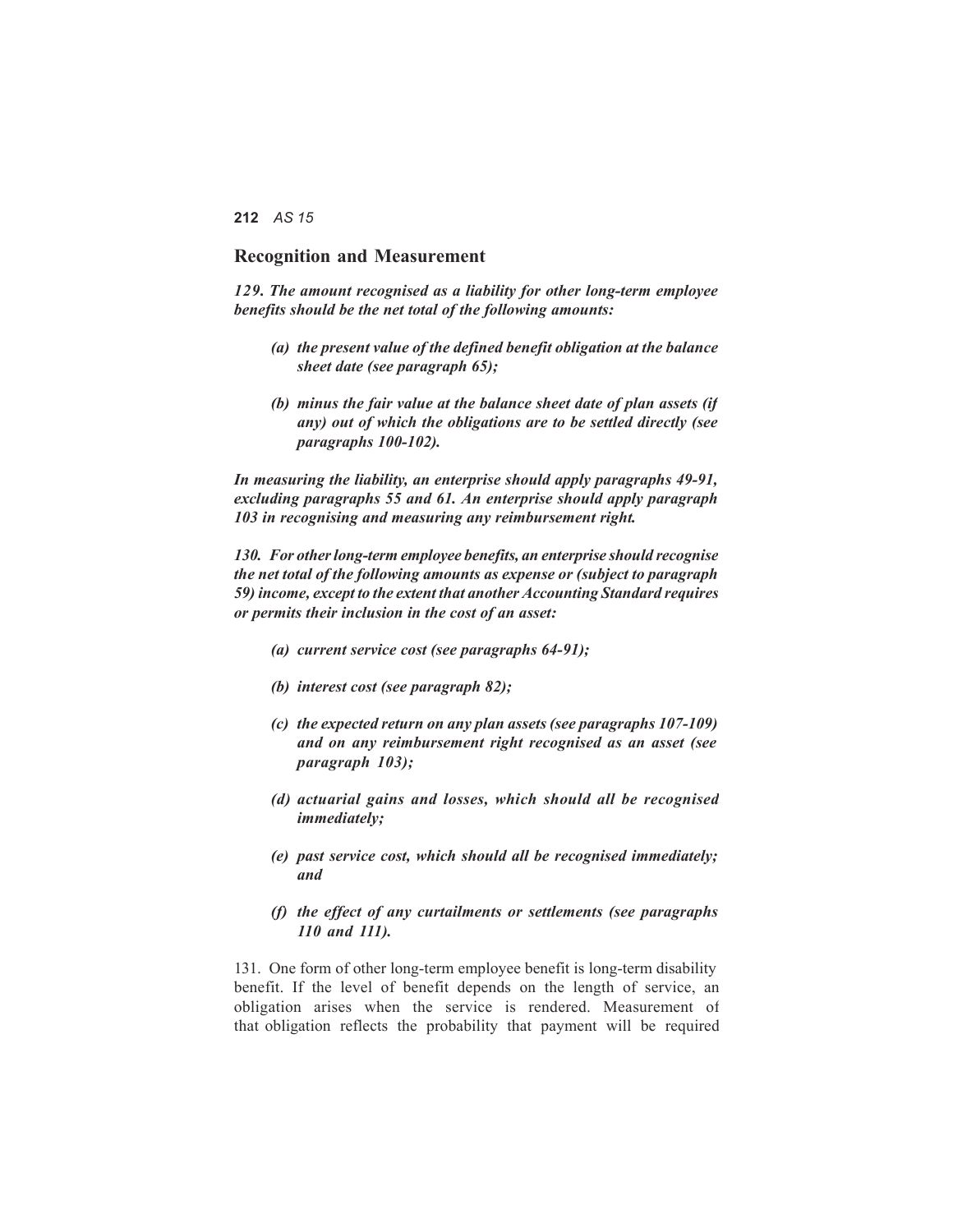#### **Recognition and Measurement**

*129. The amount recognised as a liability for other long-term employee benefits should be the net total of the following amounts:*

- *(a) the present value of the defined benefit obligation at the balance sheet date (see paragraph 65);*
- *(b) minus the fair value at the balance sheet date of plan assets (if any) out of which the obligations are to be settled directly (see paragraphs 100-102).*

*In measuring the liability, an enterprise should apply paragraphs 49-91, excluding paragraphs 55 and 61. An enterprise should apply paragraph 103 in recognising and measuring any reimbursement right.*

*130. For other long-term employee benefits, an enterprise should recognise the net total of the following amounts as expense or (subject to paragraph 59) income, except to the extent that another Accounting Standard requires or permits their inclusion in the cost of an asset:*

- *(a) current service cost (see paragraphs 64-91);*
- *(b) interest cost (see paragraph 82);*
- *(c) the expected return on any plan assets (see paragraphs 107-109) and on any reimbursement right recognised as an asset (see paragraph 103);*
- *(d) actuarial gains and losses, which should all be recognised immediately;*
- *(e) past service cost, which should all be recognised immediately; and*
- *(f) the effect of any curtailments or settlements (see paragraphs 110 and 111).*

131. One form of other long-term employee benefit is long-term disability benefit. If the level of benefit depends on the length of service, an obligation arises when the service is rendered. Measurement of that obligation reflects the probability that payment will be required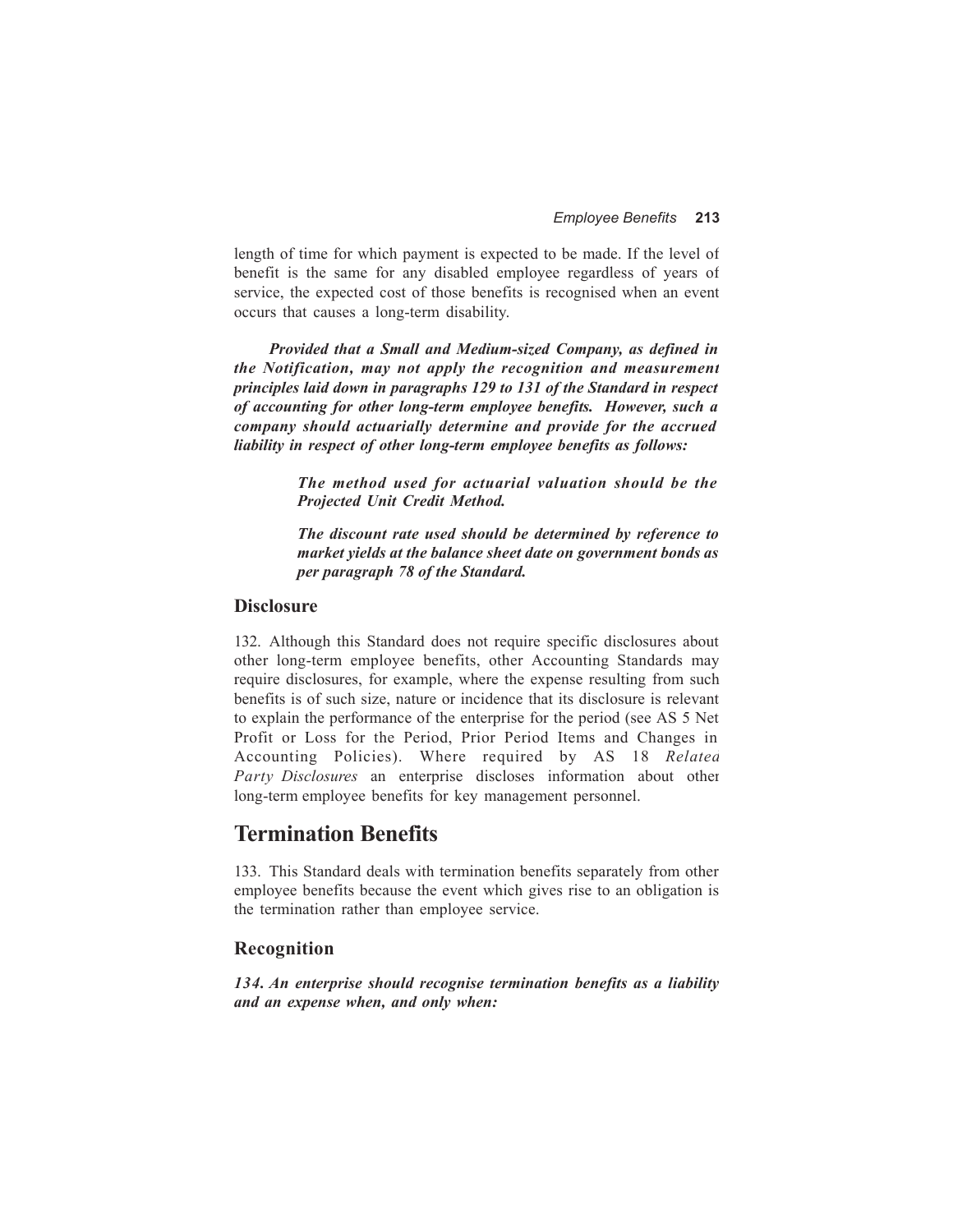length of time for which payment is expected to be made. If the level of benefit is the same for any disabled employee regardless of years of service, the expected cost of those benefits is recognised when an event occurs that causes a long-term disability.

*Provided that a Small and Medium-sized Company, as defined in the Notification, may not apply the recognition and measurement principles laid down in paragraphs 129 to 131 of the Standard in respect of accounting for other long-term employee benefits. However, such a company should actuarially determine and provide for the accrued liability in respect of other long-term employee benefits as follows:*

> *The method used for actuarial valuation should be the Projected Unit Credit Method.*

> *The discount rate used should be determined by reference to market yields at the balance sheet date on government bonds as per paragraph 78 of the Standard.*

#### **Disclosure**

132. Although this Standard does not require specific disclosures about other long-term employee benefits, other Accounting Standards may require disclosures, for example, where the expense resulting from such benefits is of such size, nature or incidence that its disclosure is relevant to explain the performance of the enterprise for the period (see AS 5 Net Profit or Loss for the Period, Prior Period Items and Changes in Accounting Policies). Where required by AS 18 *Related Party Disclosures* an enterprise discloses information about other long-term employee benefits for key management personnel.

# **Termination Benefits**

133. This Standard deals with termination benefits separately from other employee benefits because the event which gives rise to an obligation is the termination rather than employee service.

### **Recognition**

*134. An enterprise should recognise termination benefits as a liability and an expense when, and only when:*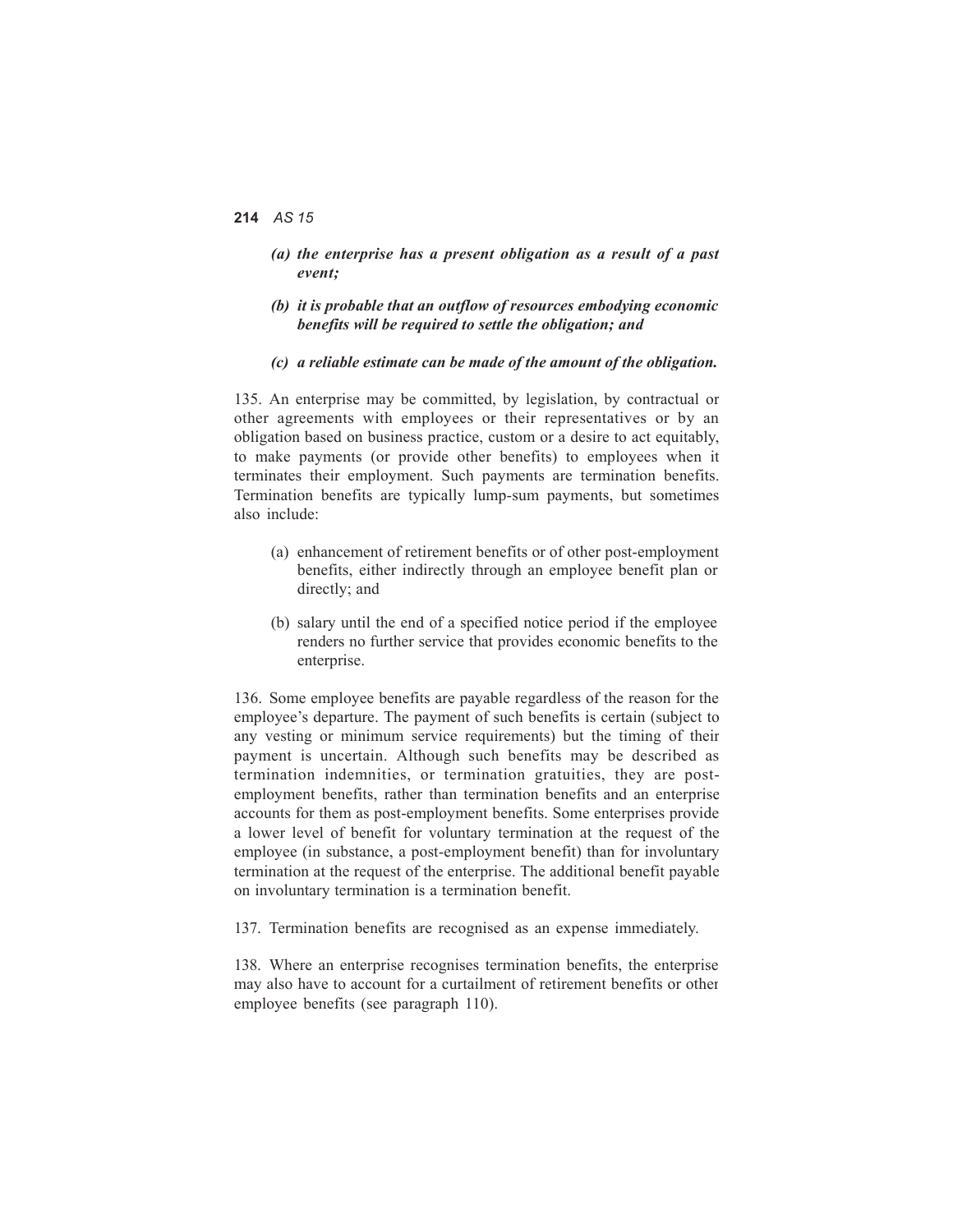- *(a) the enterprise has a present obligation as a result of a past event;*
- *(b) it is probable that an outflow of resources embodying economic benefits will be required to settle the obligation; and*
- *(c) a reliable estimate can be made of the amount of the obligation.*

135. An enterprise may be committed, by legislation, by contractual or other agreements with employees or their representatives or by an obligation based on business practice, custom or a desire to act equitably, to make payments (or provide other benefits) to employees when it terminates their employment. Such payments are termination benefits. Termination benefits are typically lump-sum payments, but sometimes also include:

- (a) enhancement of retirement benefits or of other post-employment benefits, either indirectly through an employee benefit plan or directly; and
- (b) salary until the end of a specified notice period if the employee renders no further service that provides economic benefits to the enterprise.

136. Some employee benefits are payable regardless of the reason for the employee's departure. The payment of such benefits is certain (subject to any vesting or minimum service requirements) but the timing of their payment is uncertain. Although such benefits may be described as termination indemnities, or termination gratuities, they are postemployment benefits, rather than termination benefits and an enterprise accounts for them as post-employment benefits. Some enterprises provide a lower level of benefit for voluntary termination at the request of the employee (in substance, a post-employment benefit) than for involuntary termination at the request of the enterprise. The additional benefit payable on involuntary termination is a termination benefit.

137. Termination benefits are recognised as an expense immediately.

138. Where an enterprise recognises termination benefits, the enterprise may also have to account for a curtailment of retirement benefits or other employee benefits (see paragraph 110).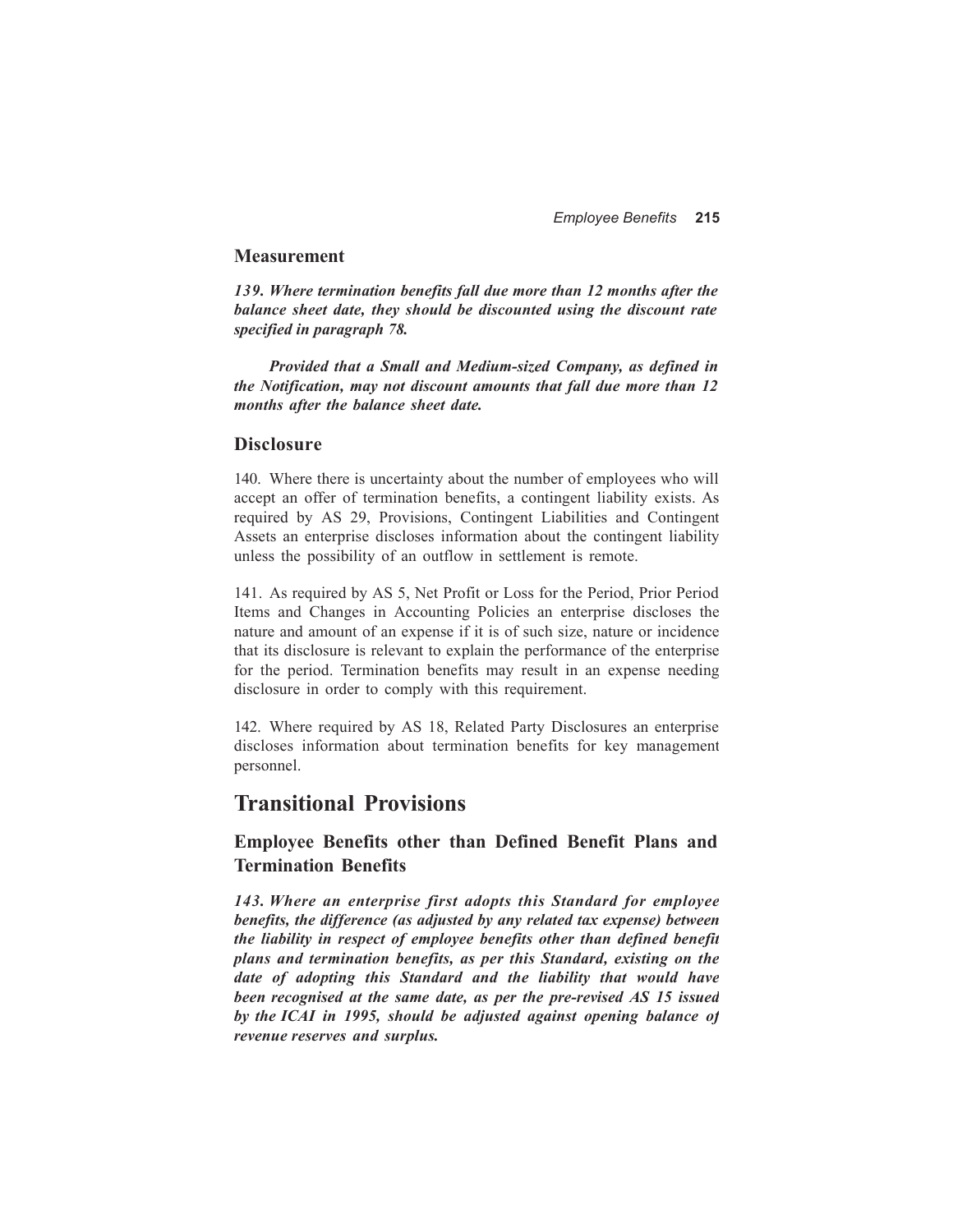#### **Measurement**

*139. Where termination benefits fall due more than 12 months after the balance sheet date, they should be discounted using the discount rate specified in paragraph 78.*

*Provided that a Small and Medium-sized Company, as defined in the Notification, may not discount amounts that fall due more than 12 months after the balance sheet date.*

#### **Disclosure**

140. Where there is uncertainty about the number of employees who will accept an offer of termination benefits, a contingent liability exists. As required by AS 29, Provisions, Contingent Liabilities and Contingent Assets an enterprise discloses information about the contingent liability unless the possibility of an outflow in settlement is remote.

141. As required by AS 5, Net Profit or Loss for the Period, Prior Period Items and Changes in Accounting Policies an enterprise discloses the nature and amount of an expense if it is of such size, nature or incidence that its disclosure is relevant to explain the performance of the enterprise for the period. Termination benefits may result in an expense needing disclosure in order to comply with this requirement.

142. Where required by AS 18, Related Party Disclosures an enterprise discloses information about termination benefits for key management personnel.

### **Transitional Provisions**

### **Employee Benefits other than Defined Benefit Plans and Termination Benefits**

*143. Where an enterprise first adopts this Standard for employee benefits, the difference (as adjusted by any related tax expense) between the liability in respect of employee benefits other than defined benefit plans and termination benefits, as per this Standard, existing on the date of adopting this Standard and the liability that would have been recognised at the same date, as per the pre-revised AS 15 issued by the ICAI in 1995, should be adjusted against opening balance of revenue reserves and surplus.*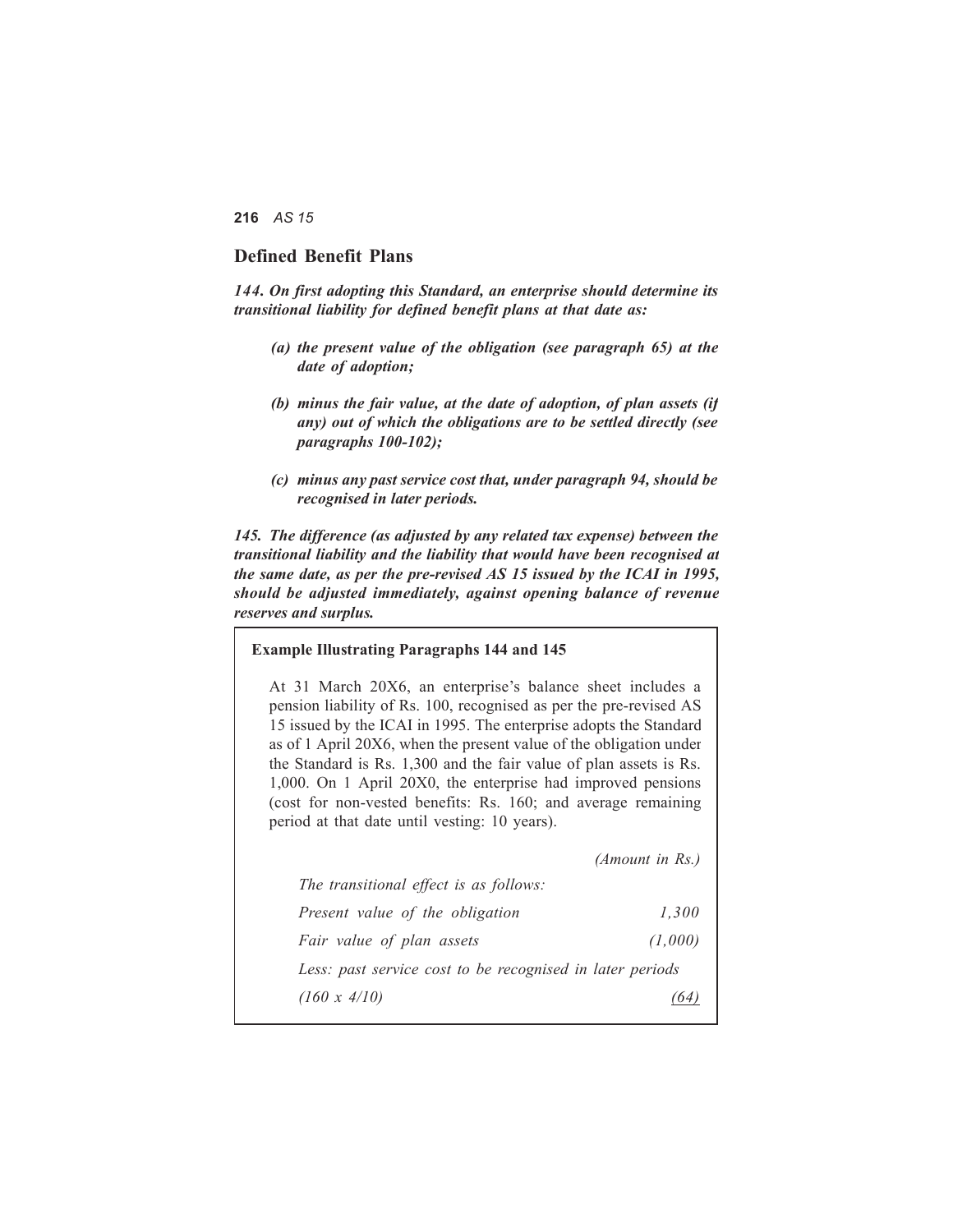#### **Defined Benefit Plans**

*144. On first adopting this Standard, an enterprise should determine its transitional liability for defined benefit plans at that date as:*

- *(a) the present value of the obligation (see paragraph 65) at the date of adoption;*
- *(b) minus the fair value, at the date of adoption, of plan assets (if any) out of which the obligations are to be settled directly (see paragraphs 100-102);*
- *(c) minus any past service cost that, under paragraph 94, should be recognised in later periods.*

*145. The difference (as adjusted by any related tax expense) between the transitional liability and the liability that would have been recognised at the same date, as per the pre-revised AS 15 issued by the ICAI in 1995, should be adjusted immediately, against opening balance of revenue reserves and surplus.*

#### **Example Illustrating Paragraphs 144 and 145**

At 31 March 20X6, an enterprise's balance sheet includes a pension liability of Rs. 100, recognised as per the pre-revised AS 15 issued by the ICAI in 1995. The enterprise adopts the Standard as of 1 April 20X6, when the present value of the obligation under the Standard is Rs. 1,300 and the fair value of plan assets is Rs. 1,000. On 1 April 20X0, the enterprise had improved pensions (cost for non-vested benefits: Rs. 160; and average remaining period at that date until vesting: 10 years).

| $(A$ <i>mount in Rs.</i> )                                |
|-----------------------------------------------------------|
|                                                           |
| 1,300                                                     |
| (1,000)                                                   |
| Less: past service cost to be recognised in later periods |
|                                                           |
|                                                           |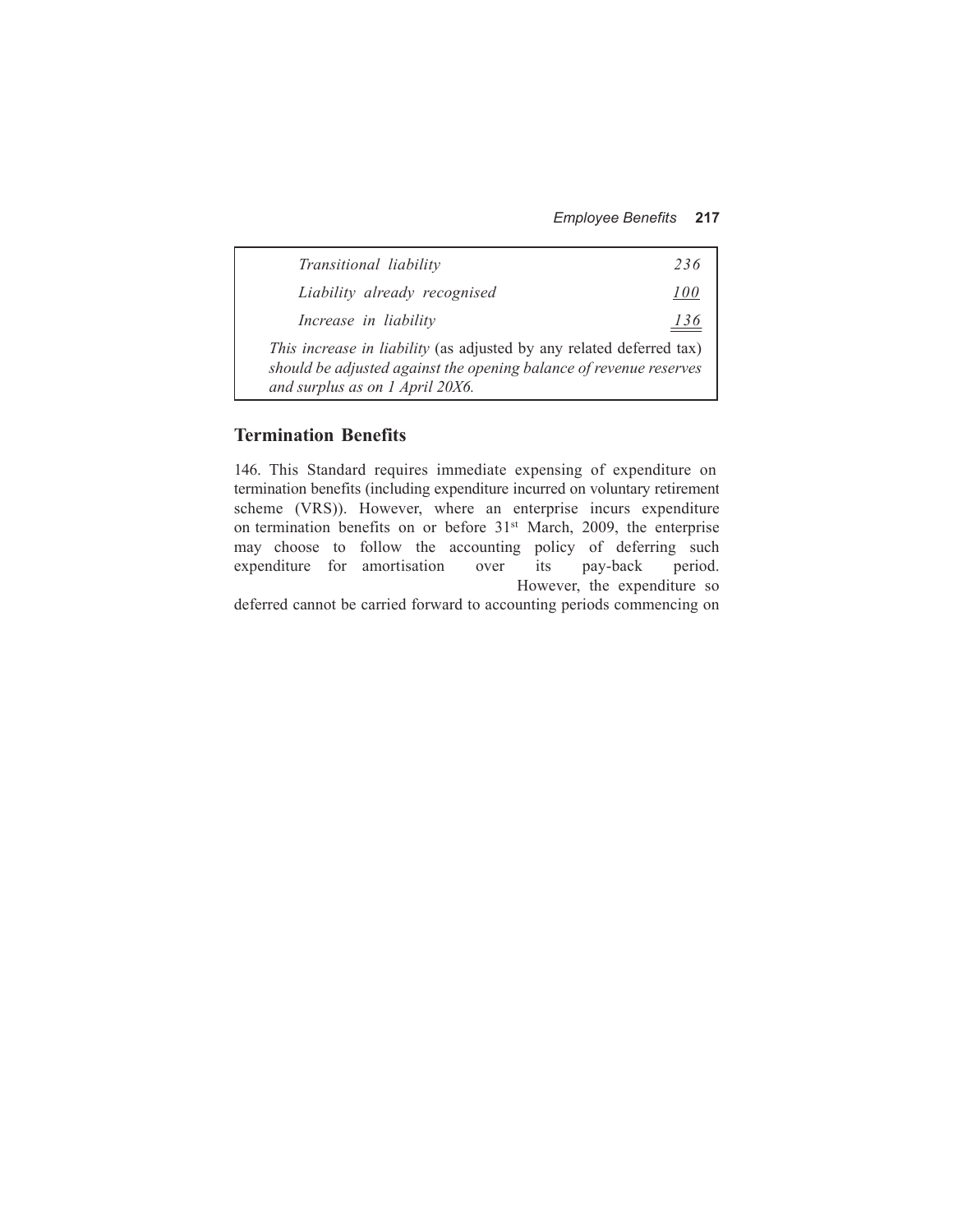| Transitional liability                                                                                                                                                        | 236        |
|-------------------------------------------------------------------------------------------------------------------------------------------------------------------------------|------------|
| Liability already recognised                                                                                                                                                  | 100        |
| Increase in liability                                                                                                                                                         | <u>136</u> |
| This increase in liability (as adjusted by any related deferred tax)<br>should be adjusted against the opening balance of revenue reserves<br>and surplus as on 1 April 20X6. |            |

### **Termination Benefits**

146. This Standard requires immediate expensing of expenditure on termination benefits (including expenditure incurred on voluntary retirement scheme (VRS)). However, where an enterprise incurs expenditure on termination benefits on or before 31<sup>st</sup> March, 2009, the enterprise may choose to follow the accounting policy of deferring such expenditure for amortisation over its pay-back period. expenditure for amortisation over its pay-back period. However, the expenditure so

deferred cannot be carried forward to accounting periods commencing on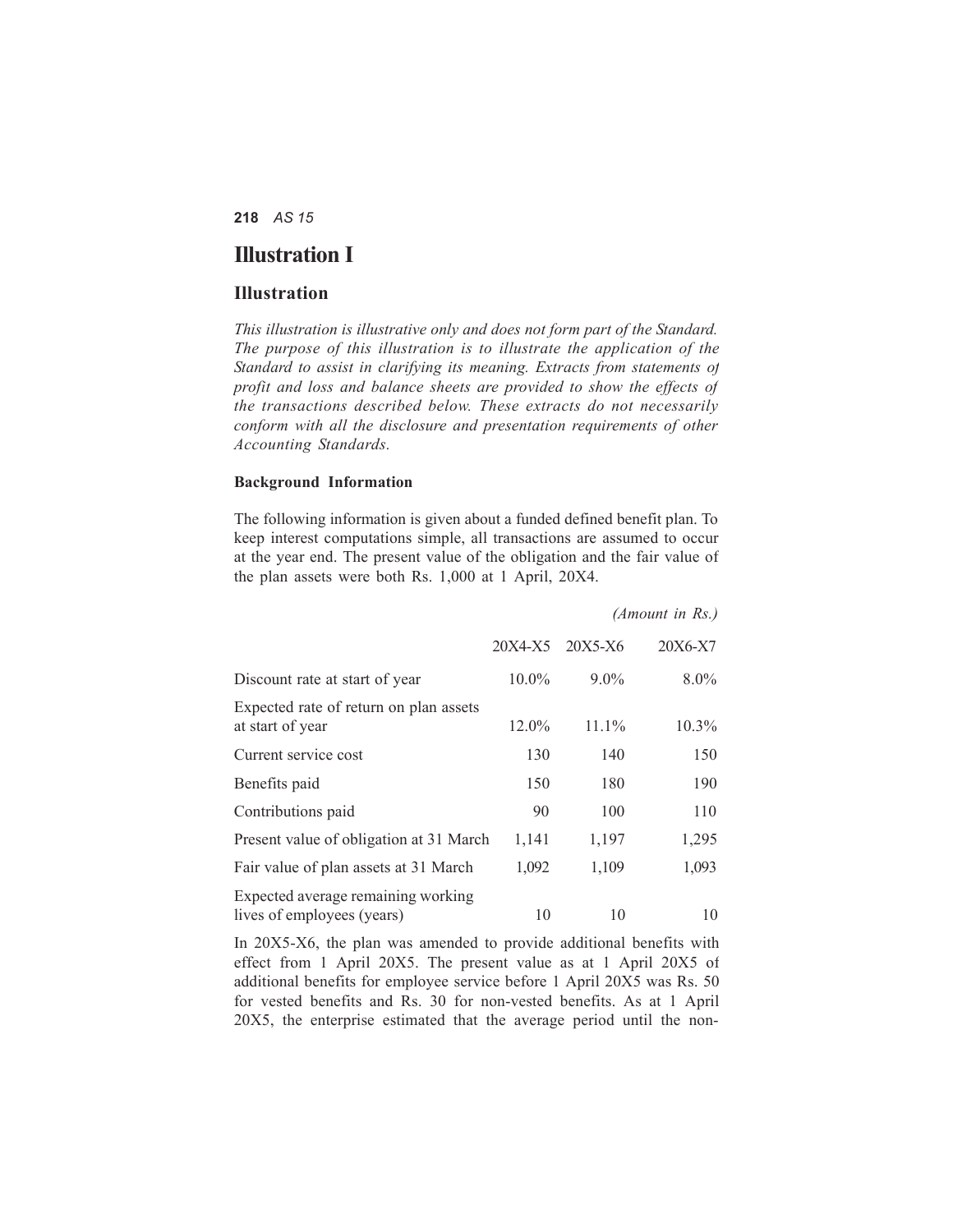### **Illustration I**

#### **Illustration**

*This illustration is illustrative only and does not form part of the Standard. The purpose of this illustration is to illustrate the application of the Standard to assist in clarifying its meaning. Extracts from statements of profit and loss and balance sheets are provided to show the effects of the transactions described below. These extracts do not necessarily conform with all the disclosure and presentation requirements of other Accounting Standards.*

#### **Background Information**

The following information is given about a funded defined benefit plan. To keep interest computations simple, all transactions are assumed to occur at the year end. The present value of the obligation and the fair value of the plan assets were both Rs. 1,000 at 1 April, 20X4.

|                                         |             |          | <i>(Amount in Rs.)</i> |
|-----------------------------------------|-------------|----------|------------------------|
|                                         | $20X4 - X5$ | 20X5-X6  | 20X6-X7                |
| Discount rate at start of year          | $10.0\%$    | $9.0\%$  | $8.0\%$                |
| Expected rate of return on plan assets  |             |          |                        |
| at start of year                        | 12.0%       | $11.1\%$ | $10.3\%$               |
| Current service cost                    | 130         | 140      | 150                    |
| Benefits paid                           | 150         | 180      | 190                    |
| Contributions paid                      | 90          | 100      | 110                    |
| Present value of obligation at 31 March | 1,141       | 1,197    | 1,295                  |
| Fair value of plan assets at 31 March   | 1,092       | 1,109    | 1,093                  |
| Expected average remaining working      |             |          |                        |
| lives of employees (years)              | 10          | 10       | 10                     |

In 20X5-X6, the plan was amended to provide additional benefits with effect from 1 April 20X5. The present value as at 1 April 20X5 of additional benefits for employee service before 1 April 20X5 was Rs. 50 for vested benefits and Rs. 30 for non-vested benefits. As at 1 April 20X5, the enterprise estimated that the average period until the non-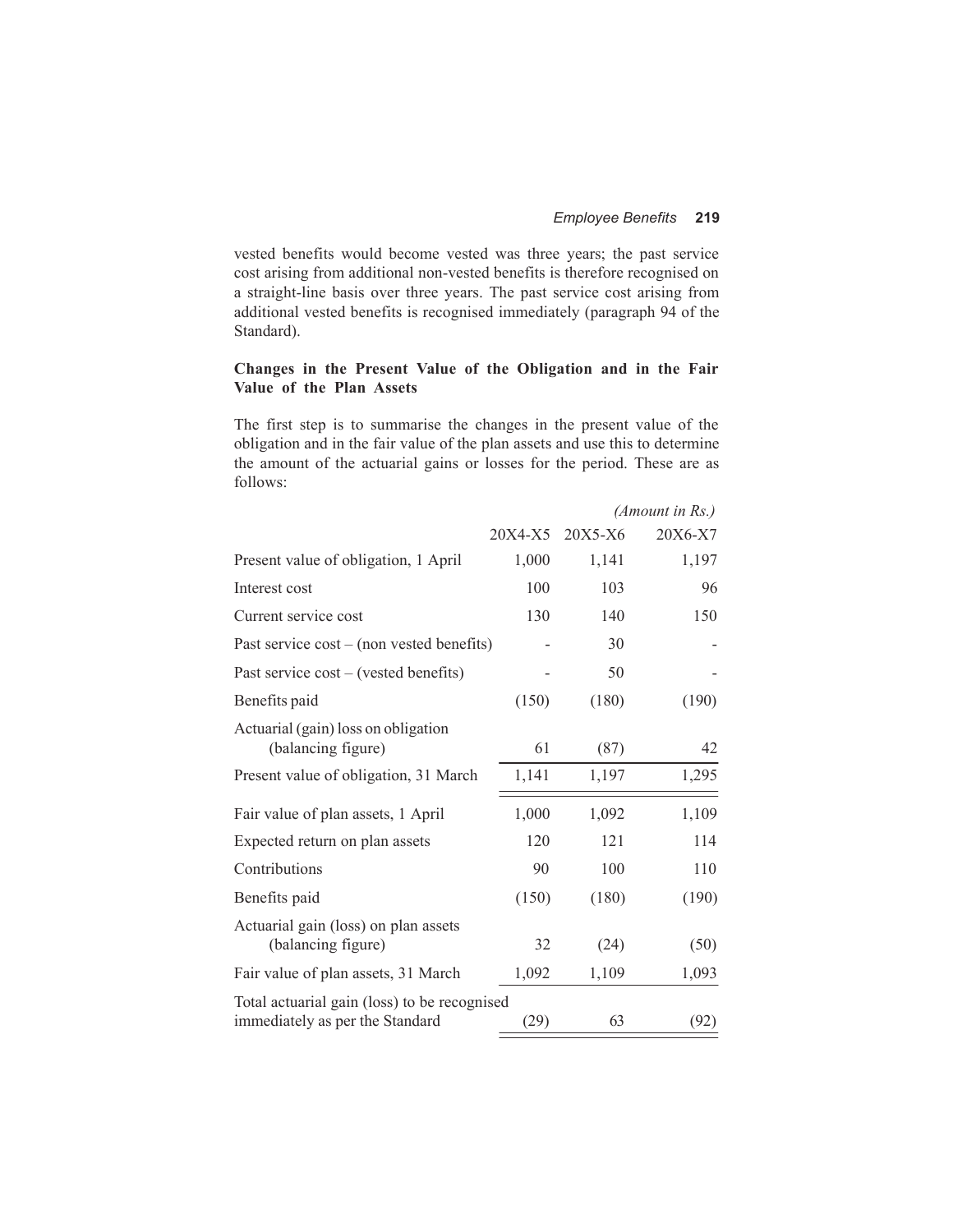*(Amount in Rs.)*

vested benefits would become vested was three years; the past service cost arising from additional non-vested benefits is therefore recognised on a straight-line basis over three years. The past service cost arising from additional vested benefits is recognised immediately (paragraph 94 of the Standard).

#### **Changes in the Present Value of the Obligation and in the Fair Value of the Plan Assets**

The first step is to summarise the changes in the present value of the obligation and in the fair value of the plan assets and use this to determine the amount of the actuarial gains or losses for the period. These are as follows:

|                                                                                 | 20X4-X5 | 20X5-X6 | 20X6-X7 |
|---------------------------------------------------------------------------------|---------|---------|---------|
| Present value of obligation, 1 April                                            | 1,000   | 1,141   | 1,197   |
| Interest cost                                                                   | 100     | 103     | 96      |
| Current service cost                                                            | 130     | 140     | 150     |
| Past service $cost - (nonvested benefits)$                                      |         | 30      |         |
| Past service cost – (vested benefits)                                           |         | 50      |         |
| Benefits paid                                                                   | (150)   | (180)   | (190)   |
| Actuarial (gain) loss on obligation<br>(balancing figure)                       | 61      | (87)    | 42      |
| Present value of obligation, 31 March                                           | 1,141   | 1,197   | 1,295   |
| Fair value of plan assets, 1 April                                              | 1,000   | 1,092   | 1,109   |
| Expected return on plan assets                                                  | 120     | 121     | 114     |
| Contributions                                                                   | 90      | 100     | 110     |
| Benefits paid                                                                   | (150)   | (180)   | (190)   |
| Actuarial gain (loss) on plan assets<br>(balancing figure)                      | 32      | (24)    | (50)    |
| Fair value of plan assets, 31 March                                             | 1,092   | 1,109   | 1,093   |
| Total actuarial gain (loss) to be recognised<br>immediately as per the Standard | (29)    | 63      | (92)    |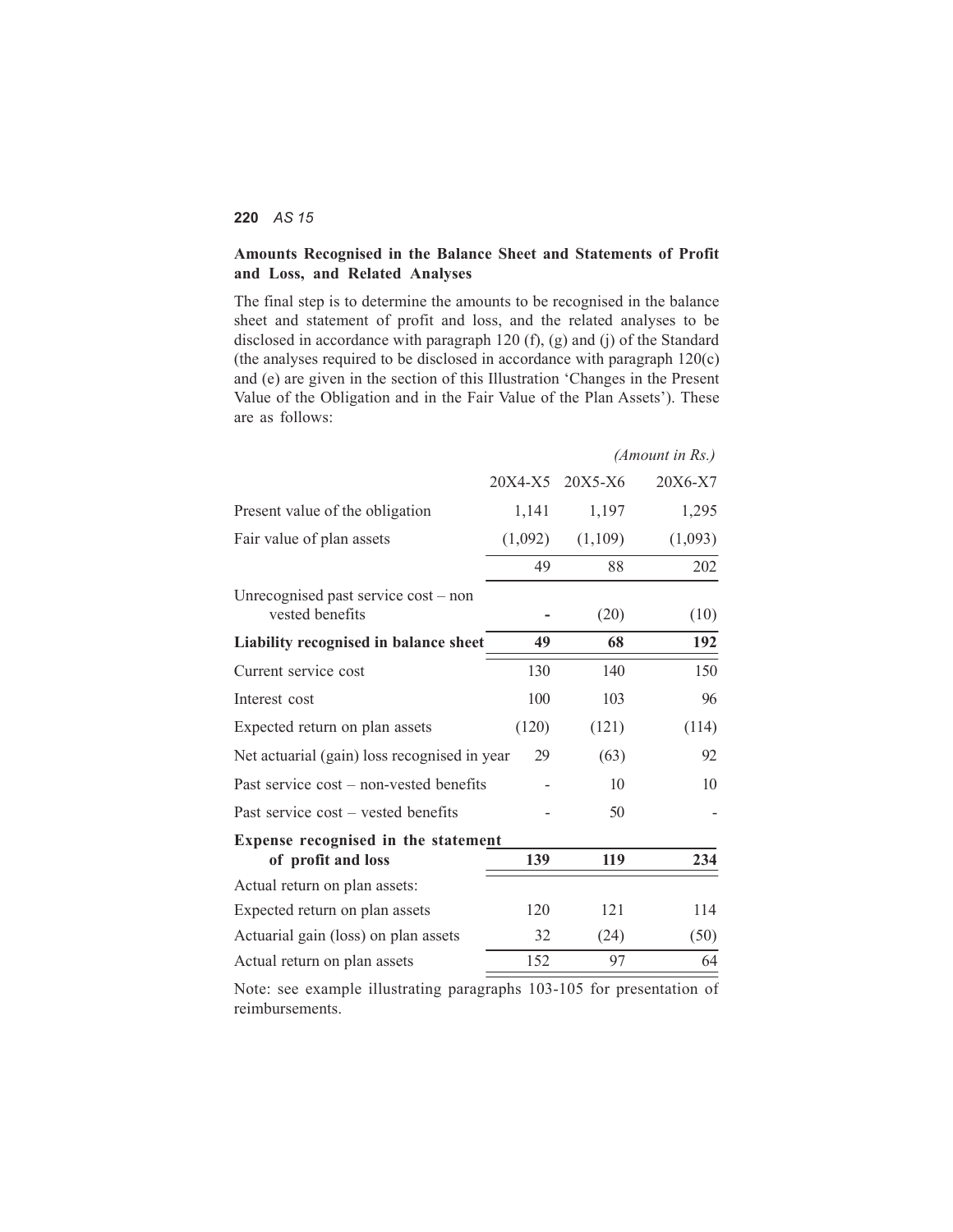#### **Amounts Recognised in the Balance Sheet and Statements of Profit and Loss, and Related Analyses**

The final step is to determine the amounts to be recognised in the balance sheet and statement of profit and loss, and the related analyses to be disclosed in accordance with paragraph 120 (f), (g) and (j) of the Standard (the analyses required to be disclosed in accordance with paragraph 120(c) and (e) are given in the section of this Illustration 'Changes in the Present Value of the Obligation and in the Fair Value of the Plan Assets'). These are as follows:

|                                                         |         |                 | $(A$ <i>mount in Rs.</i> ) |
|---------------------------------------------------------|---------|-----------------|----------------------------|
|                                                         |         | 20X4-X5 20X5-X6 | 20X6-X7                    |
| Present value of the obligation                         | 1,141   | 1,197           | 1,295                      |
| Fair value of plan assets                               | (1,092) | (1,109)         | (1,093)                    |
|                                                         | 49      | 88              | 202                        |
| Unrecognised past service cost - non<br>vested benefits |         | (20)            | (10)                       |
| Liability recognised in balance sheet                   | 49      | 68              | 192                        |
| Current service cost                                    | 130     | 140             | 150                        |
| Interest cost                                           | 100     | 103             | 96                         |
| Expected return on plan assets                          | (120)   | (121)           | (114)                      |
| Net actuarial (gain) loss recognised in year            | 29      | (63)            | 92                         |
| Past service cost – non-vested benefits                 |         | 10              | 10                         |
| Past service cost – vested benefits                     |         | 50              |                            |
| Expense recognised in the statement                     |         |                 |                            |
| of profit and loss                                      | 139     | 119             | 234                        |
| Actual return on plan assets:                           |         |                 |                            |
| Expected return on plan assets                          | 120     | 121             | 114                        |
| Actuarial gain (loss) on plan assets                    | 32      | (24)            | (50)                       |
| Actual return on plan assets                            | 152     | 97              | 64                         |

Note: see example illustrating paragraphs 103-105 for presentation of reimbursements.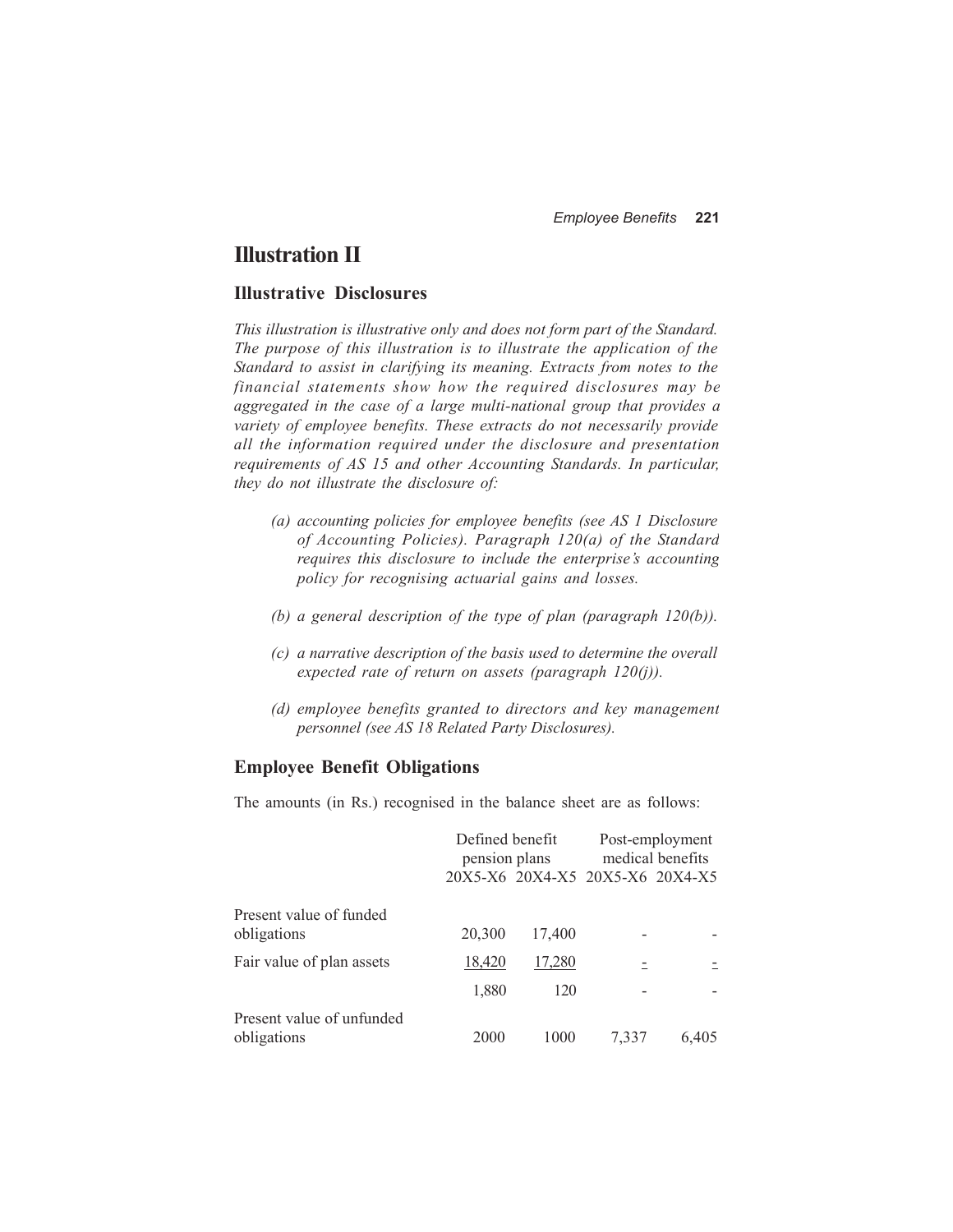# **Illustration II**

#### **Illustrative Disclosures**

*This illustration is illustrative only and does not form part of the Standard. The purpose of this illustration is to illustrate the application of the Standard to assist in clarifying its meaning. Extracts from notes to the financial statements show how the required disclosures may be aggregated in the case of a large multi-national group that provides a variety of employee benefits. These extracts do not necessarily provide all the information required under the disclosure and presentation requirements of AS 15 and other Accounting Standards. In particular, they do not illustrate the disclosure of:*

- *(a) accounting policies for employee benefits (see AS 1 Disclosure of Accounting Policies). Paragraph 120(a) of the Standard requires this disclosure to include the enterprise's accounting policy for recognising actuarial gains and losses.*
- *(b) a general description of the type of plan (paragraph 120(b)).*
- *(c) a narrative description of the basis used to determine the overall expected rate of return on assets (paragraph 120(j)).*
- *(d) employee benefits granted to directors and key management personnel (see AS 18 Related Party Disclosures).*

#### **Employee Benefit Obligations**

The amounts (in Rs.) recognised in the balance sheet are as follows:

|                                          | Defined benefit<br>pension plans<br>20X5-X6 20X4-X5 20X5-X6 20X4-X5 |        |       | Post-employment<br>medical benefits |
|------------------------------------------|---------------------------------------------------------------------|--------|-------|-------------------------------------|
| Present value of funded<br>obligations   | 20,300                                                              | 17,400 |       |                                     |
| Fair value of plan assets                | 18,420                                                              | 17,280 |       |                                     |
|                                          | 1,880                                                               | 120    |       |                                     |
| Present value of unfunded<br>obligations | 2000                                                                | 1000   | 7,337 | 6,405                               |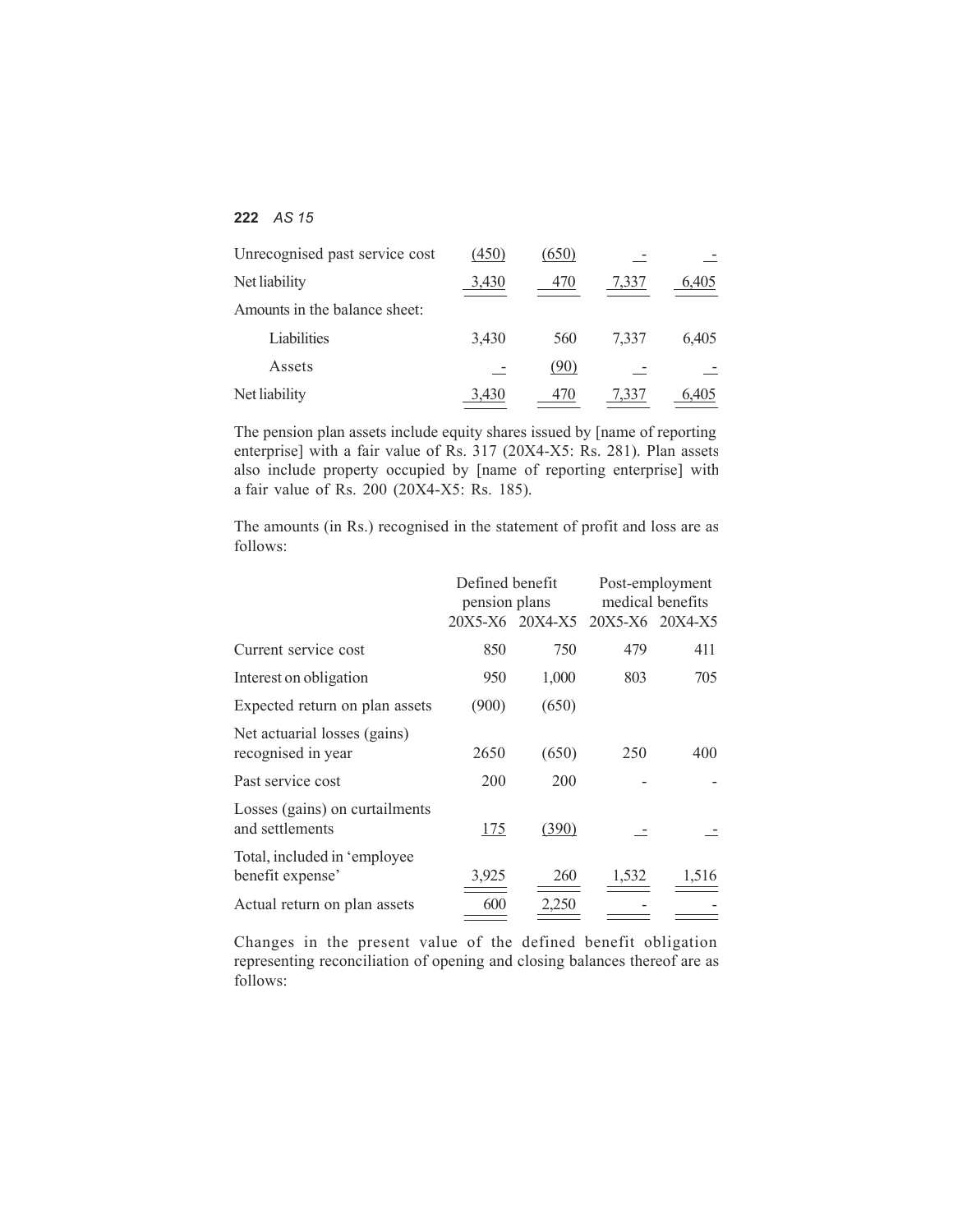| Unrecognised past service cost | (450) | (650) |       |       |
|--------------------------------|-------|-------|-------|-------|
| Net liability                  | 3,430 | 470   | 7,337 | 6,405 |
| Amounts in the balance sheet:  |       |       |       |       |
| Liabilities                    | 3,430 | 560   | 7.337 | 6,405 |
| Assets                         |       | (90)  |       |       |
| Net liability                  | 3,430 | 470   | 7.337 | 6.405 |

The pension plan assets include equity shares issued by [name of reporting enterprise] with a fair value of Rs. 317 (20X4-X5: Rs. 281). Plan assets also include property occupied by [name of reporting enterprise] with a fair value of Rs. 200 (20X4-X5: Rs. 185).

The amounts (in Rs.) recognised in the statement of profit and loss are as follows:

|                                                    | Defined benefit<br>pension plans |         | Post-employment<br>medical benefits |       |
|----------------------------------------------------|----------------------------------|---------|-------------------------------------|-------|
|                                                    | 20X5-X6                          | 20X4-X5 | 20X5-X6 20X4-X5                     |       |
| Current service cost                               | 850                              | 750     | 479                                 | 411   |
| Interest on obligation                             | 950                              | 1,000   | 803                                 | 705   |
| Expected return on plan assets                     | (900)                            | (650)   |                                     |       |
| Net actuarial losses (gains)<br>recognised in year | 2650                             | (650)   | 250                                 | 400   |
| Past service cost                                  | 200                              | 200     |                                     |       |
| Losses (gains) on curtailments<br>and settlements  | 175                              | (390)   |                                     |       |
| Total, included in 'employee<br>benefit expense'   | 3,925                            | 260     | 1,532                               | 1,516 |
| Actual return on plan assets                       | 600                              | 2,250   |                                     |       |

Changes in the present value of the defined benefit obligation representing reconciliation of opening and closing balances thereof are as follows: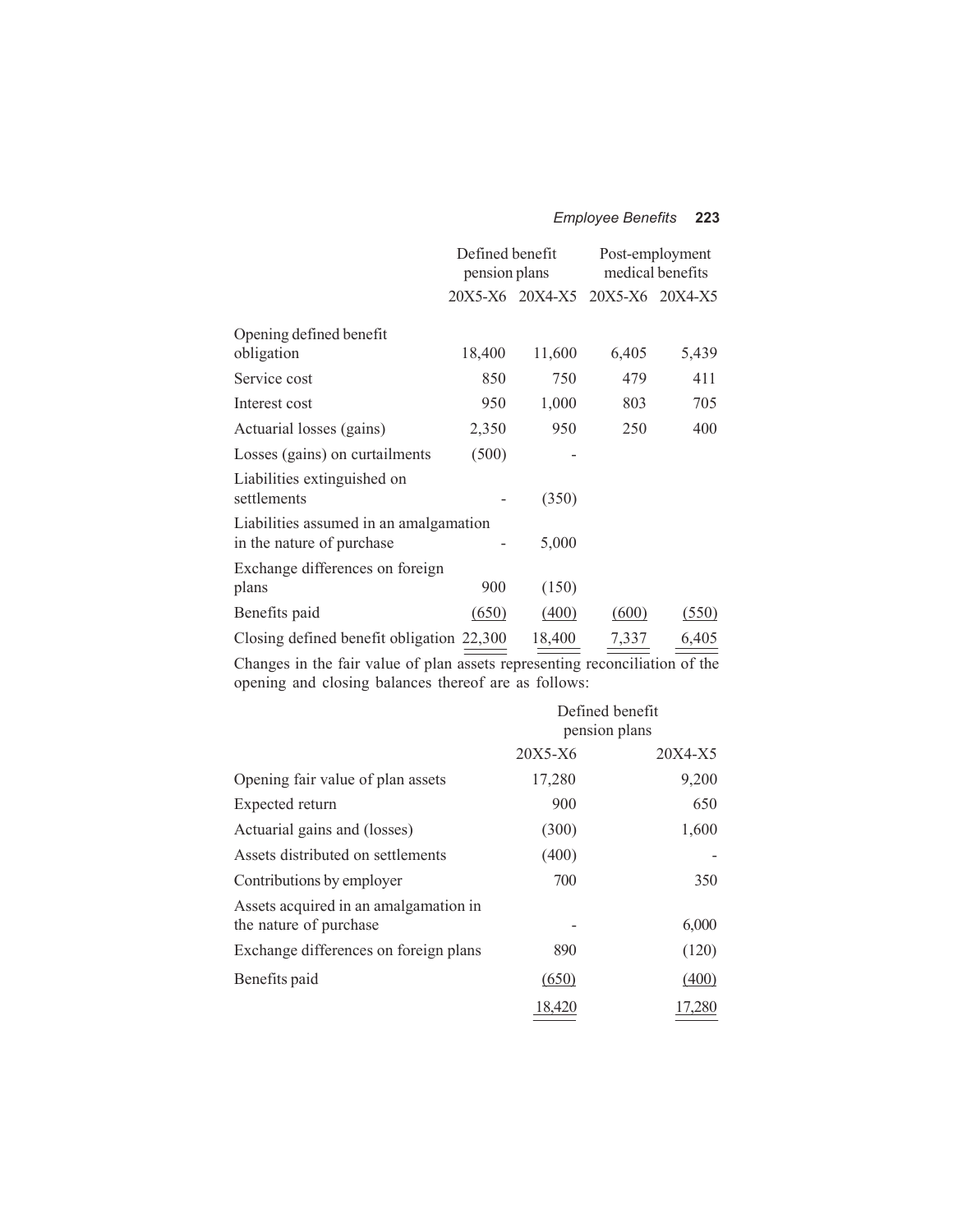|                                           | Defined benefit<br>pension plans |                                 |       | Post-employment<br>medical benefits |
|-------------------------------------------|----------------------------------|---------------------------------|-------|-------------------------------------|
|                                           |                                  | 20X5-X6 20X4-X5 20X5-X6 20X4-X5 |       |                                     |
| Opening defined benefit                   |                                  |                                 |       |                                     |
| obligation                                | 18,400                           | 11,600                          | 6,405 | 5,439                               |
| Service cost                              | 850                              | 750                             | 479   | 411                                 |
| Interest cost                             | 950                              | 1,000                           | 803   | 705                                 |
| Actuarial losses (gains)                  | 2,350                            | 950                             | 250   | 400                                 |
| Losses (gains) on curtailments            | (500)                            |                                 |       |                                     |
| Liabilities extinguished on               |                                  |                                 |       |                                     |
| settlements                               |                                  | (350)                           |       |                                     |
| Liabilities assumed in an amalgamation    |                                  |                                 |       |                                     |
| in the nature of purchase                 |                                  | 5,000                           |       |                                     |
| Exchange differences on foreign           |                                  |                                 |       |                                     |
| plans                                     | 900                              | (150)                           |       |                                     |
| Benefits paid                             | (650)                            | (400)                           | (600) | (550)                               |
| Closing defined benefit obligation 22,300 |                                  | 18,400                          | 7,337 | 6,405                               |

Changes in the fair value of plan assets representing reconciliation of the opening and closing balances thereof are as follows:

|                                                                 | Defined benefit<br>pension plans |         |  |
|-----------------------------------------------------------------|----------------------------------|---------|--|
|                                                                 | 20X5-X6                          | 20X4-X5 |  |
| Opening fair value of plan assets                               | 17,280                           | 9,200   |  |
| Expected return                                                 | 900                              | 650     |  |
| Actuarial gains and (losses)                                    | (300)                            | 1,600   |  |
| Assets distributed on settlements                               | (400)                            |         |  |
| Contributions by employer                                       | 700                              | 350     |  |
| Assets acquired in an amalgamation in<br>the nature of purchase |                                  | 6,000   |  |
| Exchange differences on foreign plans                           | 890                              | (120)   |  |
| Benefits paid                                                   | (650)                            | (400)   |  |
|                                                                 | 18.420                           | 17.280  |  |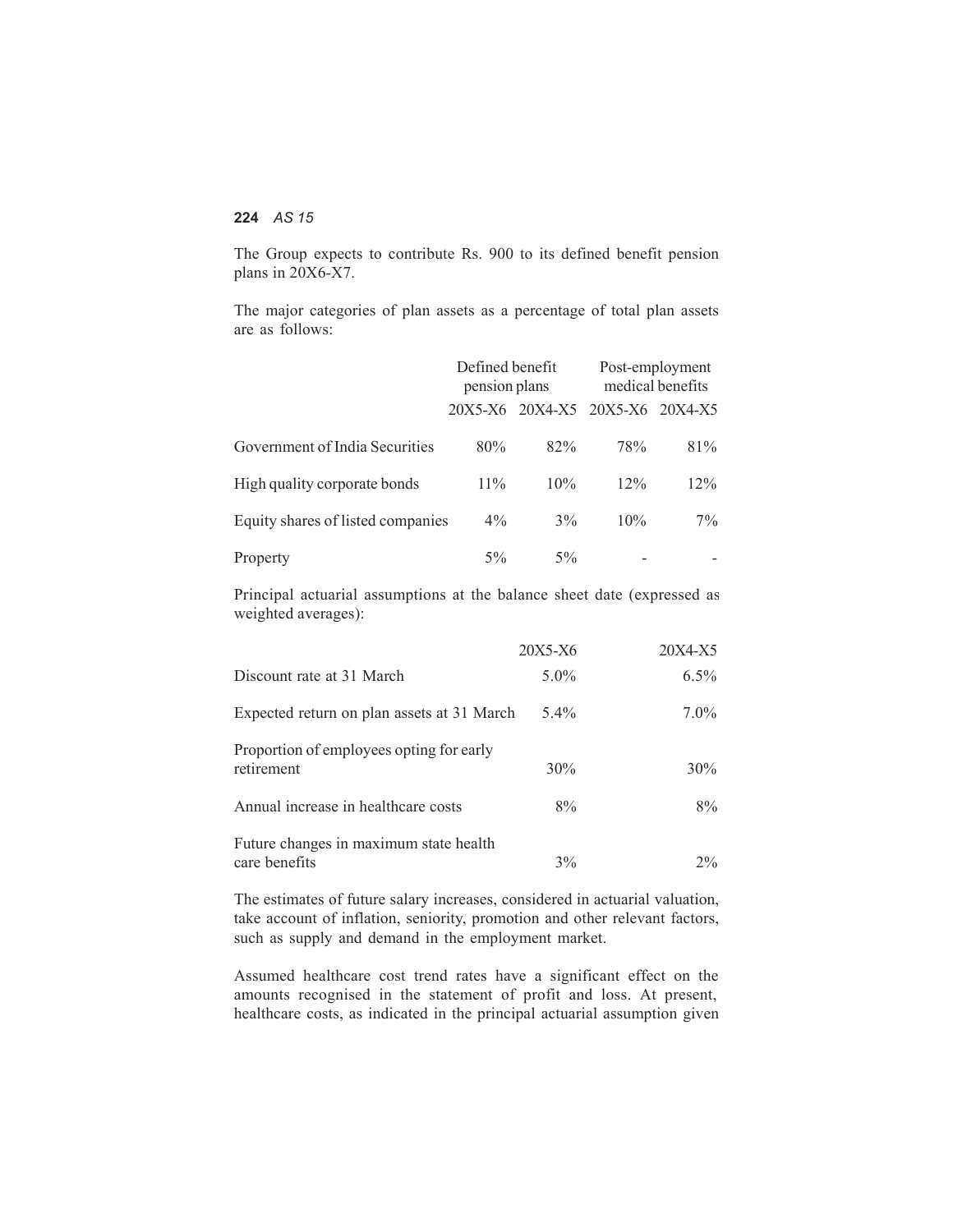The Group expects to contribute Rs. 900 to its defined benefit pension plans in 20X6-X7.

The major categories of plan assets as a percentage of total plan assets are as follows:

|                                   | Defined benefit<br>pension plans |       | Post-employment<br>medical benefits |        |
|-----------------------------------|----------------------------------|-------|-------------------------------------|--------|
|                                   |                                  |       | 20X5-X6 20X4-X5 20X5-X6 20X4-X5     |        |
| Government of India Securities    | 80%                              | 82%   | 78%                                 | 81%    |
| High quality corporate bonds      | $11\%$                           | 10%   | $12\%$                              | $12\%$ |
| Equity shares of listed companies | $4\%$                            | 3%    | 10%                                 | $7\%$  |
| Property                          | $5\%$                            | $5\%$ |                                     |        |

Principal actuarial assumptions at the balance sheet date (expressed as weighted averages):

|                                                         | $20X5 - X6$ | 20X4-X5 |
|---------------------------------------------------------|-------------|---------|
| Discount rate at 31 March                               | $5.0\%$     | $6.5\%$ |
| Expected return on plan assets at 31 March              | $5.4\%$     | $7.0\%$ |
| Proportion of employees opting for early<br>retirement  | 30%         | 30%     |
| Annual increase in healthcare costs                     | $8\%$       | 8%      |
| Future changes in maximum state health<br>care benefits | $3\%$       | $2\%$   |

The estimates of future salary increases, considered in actuarial valuation, take account of inflation, seniority, promotion and other relevant factors, such as supply and demand in the employment market.

Assumed healthcare cost trend rates have a significant effect on the amounts recognised in the statement of profit and loss. At present, healthcare costs, as indicated in the principal actuarial assumption given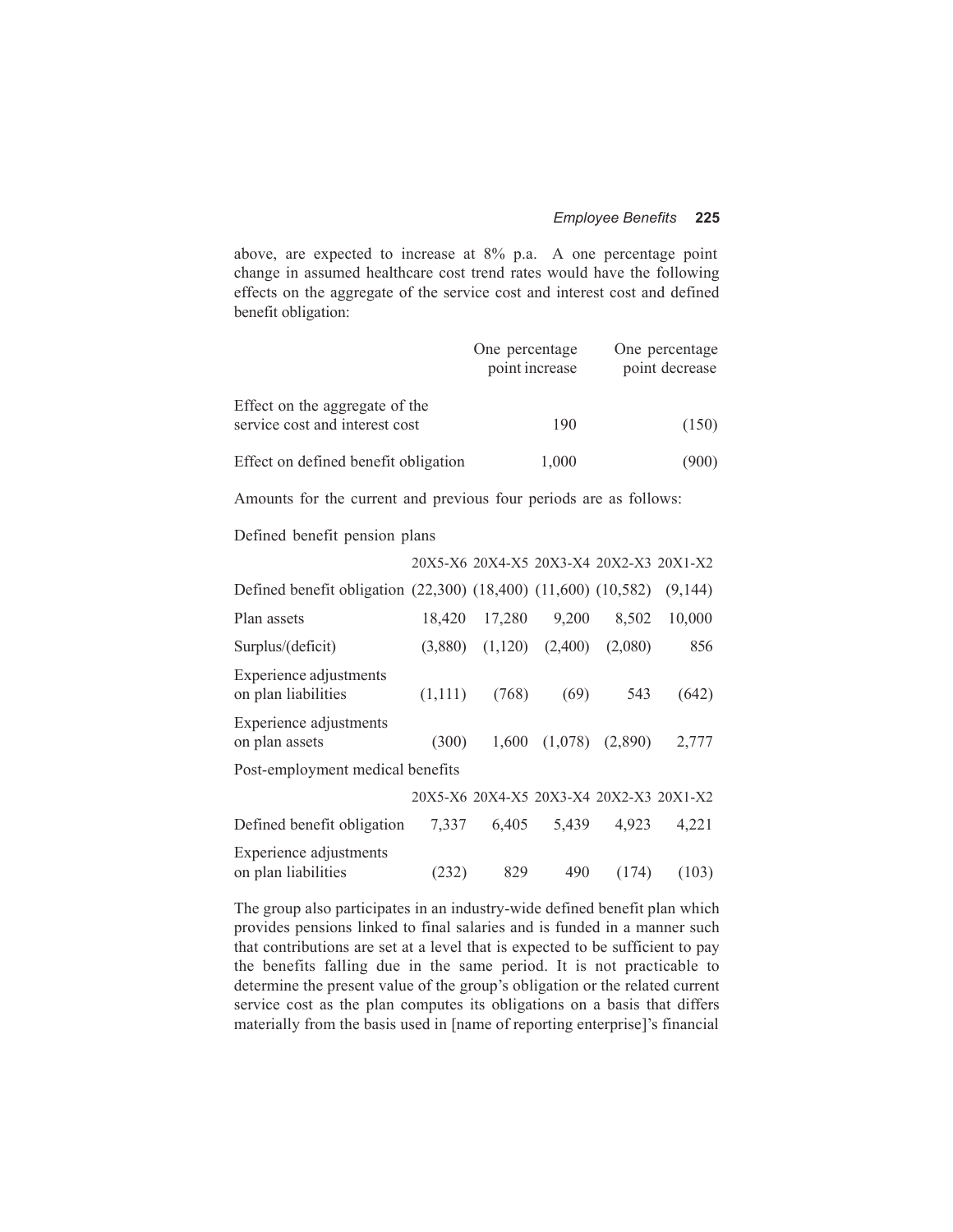#### *Employee Benefits* **225**

above, are expected to increase at 8% p.a. A one percentage point change in assumed healthcare cost trend rates would have the following effects on the aggregate of the service cost and interest cost and defined benefit obligation:

|                                                                  | One percentage<br>point increase | One percentage<br>point decrease |  |
|------------------------------------------------------------------|----------------------------------|----------------------------------|--|
| Effect on the aggregate of the<br>service cost and interest cost | 190                              | (150)                            |  |
| Effect on defined benefit obligation                             | 1,000                            | (900)                            |  |

Amounts for the current and previous four periods are as follows:

Defined benefit pension plans

|                                                                |         | 20X5-X6 20X4-X5 20X3-X4 20X2-X3 20X1-X2 |         |                     |         |
|----------------------------------------------------------------|---------|-----------------------------------------|---------|---------------------|---------|
| Defined benefit obligation (22,300) (18,400) (11,600) (10,582) |         |                                         |         |                     | (9,144) |
| Plan assets                                                    | 18,420  | 17,280                                  | 9,200   | 8,502               | 10,000  |
| Surplus/(deficit)                                              | (3,880) | (1,120)                                 | (2,400) | (2,080)             | 856     |
| Experience adjustments<br>on plan liabilities                  | (1,111) | (768)                                   | (69)    | 543                 | (642)   |
| Experience adjustments<br>on plan assets                       | (300)   | 1.600                                   |         | $(1,078)$ $(2,890)$ | 2,777   |
| Post-employment medical benefits                               |         |                                         |         |                     |         |
|                                                                |         | 20X5-X6 20X4-X5 20X3-X4 20X2-X3 20X1-X2 |         |                     |         |
| Defined benefit obligation                                     | 7,337   | 6,405                                   | 5,439   | 4,923               | 4,221   |
| Experience adjustments<br>on plan liabilities                  | (232)   | 829                                     | 490     | (174)               | (103)   |

The group also participates in an industry-wide defined benefit plan which provides pensions linked to final salaries and is funded in a manner such that contributions are set at a level that is expected to be sufficient to pay the benefits falling due in the same period. It is not practicable to determine the present value of the group's obligation or the related current service cost as the plan computes its obligations on a basis that differs materially from the basis used in [name of reporting enterprise]'s financial